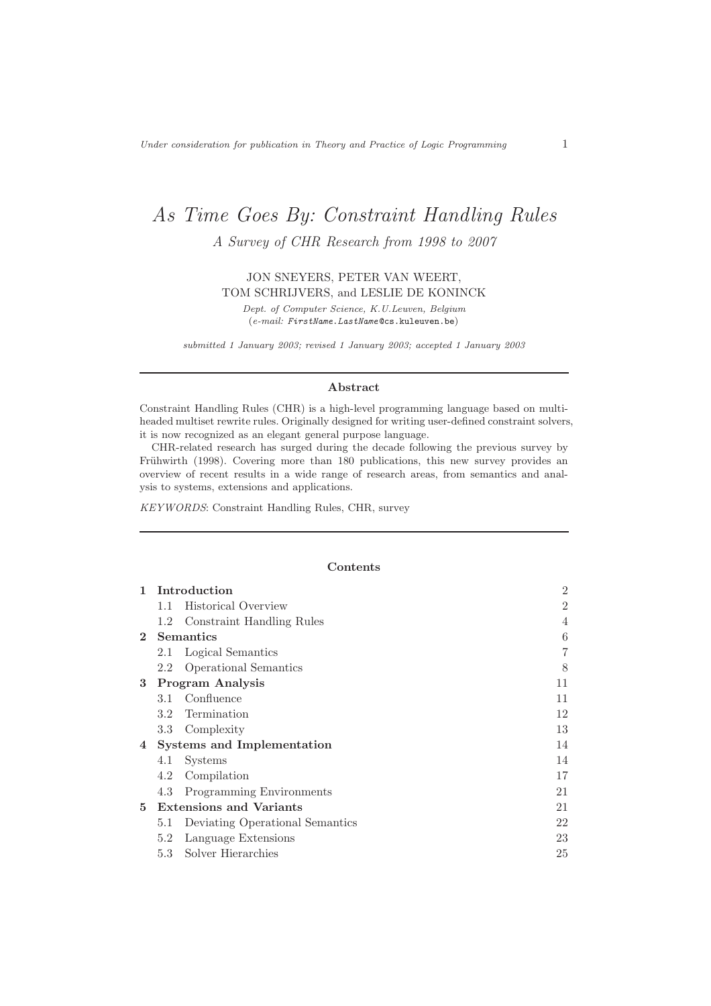# As Time Goes By: Constraint Handling Rules

A Survey of CHR Research from 1998 to 2007

JON SNEYERS, PETER VAN WEERT, TOM SCHRIJVERS, and LESLIE DE KONINCK

Dept. of Computer Science, K.U.Leuven, Belgium (e-mail: FirstName.LastName @cs.kuleuven.be)

submitted 1 January 2003; revised 1 January 2003; accepted 1 January 2003

# Abstract

Constraint Handling Rules (CHR) is a high-level programming language based on multiheaded multiset rewrite rules. Originally designed for writing user-defined constraint solvers, it is now recognized as an elegant general purpose language.

CHR-related research has surged during the decade following the previous survey by Frühwirth (1998). Covering more than 180 publications, this new survey provides an overview of recent results in a wide range of research areas, from semantics and analysis to systems, extensions and applications.

KEYWORDS: Constraint Handling Rules, CHR, survey

#### Contents

| 1           | Introduction     |                                   |                |
|-------------|------------------|-----------------------------------|----------------|
|             | 1.1              | <b>Historical Overview</b>        | $\overline{2}$ |
|             | 1.2              | Constraint Handling Rules         | 4              |
| $2^{\circ}$ |                  | <b>Semantics</b>                  | 6              |
|             | $2.1\,$          | Logical Semantics                 | 7              |
|             | $2.2\,$          | <b>Operational Semantics</b>      | 8              |
| 3           |                  | <b>Program Analysis</b>           | 11             |
|             |                  | 3.1 Confluence                    | 11             |
|             |                  | 3.2 Termination                   | 12             |
|             | 3.3 <sub>z</sub> | Complexity                        | 13             |
| 4           |                  | <b>Systems and Implementation</b> | 14             |
|             | 4.1              | <b>Systems</b>                    | 14             |
|             | 4.2              | Compilation                       | 17             |
|             | 4.3              | Programming Environments          | 21             |
|             |                  | 5 Extensions and Variants         | 21             |
|             | 5.1              | Deviating Operational Semantics   | 22             |
|             | 5.2              | Language Extensions               | 23             |
|             | 5.3              | Solver Hierarchies                | 25             |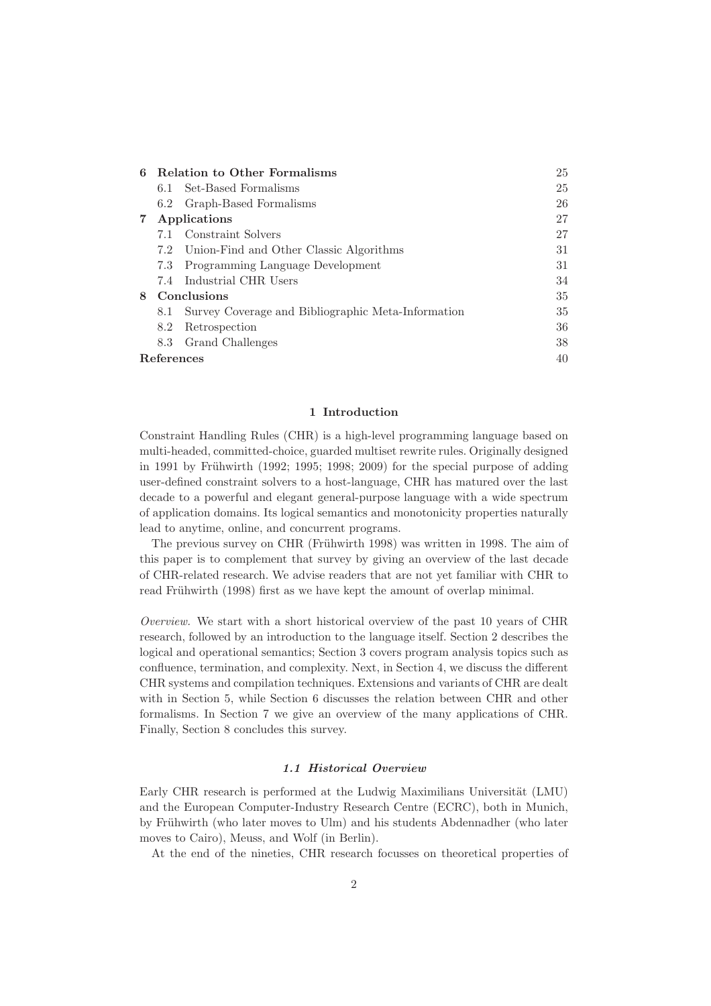| 6 | Relation to Other Formalisms<br>25 |                                                    |    |
|---|------------------------------------|----------------------------------------------------|----|
|   | 6.1                                | Set-Based Formalisms                               | 25 |
|   | 6.2                                | Graph-Based Formalisms                             | 26 |
|   |                                    | Applications                                       | 27 |
|   |                                    | 7.1 Constraint Solvers                             | 27 |
|   | 7.2                                | Union-Find and Other Classic Algorithms            | 31 |
|   | 7.3                                | Programming Language Development                   | 31 |
|   | 7.4                                | Industrial CHR Users                               | 34 |
| 8 |                                    | Conclusions                                        | 35 |
|   | 8.1                                | Survey Coverage and Bibliographic Meta-Information | 35 |
|   | 8.2                                | Retrospection                                      | 36 |
|   | 8.3                                | Grand Challenges                                   | 38 |
|   | References<br>40                   |                                                    |    |

## 1 Introduction

Constraint Handling Rules (CHR) is a high-level programming language based on multi-headed, committed-choice, guarded multiset rewrite rules. Originally designed in 1991 by Frühwirth (1992; 1995; 1998; 2009) for the special purpose of adding user-defined constraint solvers to a host-language, CHR has matured over the last decade to a powerful and elegant general-purpose language with a wide spectrum of application domains. Its logical semantics and monotonicity properties naturally lead to anytime, online, and concurrent programs.

The previous survey on CHR (Frühwirth 1998) was written in 1998. The aim of this paper is to complement that survey by giving an overview of the last decade of CHR-related research. We advise readers that are not yet familiar with CHR to read Frühwirth (1998) first as we have kept the amount of overlap minimal.

Overview. We start with a short historical overview of the past 10 years of CHR research, followed by an introduction to the language itself. Section 2 describes the logical and operational semantics; Section 3 covers program analysis topics such as confluence, termination, and complexity. Next, in Section 4, we discuss the different CHR systems and compilation techniques. Extensions and variants of CHR are dealt with in Section 5, while Section 6 discusses the relation between CHR and other formalisms. In Section 7 we give an overview of the many applications of CHR. Finally, Section 8 concludes this survey.

# 1.1 Historical Overview

Early CHR research is performed at the Ludwig Maximilians Universität (LMU) and the European Computer-Industry Research Centre (ECRC), both in Munich, by Frühwirth (who later moves to Ulm) and his students Abdennadher (who later moves to Cairo), Meuss, and Wolf (in Berlin).

At the end of the nineties, CHR research focusses on theoretical properties of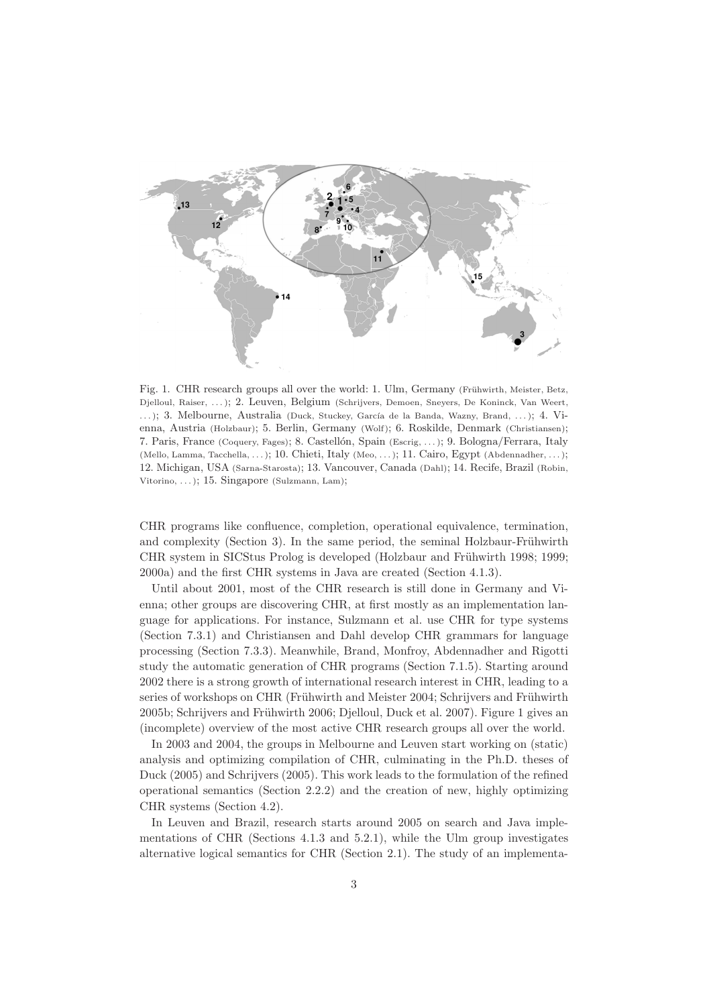

Fig. 1. CHR research groups all over the world: 1. Ulm, Germany (Frühwirth, Meister, Betz, Djelloul, Raiser, . . . ); 2. Leuven, Belgium (Schrijvers, Demoen, Sneyers, De Koninck, Van Weert, ...); 3. Melbourne, Australia (Duck, Stuckey, García de la Banda, Wazny, Brand, ...); 4. Vienna, Austria (Holzbaur); 5. Berlin, Germany (Wolf); 6. Roskilde, Denmark (Christiansen); 7. Paris, France (Coquery, Fages); 8. Castellón, Spain (Escrig, ...); 9. Bologna/Ferrara, Italy (Mello, Lamma, Tacchella, . . . ); 10. Chieti, Italy (Meo, . . . ); 11. Cairo, Egypt (Abdennadher, . . . ); 12. Michigan, USA (Sarna-Starosta); 13. Vancouver, Canada (Dahl); 14. Recife, Brazil (Robin, Vitorino,  $\dots$ ; 15. Singapore (Sulzmann, Lam);

CHR programs like confluence, completion, operational equivalence, termination, and complexity (Section 3). In the same period, the seminal Holzbaur-Frühwirth CHR system in SICStus Prolog is developed (Holzbaur and Frühwirth 1998; 1999; 2000a) and the first CHR systems in Java are created (Section 4.1.3).

Until about 2001, most of the CHR research is still done in Germany and Vienna; other groups are discovering CHR, at first mostly as an implementation language for applications. For instance, Sulzmann et al. use CHR for type systems (Section 7.3.1) and Christiansen and Dahl develop CHR grammars for language processing (Section 7.3.3). Meanwhile, Brand, Monfroy, Abdennadher and Rigotti study the automatic generation of CHR programs (Section 7.1.5). Starting around 2002 there is a strong growth of international research interest in CHR, leading to a series of workshops on CHR (Frühwirth and Meister 2004; Schrijvers and Frühwirth 2005b; Schrijvers and Frühwirth 2006; Djelloul, Duck et al. 2007). Figure 1 gives an (incomplete) overview of the most active CHR research groups all over the world.

In 2003 and 2004, the groups in Melbourne and Leuven start working on (static) analysis and optimizing compilation of CHR, culminating in the Ph.D. theses of Duck (2005) and Schrijvers (2005). This work leads to the formulation of the refined operational semantics (Section 2.2.2) and the creation of new, highly optimizing CHR systems (Section 4.2).

In Leuven and Brazil, research starts around 2005 on search and Java implementations of CHR (Sections 4.1.3 and 5.2.1), while the Ulm group investigates alternative logical semantics for CHR (Section 2.1). The study of an implementa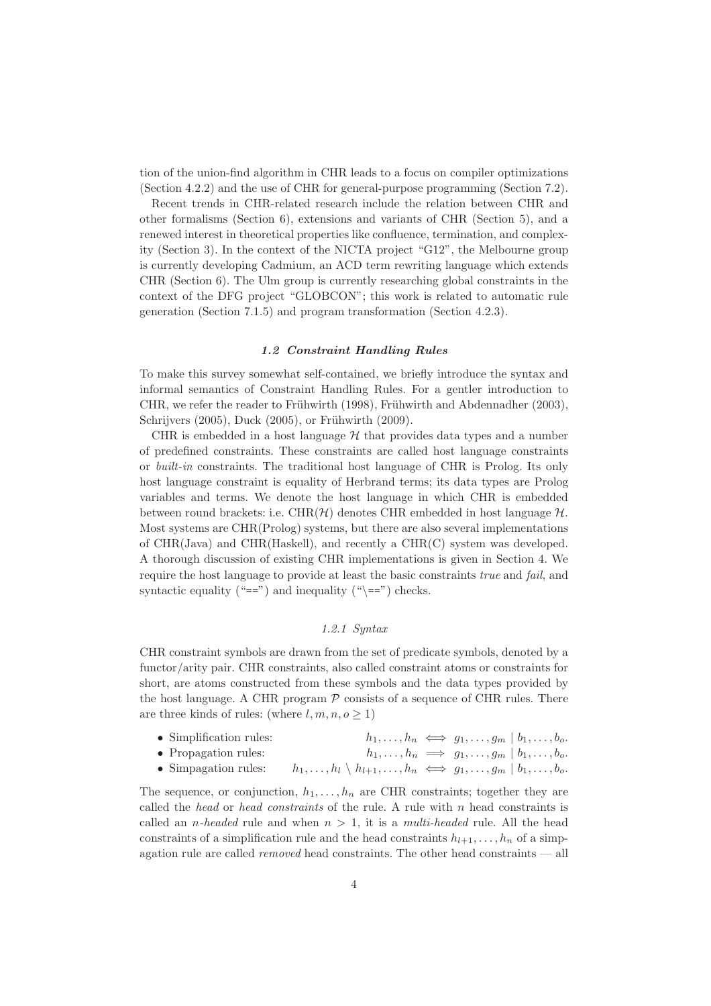tion of the union-find algorithm in CHR leads to a focus on compiler optimizations (Section 4.2.2) and the use of CHR for general-purpose programming (Section 7.2).

Recent trends in CHR-related research include the relation between CHR and other formalisms (Section 6), extensions and variants of CHR (Section 5), and a renewed interest in theoretical properties like confluence, termination, and complexity (Section 3). In the context of the NICTA project "G12", the Melbourne group is currently developing Cadmium, an ACD term rewriting language which extends CHR (Section 6). The Ulm group is currently researching global constraints in the context of the DFG project "GLOBCON"; this work is related to automatic rule generation (Section 7.1.5) and program transformation (Section 4.2.3).

## 1.2 Constraint Handling Rules

To make this survey somewhat self-contained, we briefly introduce the syntax and informal semantics of Constraint Handling Rules. For a gentler introduction to CHR, we refer the reader to Frühwirth (1998), Frühwirth and Abdennadher (2003), Schrijvers (2005), Duck (2005), or Frühwirth (2009).

CHR is embedded in a host language  $H$  that provides data types and a number of predefined constraints. These constraints are called host language constraints or built-in constraints. The traditional host language of CHR is Prolog. Its only host language constraint is equality of Herbrand terms; its data types are Prolog variables and terms. We denote the host language in which CHR is embedded between round brackets: i.e.  $\text{CHR}(\mathcal{H})$  denotes CHR embedded in host language  $\mathcal{H}$ . Most systems are CHR(Prolog) systems, but there are also several implementations of CHR(Java) and CHR(Haskell), and recently a CHR(C) system was developed. A thorough discussion of existing CHR implementations is given in Section 4. We require the host language to provide at least the basic constraints true and fail, and syntactic equality ("==") and inequality ("\==") checks.

# 1.2.1 Syntax

CHR constraint symbols are drawn from the set of predicate symbols, denoted by a functor/arity pair. CHR constraints, also called constraint atoms or constraints for short, are atoms constructed from these symbols and the data types provided by the host language. A CHR program  $P$  consists of a sequence of CHR rules. There are three kinds of rules: (where  $l, m, n, o > 1$ )

| $\bullet$ Simplification rules: |                                                                                      | $h_1,\ldots,h_n \iff g_1,\ldots,g_m \mid b_1,\ldots,b_o.$     |
|---------------------------------|--------------------------------------------------------------------------------------|---------------------------------------------------------------|
| $\bullet$ Propagation rules:    |                                                                                      | $h_1,\ldots,h_n \implies g_1,\ldots,g_m \mid b_1,\ldots,b_o.$ |
| $\bullet$ Simpagation rules:    | $h_1,\ldots,h_l\setminus h_{l+1},\ldots,h_n \iff g_1,\ldots,g_m\mid b_1,\ldots,b_o.$ |                                                               |

The sequence, or conjunction,  $h_1, \ldots, h_n$  are CHR constraints; together they are called the head or head constraints of the rule. A rule with  $n$  head constraints is called an *n*-headed rule and when  $n > 1$ , it is a *multi-headed* rule. All the head constraints of a simplification rule and the head constraints  $h_{l+1}, \ldots, h_n$  of a simpagation rule are called removed head constraints. The other head constraints — all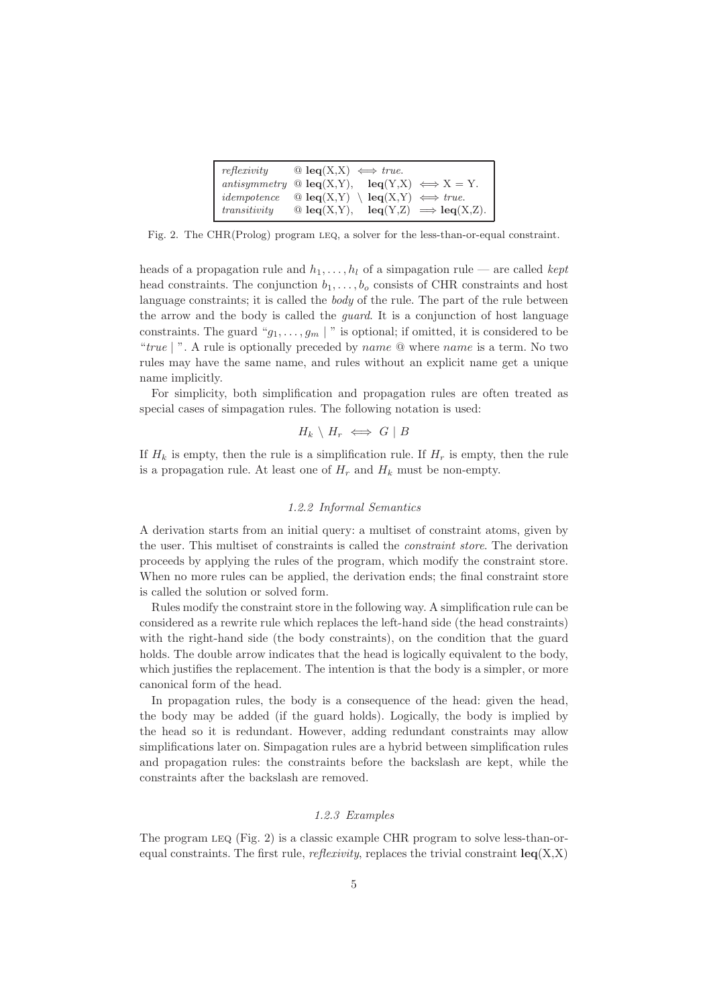| reflexivity  | $\mathbb{Q}$ leq(X,X) $\iff$ true.                                            |
|--------------|-------------------------------------------------------------------------------|
|              | antisymmetry $\mathscr{Q}$ leq(X,Y),<br>$\text{leg}(Y,X) \iff X = Y.$         |
| idempotence  | $\mathbb{Q}$ leq(X,Y) $\leq$ leq(X,Y) $\iff$ true.                            |
| transitivity | $\text{leq}(Y,Z) \implies \text{leq}(X,Z).$<br>$\mathbf{\odot}$ leq $(X,Y)$ , |

Fig. 2. The CHR(Prolog) program LEQ, a solver for the less-than-or-equal constraint.

heads of a propagation rule and  $h_1, \ldots, h_l$  of a simpagation rule — are called kept head constraints. The conjunction  $b_1, \ldots, b_o$  consists of CHR constraints and host language constraints; it is called the body of the rule. The part of the rule between the arrow and the body is called the guard. It is a conjunction of host language constraints. The guard " $g_1, \ldots, g_m$  |" is optional; if omitted, it is considered to be "true | ". A rule is optionally preceded by *name*  $\mathcal Q$  where *name* is a term. No two rules may have the same name, and rules without an explicit name get a unique name implicitly.

For simplicity, both simplification and propagation rules are often treated as special cases of simpagation rules. The following notation is used:

$$
H_k \setminus H_r \iff G \mid B
$$

If  $H_k$  is empty, then the rule is a simplification rule. If  $H_r$  is empty, then the rule is a propagation rule. At least one of  $H_r$  and  $H_k$  must be non-empty.

# 1.2.2 Informal Semantics

A derivation starts from an initial query: a multiset of constraint atoms, given by the user. This multiset of constraints is called the constraint store. The derivation proceeds by applying the rules of the program, which modify the constraint store. When no more rules can be applied, the derivation ends; the final constraint store is called the solution or solved form.

Rules modify the constraint store in the following way. A simplification rule can be considered as a rewrite rule which replaces the left-hand side (the head constraints) with the right-hand side (the body constraints), on the condition that the guard holds. The double arrow indicates that the head is logically equivalent to the body, which justifies the replacement. The intention is that the body is a simpler, or more canonical form of the head.

In propagation rules, the body is a consequence of the head: given the head, the body may be added (if the guard holds). Logically, the body is implied by the head so it is redundant. However, adding redundant constraints may allow simplifications later on. Simpagation rules are a hybrid between simplification rules and propagation rules: the constraints before the backslash are kept, while the constraints after the backslash are removed.

## 1.2.3 Examples

The program leq (Fig. 2) is a classic example CHR program to solve less-than-orequal constraints. The first rule, *reflexivity*, replaces the trivial constraint  $\text{leq}(X,X)$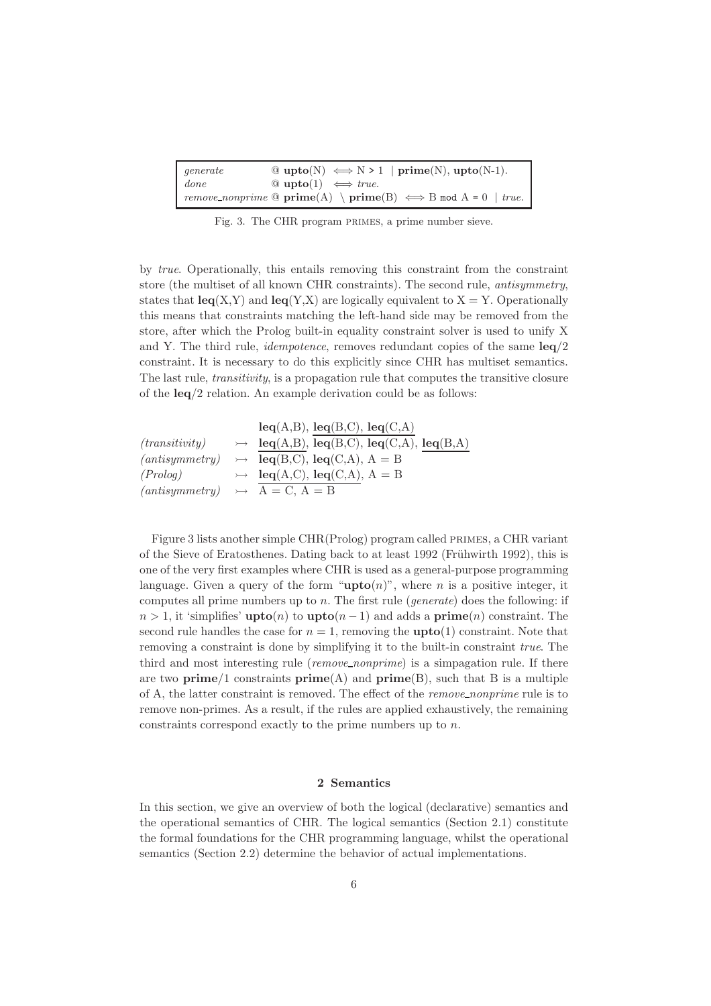| generate    | $\mathcal{Q}$ upto(N) $\iff$ N > 1   prime(N), upto(N-1).                                        |  |
|-------------|--------------------------------------------------------------------------------------------------|--|
| $\int$ done | $\mathcal{Q}$ upto(1) $\iff true.$                                                               |  |
|             | $\mid$ remove_nonprime $\circledcirc$ prime(A) $\rightarrow$ prime(B) $\iff$ B mod A = 0   true. |  |

Fig. 3. The CHR program PRIMES, a prime number sieve.

by true. Operationally, this entails removing this constraint from the constraint store (the multiset of all known CHR constraints). The second rule, antisymmetry, states that  $\text{leg}(X,Y)$  and  $\text{leg}(Y,X)$  are logically equivalent to  $X = Y$ . Operationally this means that constraints matching the left-hand side may be removed from the store, after which the Prolog built-in equality constraint solver is used to unify X and Y. The third rule, *idempotence*, removes redundant copies of the same  $\text{leg}/2$ constraint. It is necessary to do this explicitly since CHR has multiset semantics. The last rule, transitivity, is a propagation rule that computes the transitive closure of the leq/2 relation. An example derivation could be as follows:

|                                           | $leq(A,B),$ $leq(B,C),$ $leq(C,A)$                                   |
|-------------------------------------------|----------------------------------------------------------------------|
| (transitivity)                            | $\rightarrow$ leq(A,B), leq(B,C), leq(C,A), leq(B,A)                 |
|                                           | $(antisymmetry) \rightarrow \text{leg}(B,C), \text{leg}(C,A), A = B$ |
| (Prolog)                                  | $\rightarrow$ leq(A,C), leq(C,A), A = B                              |
| $(antisymmetry) \rightarrow A = C, A = B$ |                                                                      |

Figure 3 lists another simple CHR(Prolog) program called primes, a CHR variant of the Sieve of Eratosthenes. Dating back to at least 1992 (Frühwirth 1992), this is one of the very first examples where CHR is used as a general-purpose programming language. Given a query of the form " $\text{upto}(n)$ ", where n is a positive integer, it computes all prime numbers up to  $n$ . The first rule (*generate*) does the following: if  $n > 1$ , it 'simplifies' **upto** $(n)$  to **upto** $(n-1)$  and adds a **prime** $(n)$  constraint. The second rule handles the case for  $n = 1$ , removing the **upto** $(1)$  constraint. Note that removing a constraint is done by simplifying it to the built-in constraint true. The third and most interesting rule (remove\_nonprime) is a simpagation rule. If there are two prime/1 constraints  $prime(A)$  and  $prime(B)$ , such that B is a multiple of A, the latter constraint is removed. The effect of the remove nonprime rule is to remove non-primes. As a result, if the rules are applied exhaustively, the remaining constraints correspond exactly to the prime numbers up to n.

# 2 Semantics

In this section, we give an overview of both the logical (declarative) semantics and the operational semantics of CHR. The logical semantics (Section 2.1) constitute the formal foundations for the CHR programming language, whilst the operational semantics (Section 2.2) determine the behavior of actual implementations.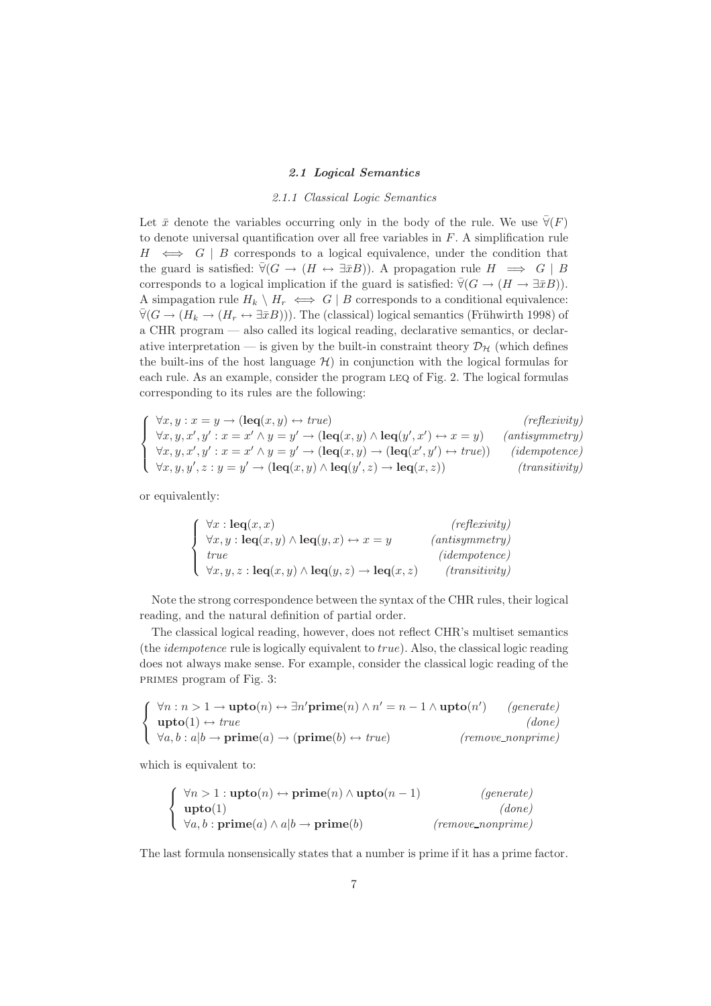#### 2.1 Logical Semantics

#### 2.1.1 Classical Logic Semantics

Let  $\bar{x}$  denote the variables occurring only in the body of the rule. We use  $\bar{\forall}(F)$ to denote universal quantification over all free variables in  $F$ . A simplification rule  $H \iff G | B$  corresponds to a logical equivalence, under the condition that the guard is satisfied:  $\bar{\forall}$ ( $G \rightarrow (H \leftrightarrow \exists \bar{x}B)$ ). A propagation rule  $H \implies G \mid B$ corresponds to a logical implication if the guard is satisfied:  $\bar{\forall} (G \rightarrow (H \rightarrow \exists \bar{x}B)).$ A simpagation rule  $H_k \setminus H_r \iff G \mid B$  corresponds to a conditional equivalence:  $\bar{\forall}$ ( $G \rightarrow (H_k \rightarrow (H_r \leftrightarrow \exists \bar{x}B))$ ). The (classical) logical semantics (Frühwirth 1998) of a CHR program — also called its logical reading, declarative semantics, or declarative interpretation — is given by the built-in constraint theory  $\mathcal{D}_{\mathcal{H}}$  (which defines the built-ins of the host language  $\mathcal{H}$ ) in conjunction with the logical formulas for each rule. As an example, consider the program leq of Fig. 2. The logical formulas corresponding to its rules are the following:

 $\sqrt{ }$  $\int$  $\overline{\mathcal{L}}$  $\forall x, y : x = y \rightarrow (\text{leq}(x, y) \leftrightarrow true)$  (reflexivity)  $\forall x, y, x', y' : x = x' \land y = y' \rightarrow (\text{leq}(x, y) \land \text{leq}(y', x'))$  $(antisymmetry)$  $\forall x, y, x', y' : x = x' \land y = y' \rightarrow (\text{leq}(x, y) \rightarrow (\text{leq}(x', y'))$  $(idempotence)$  $\forall x, y, y', z : y = y' \rightarrow (\text{leq}(x, y) \land \text{leq}(y', z) \rightarrow \text{leq}(x, z))$  (transitivity)

or equivalently:

| $\forall x : \mathbf{leq}(x, x)$                                                         | (reflexivity)  |
|------------------------------------------------------------------------------------------|----------------|
| $\forall x, y : \mathbf{leq}(x, y) \land \mathbf{leq}(y, x) \leftrightarrow x = y$       | (antisymmetry) |
| <i>true</i>                                                                              | (idempotence)  |
| $\forall x, y, z : \text{leq}(x, y) \land \text{leq}(y, z) \rightarrow \text{leq}(x, z)$ | (transitivity) |

Note the strong correspondence between the syntax of the CHR rules, their logical reading, and the natural definition of partial order.

The classical logical reading, however, does not reflect CHR's multiset semantics (the *idempotence* rule is logically equivalent to  $true$ ). Also, the classical logic reading does not always make sense. For example, consider the classical logic reading of the primes program of Fig. 3:

$$
\begin{cases}\n\forall n : n > 1 \rightarrow \textbf{upto}(n) \leftrightarrow \exists n' \textbf{prime}(n) \land n' = n - 1 \land \textbf{upto}(n') \quad (generate) \\
\textbf{upto}(1) \leftrightarrow true \quad (done) \\
\forall a, b : a | b \rightarrow \textbf{prime}(a) \rightarrow (\textbf{prime}(b) \leftrightarrow true) \quad (remove\_nonprime)\n\end{cases}
$$

which is equivalent to:

$$
\begin{cases}\n\forall n > 1 : \textbf{upto}(n) \leftrightarrow \textbf{prime}(n) \land \textbf{upto}(n-1) & (generate) \\
\textbf{upto}(1) & (done) \\
\forall a, b : \textbf{prime}(a) \land a | b \rightarrow \textbf{prime}(b) & (remove\_nonprime)\n\end{cases}
$$

The last formula nonsensically states that a number is prime if it has a prime factor.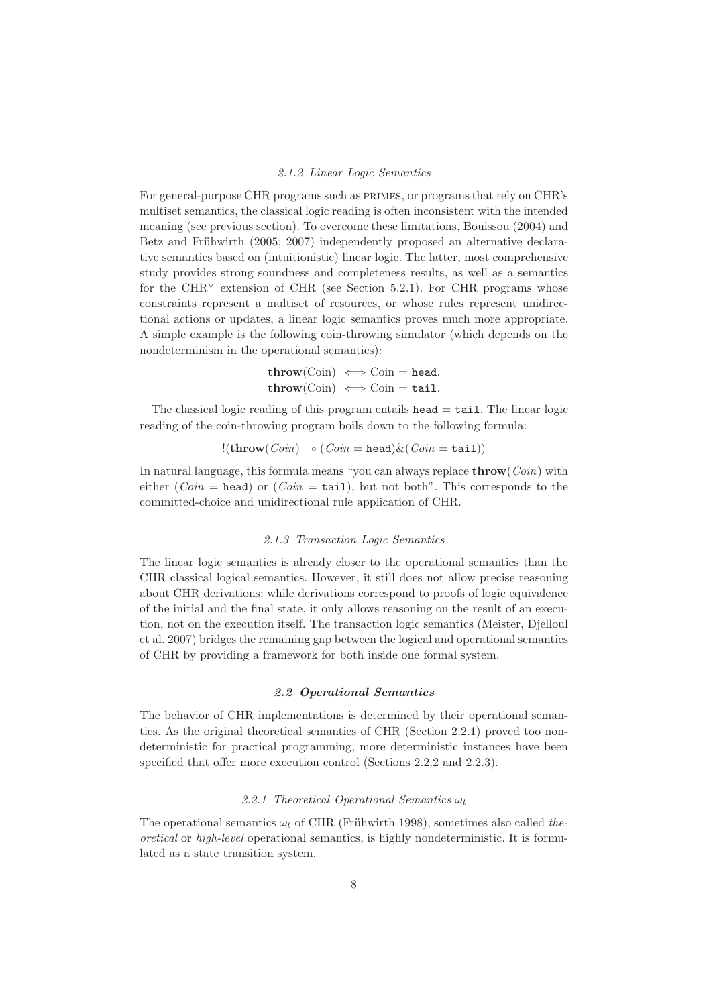#### 2.1.2 Linear Logic Semantics

For general-purpose CHR programs such as primes, or programs that rely on CHR's multiset semantics, the classical logic reading is often inconsistent with the intended meaning (see previous section). To overcome these limitations, Bouissou (2004) and Betz and Frühwirth (2005; 2007) independently proposed an alternative declarative semantics based on (intuitionistic) linear logic. The latter, most comprehensive study provides strong soundness and completeness results, as well as a semantics for the CHR<sup> $\vee$ </sup> extension of CHR (see Section 5.2.1). For CHR programs whose constraints represent a multiset of resources, or whose rules represent unidirectional actions or updates, a linear logic semantics proves much more appropriate. A simple example is the following coin-throwing simulator (which depends on the nondeterminism in the operational semantics):

> $\mathbf{throw}(\mathrm{Coin}) \iff \mathrm{Coin} = \mathbf{head}.$  $\mathbf{throw}(\mathrm{Coin}) \iff \mathrm{Coin} = \mathtt{tail}.$

The classical logic reading of this program entails  $head = tail$ . The linear logic reading of the coin-throwing program boils down to the following formula:

$$
!(\mathbf{throw}(Coin) \multimap (Coin = head) \& (Coin = tail))
$$

In natural language, this formula means "you can always replace  $throughrow(Coin)$  with either (*Coin* = head) or (*Coin* = tail), but not both". This corresponds to the committed-choice and unidirectional rule application of CHR.

#### 2.1.3 Transaction Logic Semantics

The linear logic semantics is already closer to the operational semantics than the CHR classical logical semantics. However, it still does not allow precise reasoning about CHR derivations: while derivations correspond to proofs of logic equivalence of the initial and the final state, it only allows reasoning on the result of an execution, not on the execution itself. The transaction logic semantics (Meister, Djelloul et al. 2007) bridges the remaining gap between the logical and operational semantics of CHR by providing a framework for both inside one formal system.

#### 2.2 Operational Semantics

The behavior of CHR implementations is determined by their operational semantics. As the original theoretical semantics of CHR (Section 2.2.1) proved too nondeterministic for practical programming, more deterministic instances have been specified that offer more execution control (Sections 2.2.2 and 2.2.3).

## 2.2.1 Theoretical Operational Semantics  $\omega_t$

The operational semantics  $\omega_t$  of CHR (Frühwirth 1998), sometimes also called theoretical or high-level operational semantics, is highly nondeterministic. It is formulated as a state transition system.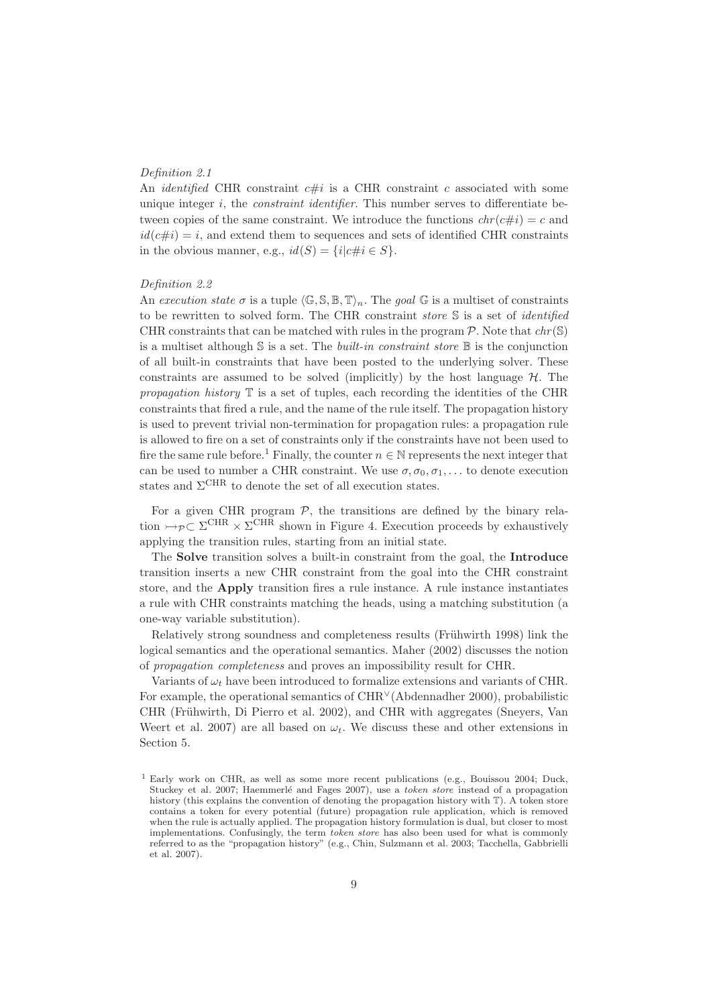## Definition 2.1

An *identified* CHR constraint  $c\#i$  is a CHR constraint c associated with some unique integer i, the *constraint identifier*. This number serves to differentiate between copies of the same constraint. We introduce the functions  $chr(c\#i) = c$  and  $id(c\#i) = i$ , and extend them to sequences and sets of identified CHR constraints in the obvious manner, e.g.,  $id(S) = \{i | c \# i \in S\}.$ 

### Definition 2.2

An execution state  $\sigma$  is a tuple  $\langle \mathbb{G}, \mathbb{S}, \mathbb{B}, \mathbb{T} \rangle_n$ . The goal  $\mathbb{G}$  is a multiset of constraints to be rewritten to solved form. The CHR constraint *store*  $S$  is a set of *identified* CHR constraints that can be matched with rules in the program  $\mathcal P$ . Note that  $chr(\mathcal S)$ is a multiset although  $S$  is a set. The *built-in constraint store*  $\mathbb B$  is the conjunction of all built-in constraints that have been posted to the underlying solver. These constraints are assumed to be solved (implicitly) by the host language  $H$ . The propagation history  $\mathbb T$  is a set of tuples, each recording the identities of the CHR constraints that fired a rule, and the name of the rule itself. The propagation history is used to prevent trivial non-termination for propagation rules: a propagation rule is allowed to fire on a set of constraints only if the constraints have not been used to fire the same rule before.<sup>1</sup> Finally, the counter  $n \in \mathbb{N}$  represents the next integer that can be used to number a CHR constraint. We use  $\sigma, \sigma_0, \sigma_1, \ldots$  to denote execution states and  $\Sigma^{\text{CHR}}$  to denote the set of all execution states.

For a given CHR program  $P$ , the transitions are defined by the binary relation  $\rightarrow_{\mathcal{P}} \subset \Sigma^{\text{CHR}} \times \Sigma^{\text{CHR}}$  shown in Figure 4. Execution proceeds by exhaustively applying the transition rules, starting from an initial state.

The Solve transition solves a built-in constraint from the goal, the Introduce transition inserts a new CHR constraint from the goal into the CHR constraint store, and the Apply transition fires a rule instance. A rule instance instantiates a rule with CHR constraints matching the heads, using a matching substitution (a one-way variable substitution).

Relatively strong soundness and completeness results (Frühwirth 1998) link the logical semantics and the operational semantics. Maher (2002) discusses the notion of propagation completeness and proves an impossibility result for CHR.

Variants of  $\omega_t$  have been introduced to formalize extensions and variants of CHR. For example, the operational semantics of CHR<sup>∨</sup>(Abdennadher 2000), probabilistic CHR (Frühwirth, Di Pierro et al. 2002), and CHR with aggregates (Sneyers, Van Weert et al. 2007) are all based on  $\omega_t$ . We discuss these and other extensions in Section 5.

<sup>1</sup> Early work on CHR, as well as some more recent publications (e.g., Bouissou 2004; Duck, Stuckey et al. 2007; Haemmerlé and Fages 2007), use a token store instead of a propagation history (this explains the convention of denoting the propagation history with T). A token store contains a token for every potential (future) propagation rule application, which is removed when the rule is actually applied. The propagation history formulation is dual, but closer to most implementations. Confusingly, the term token store has also been used for what is commonly referred to as the "propagation history" (e.g., Chin, Sulzmann et al. 2003; Tacchella, Gabbrielli et al. 2007).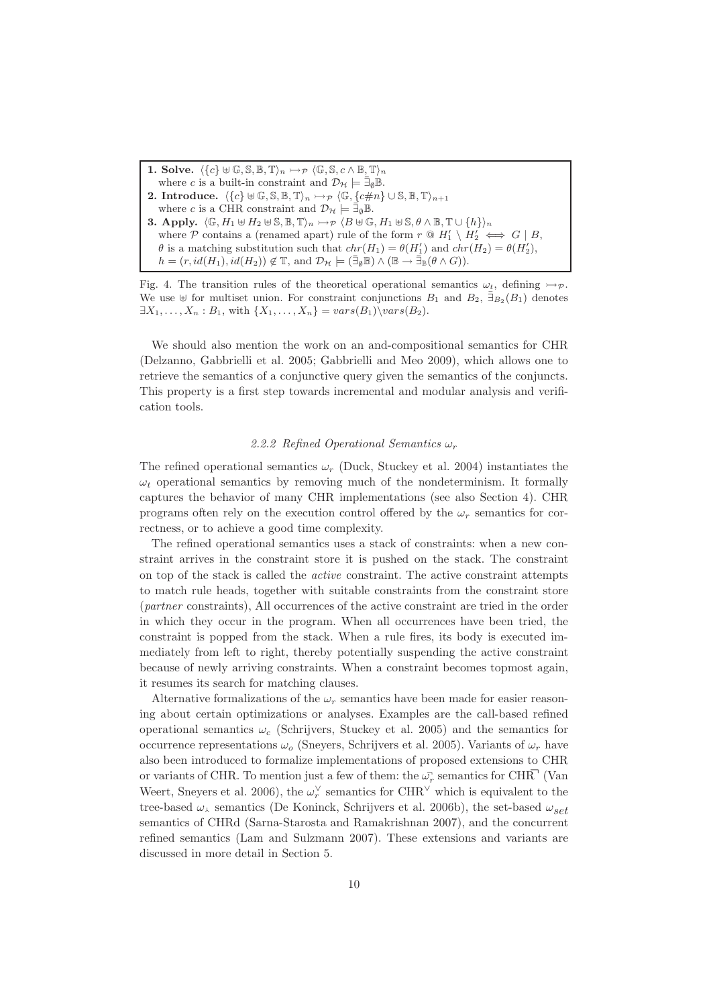- 1. Solve.  $\langle {c} \rbrace \cup \mathbb{G}, \mathbb{S}, \mathbb{B}, \mathbb{T} \rangle_n \rightarrowtail_{\mathcal{P}} \langle \mathbb{G}, \mathbb{S}, c \wedge \mathbb{B}, \mathbb{T} \rangle_n$
- where c is a built-in constraint and  $\mathcal{D}_{\mathcal{H}} \models \bar{\exists}_{\emptyset} \mathbb{B}$ .
- **2.** Introduce.  $\langle {c} \rbrace \cup \mathbb{G}, \mathbb{S}, \mathbb{B}, \mathbb{T} \rangle_n \rightarrow_{\mathcal{P}} \langle \mathbb{G}, {c \# n} \rbrace \cup \mathbb{S}, \mathbb{B}, \mathbb{T} \rangle_{n+1}$
- where c is a CHR constraint and  $\mathcal{D}_{\mathcal{H}} \models \bar{\exists}_{\emptyset} \mathbb{B}$ .
- 3. Apply.  $\langle \mathbb{G}, H_1 \uplus H_2 \uplus \mathbb{S}, \mathbb{B}, \mathbb{T}\rangle_n \rightarrow \sim_{\mathcal{P}} \langle B \uplus \mathbb{G}, H_1 \uplus \mathbb{S}, \theta \wedge \mathbb{B}, \mathbb{T} \cup \{h\}\rangle_n$ where  $P$  contains a (renamed apart) rule of the form  $r \otimes H'_1 \setminus H'_2 \iff G \mid B$ ,  $\theta$  is a matching substitution such that  $chr(H_1) = \theta(H'_1)$  and  $chr(H_2) = \theta(H'_2)$ ,  $h = (r, id(H_1), id(H_2)) \notin \mathbb{T}$ , and  $\mathcal{D}_{\mathcal{H}} \models (\bar{\exists}_{\emptyset} \mathbb{B}) \land (\mathbb{B} \to \bar{\exists}_{\mathbb{B}} (\theta \land G)).$

Fig. 4. The transition rules of the theoretical operational semantics  $\omega_t$ , defining  $\rightarrow \mathcal{P}$ . We use  $\forall$  for multiset union. For constraint conjunctions  $B_1$  and  $B_2$ ,  $\bar{\exists}_{B_2}(B_1)$  denotes  $\exists X_1, \ldots, X_n : B_1$ , with  $\{X_1, \ldots, X_n\} = vars(B_1) \backslash vars(B_2)$ .

We should also mention the work on an and-compositional semantics for CHR (Delzanno, Gabbrielli et al. 2005; Gabbrielli and Meo 2009), which allows one to retrieve the semantics of a conjunctive query given the semantics of the conjuncts. This property is a first step towards incremental and modular analysis and verification tools.

# 2.2.2 Refined Operational Semantics  $\omega_r$

The refined operational semantics  $\omega_r$  (Duck, Stuckey et al. 2004) instantiates the  $\omega_t$  operational semantics by removing much of the nondeterminism. It formally captures the behavior of many CHR implementations (see also Section 4). CHR programs often rely on the execution control offered by the  $\omega_r$  semantics for correctness, or to achieve a good time complexity.

The refined operational semantics uses a stack of constraints: when a new constraint arrives in the constraint store it is pushed on the stack. The constraint on top of the stack is called the active constraint. The active constraint attempts to match rule heads, together with suitable constraints from the constraint store (partner constraints), All occurrences of the active constraint are tried in the order in which they occur in the program. When all occurrences have been tried, the constraint is popped from the stack. When a rule fires, its body is executed immediately from left to right, thereby potentially suspending the active constraint because of newly arriving constraints. When a constraint becomes topmost again, it resumes its search for matching clauses.

Alternative formalizations of the  $\omega_r$  semantics have been made for easier reasoning about certain optimizations or analyses. Examples are the call-based refined operational semantics  $\omega_c$  (Schrijvers, Stuckey et al. 2005) and the semantics for occurrence representations  $\omega_o$  (Sneyers, Schrijvers et al. 2005). Variants of  $\omega_r$  have also been introduced to formalize implementations of proposed extensions to CHR or variants of CHR. To mention just a few of them: the  $\omega_r$  semantics for CHR<sup> $\bar{\rm H}$ </sup> (Van Weert, Sneyers et al. 2006), the  $\omega_r^{\vee}$  semantics for CHR<sup> $\vee$ </sup> which is equivalent to the tree-based  $\omega_{\lambda}$  semantics (De Koninck, Schrijvers et al. 2006b), the set-based  $\omega_{\alpha}$ semantics of CHRd (Sarna-Starosta and Ramakrishnan 2007), and the concurrent refined semantics (Lam and Sulzmann 2007). These extensions and variants are discussed in more detail in Section 5.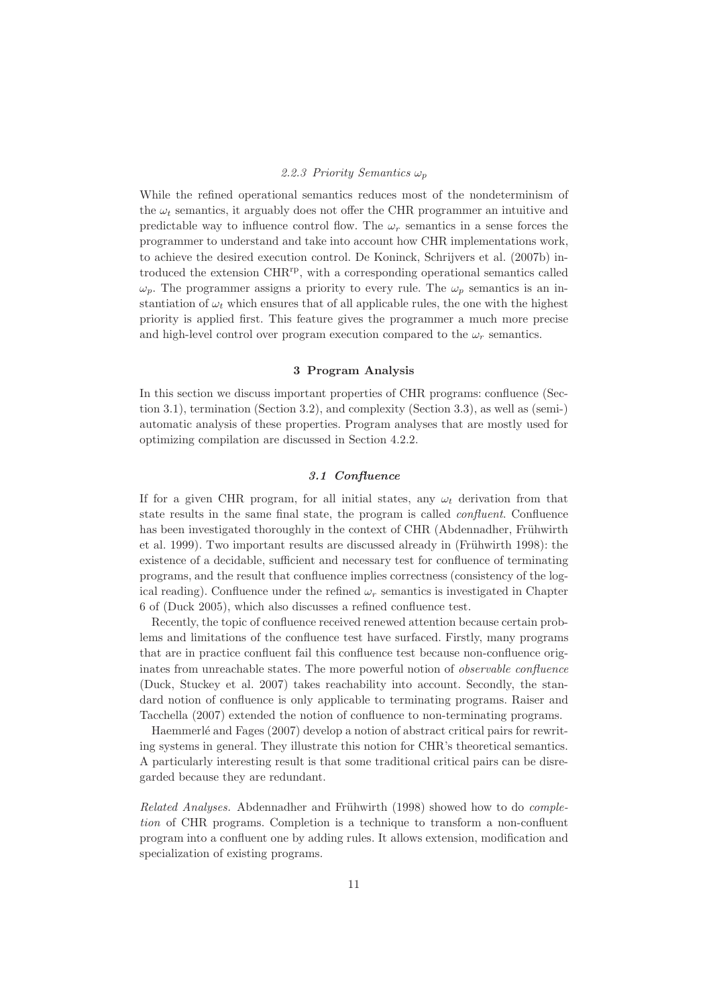# 2.2.3 Priority Semantics  $\omega_p$

While the refined operational semantics reduces most of the nondeterminism of the  $\omega_t$  semantics, it arguably does not offer the CHR programmer an intuitive and predictable way to influence control flow. The  $\omega_r$  semantics in a sense forces the programmer to understand and take into account how CHR implementations work, to achieve the desired execution control. De Koninck, Schrijvers et al. (2007b) introduced the extension CHR<sup>rp</sup>, with a corresponding operational semantics called  $\omega_p$ . The programmer assigns a priority to every rule. The  $\omega_p$  semantics is an instantiation of  $\omega_t$  which ensures that of all applicable rules, the one with the highest priority is applied first. This feature gives the programmer a much more precise and high-level control over program execution compared to the  $\omega_r$  semantics.

## 3 Program Analysis

In this section we discuss important properties of CHR programs: confluence (Section 3.1), termination (Section 3.2), and complexity (Section 3.3), as well as (semi-) automatic analysis of these properties. Program analyses that are mostly used for optimizing compilation are discussed in Section 4.2.2.

# 3.1 Confluence

If for a given CHR program, for all initial states, any  $\omega_t$  derivation from that state results in the same final state, the program is called *confluent*. Confluence has been investigated thoroughly in the context of CHR (Abdennadher, Frühwirth et al. 1999). Two important results are discussed already in (Frühwirth 1998): the existence of a decidable, sufficient and necessary test for confluence of terminating programs, and the result that confluence implies correctness (consistency of the logical reading). Confluence under the refined  $\omega_r$  semantics is investigated in Chapter 6 of (Duck 2005), which also discusses a refined confluence test.

Recently, the topic of confluence received renewed attention because certain problems and limitations of the confluence test have surfaced. Firstly, many programs that are in practice confluent fail this confluence test because non-confluence originates from unreachable states. The more powerful notion of *observable confluence* (Duck, Stuckey et al. 2007) takes reachability into account. Secondly, the standard notion of confluence is only applicable to terminating programs. Raiser and Tacchella (2007) extended the notion of confluence to non-terminating programs.

Haemmerlé and Fages (2007) develop a notion of abstract critical pairs for rewriting systems in general. They illustrate this notion for CHR's theoretical semantics. A particularly interesting result is that some traditional critical pairs can be disregarded because they are redundant.

Related Analyses. Abdennadher and Frühwirth (1998) showed how to do *comple*tion of CHR programs. Completion is a technique to transform a non-confluent program into a confluent one by adding rules. It allows extension, modification and specialization of existing programs.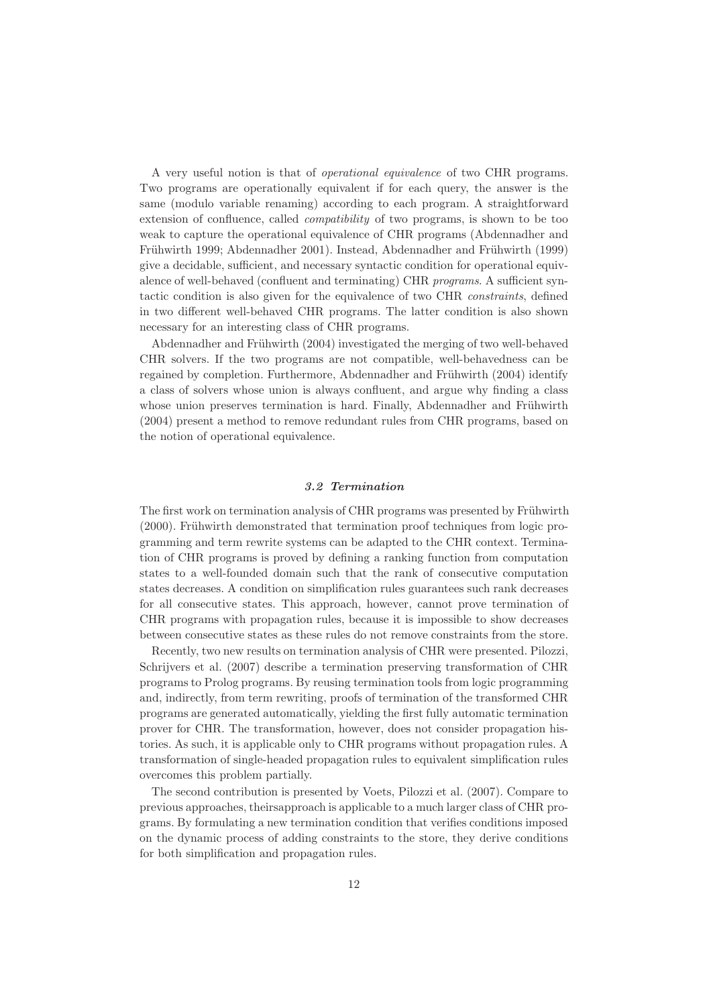A very useful notion is that of operational equivalence of two CHR programs. Two programs are operationally equivalent if for each query, the answer is the same (modulo variable renaming) according to each program. A straightforward extension of confluence, called compatibility of two programs, is shown to be too weak to capture the operational equivalence of CHR programs (Abdennadher and Frühwirth 1999; Abdennadher 2001). Instead, Abdennadher and Frühwirth (1999) give a decidable, sufficient, and necessary syntactic condition for operational equivalence of well-behaved (confluent and terminating) CHR programs. A sufficient syntactic condition is also given for the equivalence of two CHR constraints, defined in two different well-behaved CHR programs. The latter condition is also shown necessary for an interesting class of CHR programs.

Abdennadher and Frühwirth (2004) investigated the merging of two well-behaved CHR solvers. If the two programs are not compatible, well-behavedness can be regained by completion. Furthermore, Abdennadher and Frühwirth (2004) identify a class of solvers whose union is always confluent, and argue why finding a class whose union preserves termination is hard. Finally, Abdennadher and Frühwirth (2004) present a method to remove redundant rules from CHR programs, based on the notion of operational equivalence.

## 3.2 Termination

The first work on termination analysis of CHR programs was presented by Frühwirth  $(2000)$ . Frühwirth demonstrated that termination proof techniques from logic programming and term rewrite systems can be adapted to the CHR context. Termination of CHR programs is proved by defining a ranking function from computation states to a well-founded domain such that the rank of consecutive computation states decreases. A condition on simplification rules guarantees such rank decreases for all consecutive states. This approach, however, cannot prove termination of CHR programs with propagation rules, because it is impossible to show decreases between consecutive states as these rules do not remove constraints from the store.

Recently, two new results on termination analysis of CHR were presented. Pilozzi, Schrijvers et al. (2007) describe a termination preserving transformation of CHR programs to Prolog programs. By reusing termination tools from logic programming and, indirectly, from term rewriting, proofs of termination of the transformed CHR programs are generated automatically, yielding the first fully automatic termination prover for CHR. The transformation, however, does not consider propagation histories. As such, it is applicable only to CHR programs without propagation rules. A transformation of single-headed propagation rules to equivalent simplification rules overcomes this problem partially.

The second contribution is presented by Voets, Pilozzi et al. (2007). Compare to previous approaches, theirsapproach is applicable to a much larger class of CHR programs. By formulating a new termination condition that verifies conditions imposed on the dynamic process of adding constraints to the store, they derive conditions for both simplification and propagation rules.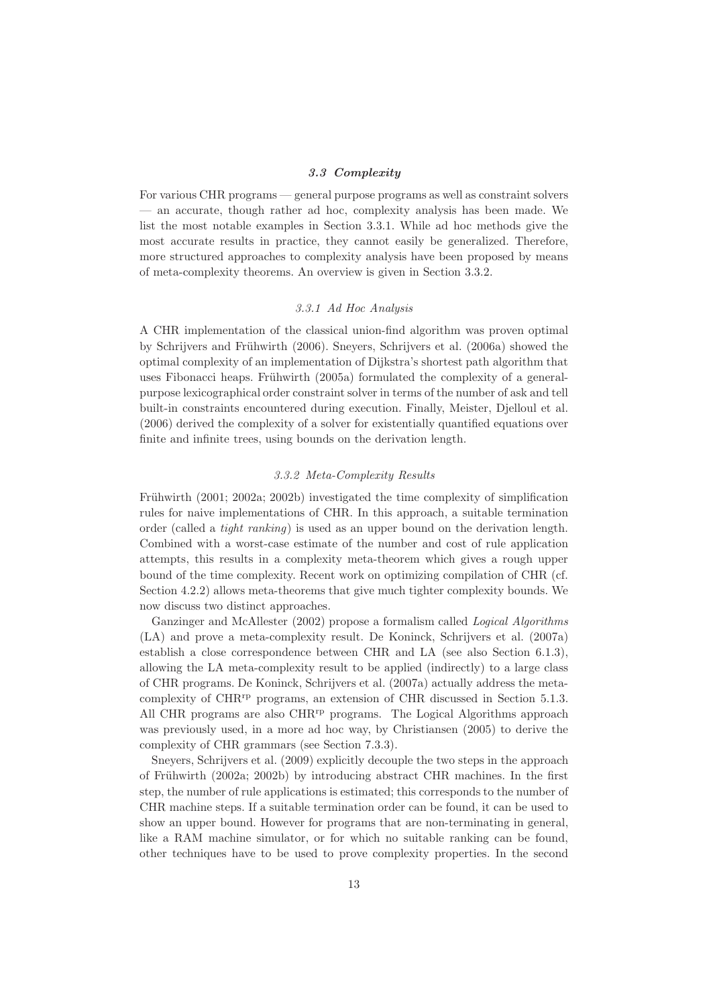## 3.3 Complexity

For various CHR programs — general purpose programs as well as constraint solvers — an accurate, though rather ad hoc, complexity analysis has been made. We list the most notable examples in Section 3.3.1. While ad hoc methods give the most accurate results in practice, they cannot easily be generalized. Therefore, more structured approaches to complexity analysis have been proposed by means of meta-complexity theorems. An overview is given in Section 3.3.2.

# 3.3.1 Ad Hoc Analysis

A CHR implementation of the classical union-find algorithm was proven optimal by Schrijvers and Frühwirth (2006). Sneyers, Schrijvers et al. (2006a) showed the optimal complexity of an implementation of Dijkstra's shortest path algorithm that uses Fibonacci heaps. Frühwirth  $(2005a)$  formulated the complexity of a generalpurpose lexicographical order constraint solver in terms of the number of ask and tell built-in constraints encountered during execution. Finally, Meister, Djelloul et al. (2006) derived the complexity of a solver for existentially quantified equations over finite and infinite trees, using bounds on the derivation length.

## 3.3.2 Meta-Complexity Results

Frühwirth  $(2001; 2002a; 2002b)$  investigated the time complexity of simplification rules for naive implementations of CHR. In this approach, a suitable termination order (called a tight ranking) is used as an upper bound on the derivation length. Combined with a worst-case estimate of the number and cost of rule application attempts, this results in a complexity meta-theorem which gives a rough upper bound of the time complexity. Recent work on optimizing compilation of CHR (cf. Section 4.2.2) allows meta-theorems that give much tighter complexity bounds. We now discuss two distinct approaches.

Ganzinger and McAllester (2002) propose a formalism called Logical Algorithms (LA) and prove a meta-complexity result. De Koninck, Schrijvers et al. (2007a) establish a close correspondence between CHR and LA (see also Section 6.1.3), allowing the LA meta-complexity result to be applied (indirectly) to a large class of CHR programs. De Koninck, Schrijvers et al. (2007a) actually address the metacomplexity of CHR<sup>rp</sup> programs, an extension of CHR discussed in Section 5.1.3. All CHR programs are also CHR<sup>rp</sup> programs. The Logical Algorithms approach was previously used, in a more ad hoc way, by Christiansen (2005) to derive the complexity of CHR grammars (see Section 7.3.3).

Sneyers, Schrijvers et al. (2009) explicitly decouple the two steps in the approach of Frühwirth (2002a; 2002b) by introducing abstract CHR machines. In the first step, the number of rule applications is estimated; this corresponds to the number of CHR machine steps. If a suitable termination order can be found, it can be used to show an upper bound. However for programs that are non-terminating in general, like a RAM machine simulator, or for which no suitable ranking can be found, other techniques have to be used to prove complexity properties. In the second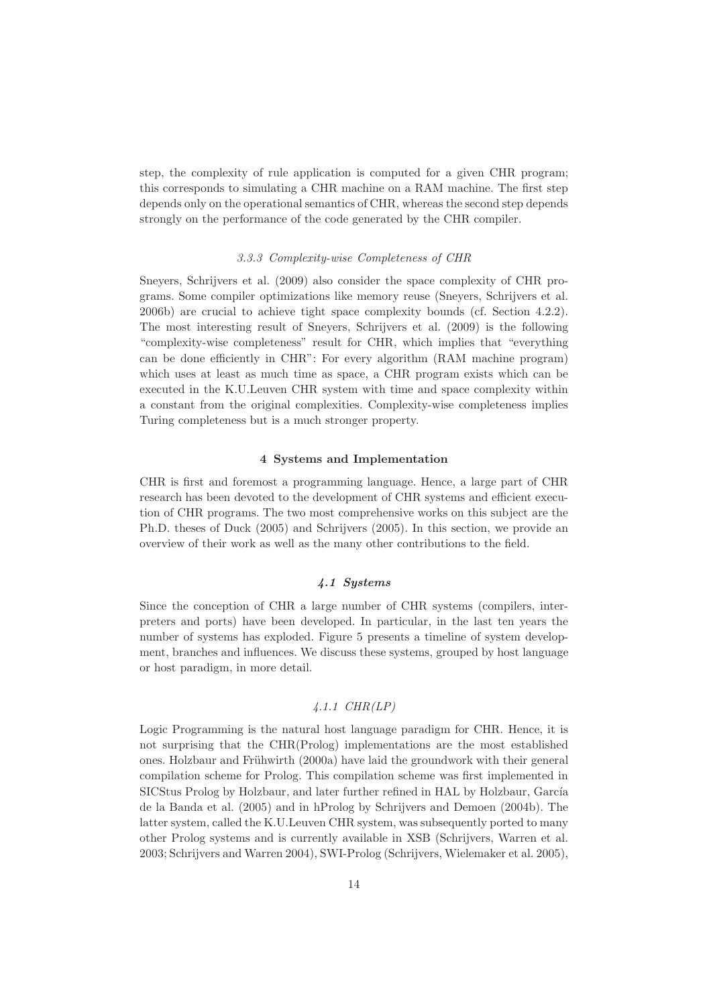step, the complexity of rule application is computed for a given CHR program; this corresponds to simulating a CHR machine on a RAM machine. The first step depends only on the operational semantics of CHR, whereas the second step depends strongly on the performance of the code generated by the CHR compiler.

#### 3.3.3 Complexity-wise Completeness of CHR

Sneyers, Schrijvers et al. (2009) also consider the space complexity of CHR programs. Some compiler optimizations like memory reuse (Sneyers, Schrijvers et al. 2006b) are crucial to achieve tight space complexity bounds (cf. Section 4.2.2). The most interesting result of Sneyers, Schrijvers et al. (2009) is the following "complexity-wise completeness" result for CHR, which implies that "everything can be done efficiently in CHR": For every algorithm (RAM machine program) which uses at least as much time as space, a CHR program exists which can be executed in the K.U.Leuven CHR system with time and space complexity within a constant from the original complexities. Complexity-wise completeness implies Turing completeness but is a much stronger property.

## 4 Systems and Implementation

CHR is first and foremost a programming language. Hence, a large part of CHR research has been devoted to the development of CHR systems and efficient execution of CHR programs. The two most comprehensive works on this subject are the Ph.D. theses of Duck (2005) and Schrijvers (2005). In this section, we provide an overview of their work as well as the many other contributions to the field.

# 4.1 Systems

Since the conception of CHR a large number of CHR systems (compilers, interpreters and ports) have been developed. In particular, in the last ten years the number of systems has exploded. Figure 5 presents a timeline of system development, branches and influences. We discuss these systems, grouped by host language or host paradigm, in more detail.

# 4.1.1 CHR(LP)

Logic Programming is the natural host language paradigm for CHR. Hence, it is not surprising that the CHR(Prolog) implementations are the most established ones. Holzbaur and Frühwirth (2000a) have laid the groundwork with their general compilation scheme for Prolog. This compilation scheme was first implemented in SICStus Prolog by Holzbaur, and later further refined in HAL by Holzbaur, García de la Banda et al. (2005) and in hProlog by Schrijvers and Demoen (2004b). The latter system, called the K.U.Leuven CHR system, was subsequently ported to many other Prolog systems and is currently available in XSB (Schrijvers, Warren et al. 2003; Schrijvers and Warren 2004), SWI-Prolog (Schrijvers, Wielemaker et al. 2005),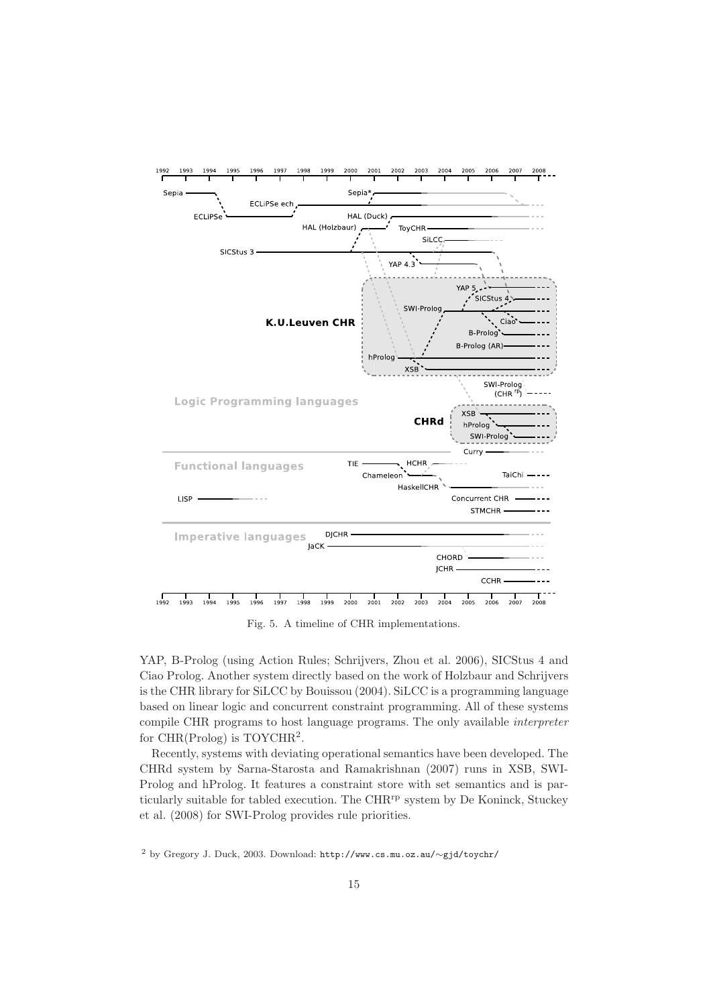

Fig. 5. A timeline of CHR implementations.

YAP, B-Prolog (using Action Rules; Schrijvers, Zhou et al. 2006), SICStus 4 and Ciao Prolog. Another system directly based on the work of Holzbaur and Schrijvers is the CHR library for SiLCC by Bouissou (2004). SiLCC is a programming language based on linear logic and concurrent constraint programming. All of these systems compile CHR programs to host language programs. The only available interpreter for CHR(Prolog) is TOYCHR<sup>2</sup> .

Recently, systems with deviating operational semantics have been developed. The CHRd system by Sarna-Starosta and Ramakrishnan (2007) runs in XSB, SWI-Prolog and hProlog. It features a constraint store with set semantics and is particularly suitable for tabled execution. The  $\rm CHR^{rp}$  system by De Koninck, Stuckey et al. (2008) for SWI-Prolog provides rule priorities.

<sup>2</sup> by Gregory J. Duck, 2003. Download: http://www.cs.mu.oz.au/∼gjd/toychr/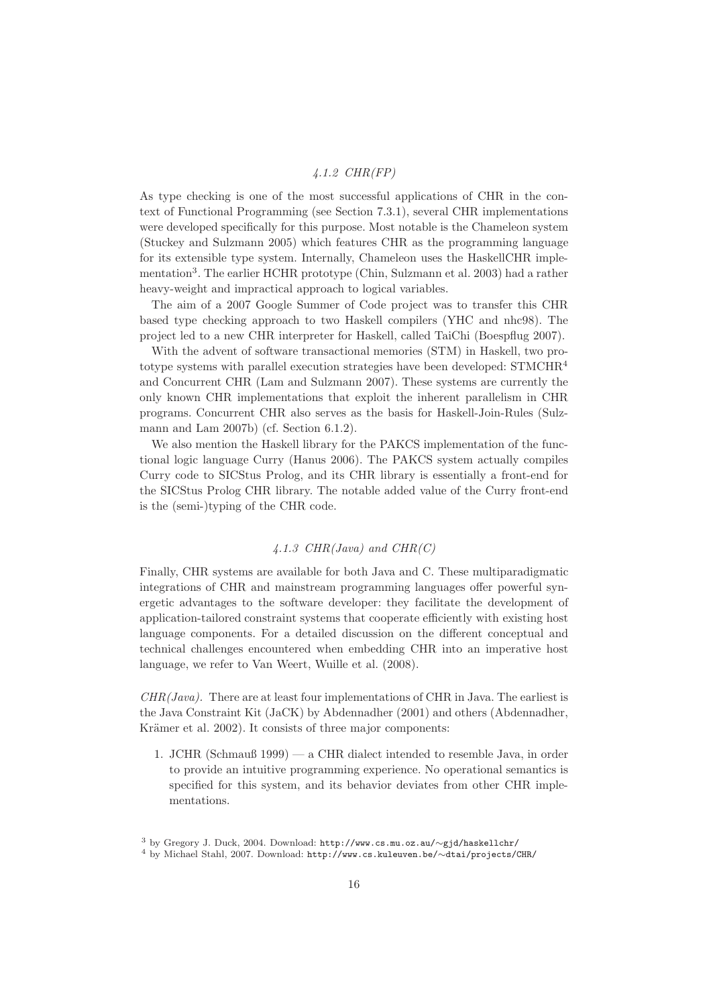# 4.1.2 CHR(FP)

As type checking is one of the most successful applications of CHR in the context of Functional Programming (see Section 7.3.1), several CHR implementations were developed specifically for this purpose. Most notable is the Chameleon system (Stuckey and Sulzmann 2005) which features CHR as the programming language for its extensible type system. Internally, Chameleon uses the HaskellCHR implementation<sup>3</sup>. The earlier HCHR prototype (Chin, Sulzmann et al. 2003) had a rather heavy-weight and impractical approach to logical variables.

The aim of a 2007 Google Summer of Code project was to transfer this CHR based type checking approach to two Haskell compilers (YHC and nhc98). The project led to a new CHR interpreter for Haskell, called TaiChi (Boespflug 2007).

With the advent of software transactional memories (STM) in Haskell, two prototype systems with parallel execution strategies have been developed: STMCHR<sup>4</sup> and Concurrent CHR (Lam and Sulzmann 2007). These systems are currently the only known CHR implementations that exploit the inherent parallelism in CHR programs. Concurrent CHR also serves as the basis for Haskell-Join-Rules (Sulzmann and Lam 2007b) (cf. Section 6.1.2).

We also mention the Haskell library for the PAKCS implementation of the functional logic language Curry (Hanus 2006). The PAKCS system actually compiles Curry code to SICStus Prolog, and its CHR library is essentially a front-end for the SICStus Prolog CHR library. The notable added value of the Curry front-end is the (semi-)typing of the CHR code.

# $4.1.3 \text{ } CHR (Java) \text{ and } CHR (C)$

Finally, CHR systems are available for both Java and C. These multiparadigmatic integrations of CHR and mainstream programming languages offer powerful synergetic advantages to the software developer: they facilitate the development of application-tailored constraint systems that cooperate efficiently with existing host language components. For a detailed discussion on the different conceptual and technical challenges encountered when embedding CHR into an imperative host language, we refer to Van Weert, Wuille et al. (2008).

 $CHR(Java)$ . There are at least four implementations of CHR in Java. The earliest is the Java Constraint Kit (JaCK) by Abdennadher (2001) and others (Abdennadher, Krämer et al. 2002). It consists of three major components:

1. JCHR (Schmauß 1999) — a CHR dialect intended to resemble Java, in order to provide an intuitive programming experience. No operational semantics is specified for this system, and its behavior deviates from other CHR implementations.

<sup>3</sup> by Gregory J. Duck, 2004. Download: http://www.cs.mu.oz.au/∼gjd/haskellchr/

<sup>4</sup> by Michael Stahl, 2007. Download: http://www.cs.kuleuven.be/∼dtai/projects/CHR/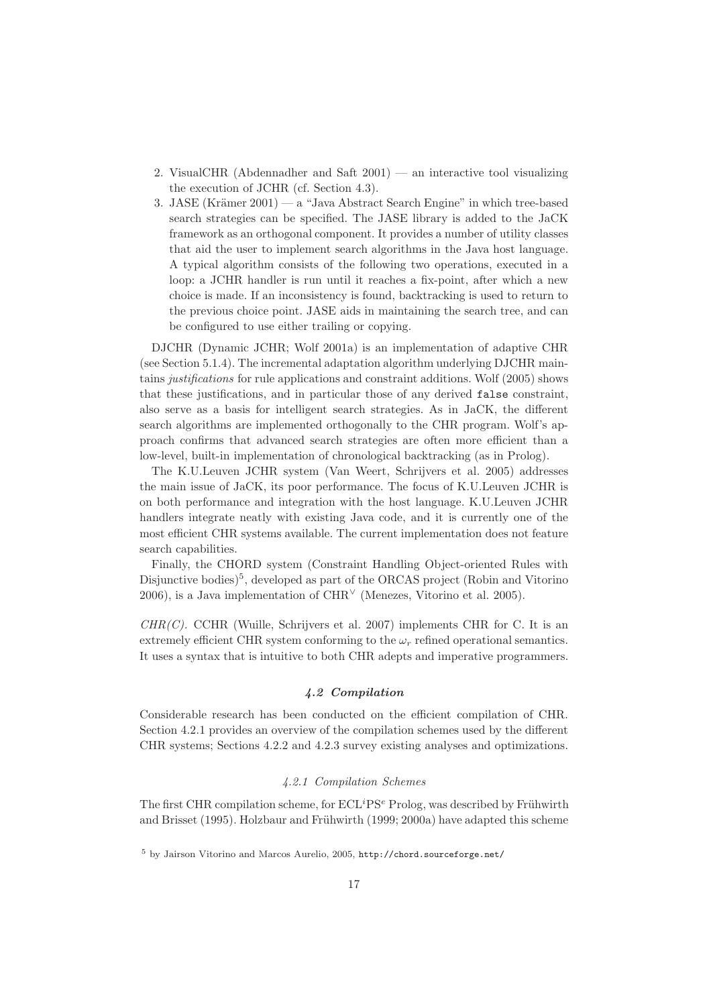- 2. VisualCHR (Abdennadher and Saft  $2001$ ) an interactive tool visualizing the execution of JCHR (cf. Section 4.3).
- 3. JASE (Krämer 2001) a "Java Abstract Search Engine" in which tree-based search strategies can be specified. The JASE library is added to the JaCK framework as an orthogonal component. It provides a number of utility classes that aid the user to implement search algorithms in the Java host language. A typical algorithm consists of the following two operations, executed in a loop: a JCHR handler is run until it reaches a fix-point, after which a new choice is made. If an inconsistency is found, backtracking is used to return to the previous choice point. JASE aids in maintaining the search tree, and can be configured to use either trailing or copying.

DJCHR (Dynamic JCHR; Wolf 2001a) is an implementation of adaptive CHR (see Section 5.1.4). The incremental adaptation algorithm underlying DJCHR maintains justifications for rule applications and constraint additions. Wolf (2005) shows that these justifications, and in particular those of any derived false constraint, also serve as a basis for intelligent search strategies. As in JaCK, the different search algorithms are implemented orthogonally to the CHR program. Wolf's approach confirms that advanced search strategies are often more efficient than a low-level, built-in implementation of chronological backtracking (as in Prolog).

The K.U.Leuven JCHR system (Van Weert, Schrijvers et al. 2005) addresses the main issue of JaCK, its poor performance. The focus of K.U.Leuven JCHR is on both performance and integration with the host language. K.U.Leuven JCHR handlers integrate neatly with existing Java code, and it is currently one of the most efficient CHR systems available. The current implementation does not feature search capabilities.

Finally, the CHORD system (Constraint Handling Object-oriented Rules with Disjunctive bodies)<sup>5</sup>, developed as part of the ORCAS project (Robin and Vitorino 2006), is a Java implementation of  $CHR<sup>V</sup>$  (Menezes, Vitorino et al. 2005).

 $CHR(C)$ . CCHR (Wuille, Schrijvers et al. 2007) implements CHR for C. It is an extremely efficient CHR system conforming to the  $\omega_r$  refined operational semantics. It uses a syntax that is intuitive to both CHR adepts and imperative programmers.

## 4.2 Compilation

Considerable research has been conducted on the efficient compilation of CHR. Section 4.2.1 provides an overview of the compilation schemes used by the different CHR systems; Sections 4.2.2 and 4.2.3 survey existing analyses and optimizations.

# 4.2.1 Compilation Schemes

The first CHR compilation scheme, for  $ECL^{i}PS^{e}$  Prolog, was described by Frühwirth and Brisset (1995). Holzbaur and Frühwirth (1999; 2000a) have adapted this scheme

<sup>5</sup> by Jairson Vitorino and Marcos Aurelio, 2005, http://chord.sourceforge.net/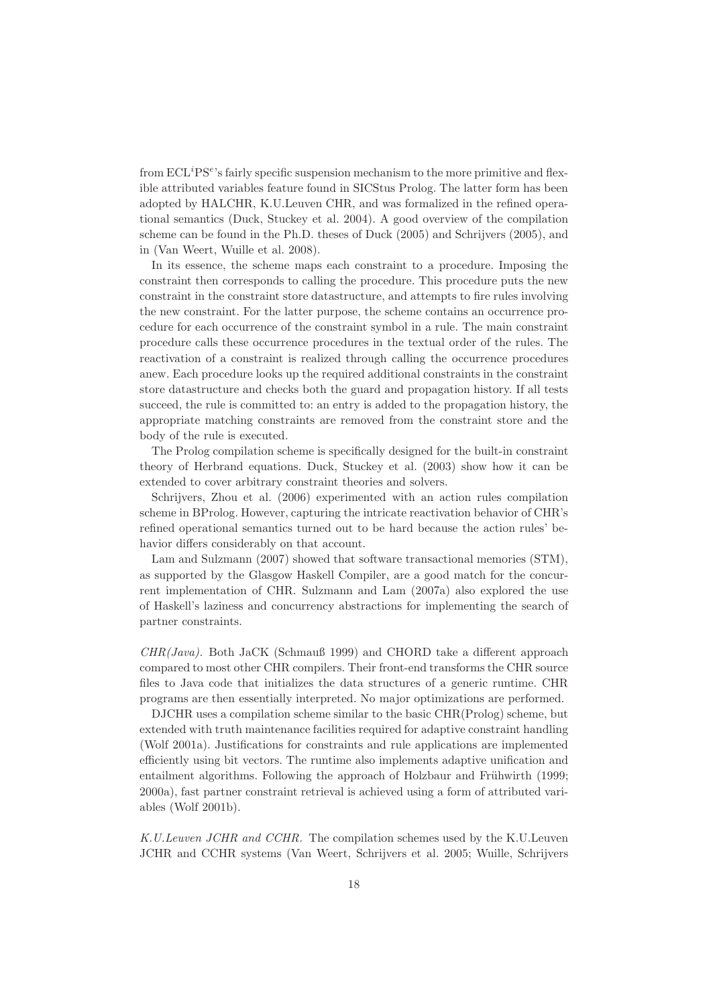from  $\mathrm{ECL}^i\mathrm{PS}^e$ 's fairly specific suspension mechanism to the more primitive and flexible attributed variables feature found in SICStus Prolog. The latter form has been adopted by HALCHR, K.U.Leuven CHR, and was formalized in the refined operational semantics (Duck, Stuckey et al. 2004). A good overview of the compilation scheme can be found in the Ph.D. theses of Duck (2005) and Schrijvers (2005), and in (Van Weert, Wuille et al. 2008).

In its essence, the scheme maps each constraint to a procedure. Imposing the constraint then corresponds to calling the procedure. This procedure puts the new constraint in the constraint store datastructure, and attempts to fire rules involving the new constraint. For the latter purpose, the scheme contains an occurrence procedure for each occurrence of the constraint symbol in a rule. The main constraint procedure calls these occurrence procedures in the textual order of the rules. The reactivation of a constraint is realized through calling the occurrence procedures anew. Each procedure looks up the required additional constraints in the constraint store datastructure and checks both the guard and propagation history. If all tests succeed, the rule is committed to: an entry is added to the propagation history, the appropriate matching constraints are removed from the constraint store and the body of the rule is executed.

The Prolog compilation scheme is specifically designed for the built-in constraint theory of Herbrand equations. Duck, Stuckey et al. (2003) show how it can be extended to cover arbitrary constraint theories and solvers.

Schrijvers, Zhou et al. (2006) experimented with an action rules compilation scheme in BProlog. However, capturing the intricate reactivation behavior of CHR's refined operational semantics turned out to be hard because the action rules' behavior differs considerably on that account.

Lam and Sulzmann (2007) showed that software transactional memories (STM), as supported by the Glasgow Haskell Compiler, are a good match for the concurrent implementation of CHR. Sulzmann and Lam (2007a) also explored the use of Haskell's laziness and concurrency abstractions for implementing the search of partner constraints.

CHR(Java). Both JaCK (Schmauß 1999) and CHORD take a different approach compared to most other CHR compilers. Their front-end transforms the CHR source files to Java code that initializes the data structures of a generic runtime. CHR programs are then essentially interpreted. No major optimizations are performed.

DJCHR uses a compilation scheme similar to the basic CHR(Prolog) scheme, but extended with truth maintenance facilities required for adaptive constraint handling (Wolf 2001a). Justifications for constraints and rule applications are implemented efficiently using bit vectors. The runtime also implements adaptive unification and entailment algorithms. Following the approach of Holzbaur and Frühwirth (1999; 2000a), fast partner constraint retrieval is achieved using a form of attributed variables (Wolf 2001b).

K.U.Leuven JCHR and CCHR. The compilation schemes used by the K.U.Leuven JCHR and CCHR systems (Van Weert, Schrijvers et al. 2005; Wuille, Schrijvers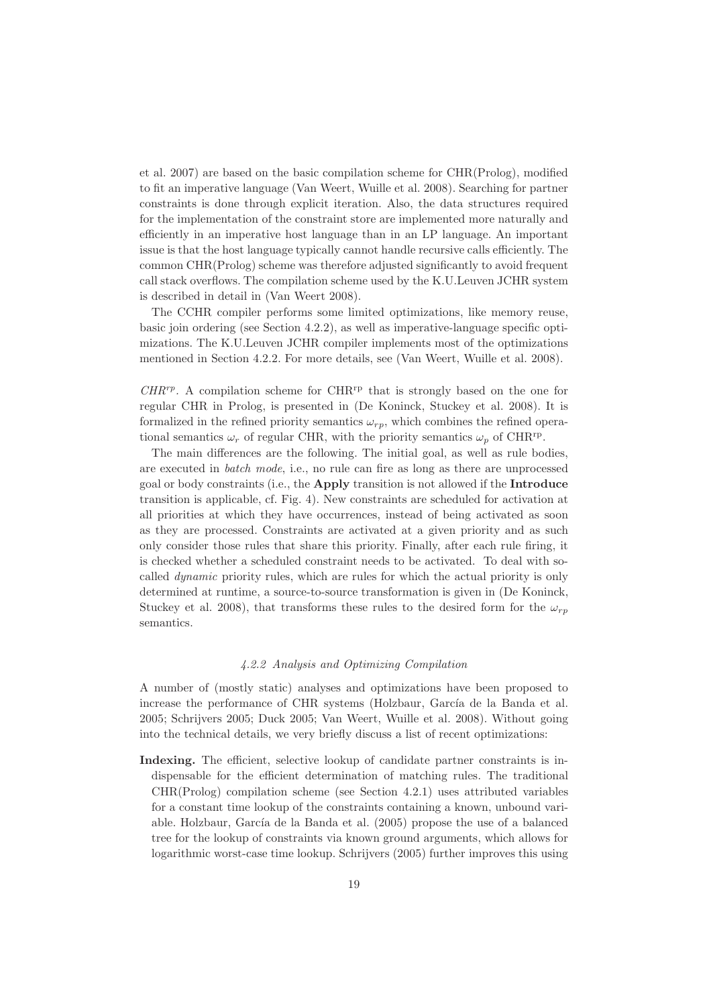et al. 2007) are based on the basic compilation scheme for CHR(Prolog), modified to fit an imperative language (Van Weert, Wuille et al. 2008). Searching for partner constraints is done through explicit iteration. Also, the data structures required for the implementation of the constraint store are implemented more naturally and efficiently in an imperative host language than in an LP language. An important issue is that the host language typically cannot handle recursive calls efficiently. The common CHR(Prolog) scheme was therefore adjusted significantly to avoid frequent call stack overflows. The compilation scheme used by the K.U.Leuven JCHR system is described in detail in (Van Weert 2008).

The CCHR compiler performs some limited optimizations, like memory reuse, basic join ordering (see Section 4.2.2), as well as imperative-language specific optimizations. The K.U.Leuven JCHR compiler implements most of the optimizations mentioned in Section 4.2.2. For more details, see (Van Weert, Wuille et al. 2008).

 $CHR^{rp}$ . A compilation scheme for  $CHR^{rp}$  that is strongly based on the one for regular CHR in Prolog, is presented in (De Koninck, Stuckey et al. 2008). It is formalized in the refined priority semantics  $\omega_{rp}$ , which combines the refined operational semantics  $\omega_r$  of regular CHR, with the priority semantics  $\omega_p$  of CHR<sup>rp</sup>.

The main differences are the following. The initial goal, as well as rule bodies, are executed in batch mode, i.e., no rule can fire as long as there are unprocessed goal or body constraints (i.e., the Apply transition is not allowed if the Introduce transition is applicable, cf. Fig. 4). New constraints are scheduled for activation at all priorities at which they have occurrences, instead of being activated as soon as they are processed. Constraints are activated at a given priority and as such only consider those rules that share this priority. Finally, after each rule firing, it is checked whether a scheduled constraint needs to be activated. To deal with socalled dynamic priority rules, which are rules for which the actual priority is only determined at runtime, a source-to-source transformation is given in (De Koninck, Stuckey et al. 2008), that transforms these rules to the desired form for the  $\omega_{rp}$ semantics.

## 4.2.2 Analysis and Optimizing Compilation

A number of (mostly static) analyses and optimizations have been proposed to increase the performance of CHR systems (Holzbaur, García de la Banda et al. 2005; Schrijvers 2005; Duck 2005; Van Weert, Wuille et al. 2008). Without going into the technical details, we very briefly discuss a list of recent optimizations:

Indexing. The efficient, selective lookup of candidate partner constraints is indispensable for the efficient determination of matching rules. The traditional CHR(Prolog) compilation scheme (see Section 4.2.1) uses attributed variables for a constant time lookup of the constraints containing a known, unbound variable. Holzbaur, García de la Banda et al. (2005) propose the use of a balanced tree for the lookup of constraints via known ground arguments, which allows for logarithmic worst-case time lookup. Schrijvers (2005) further improves this using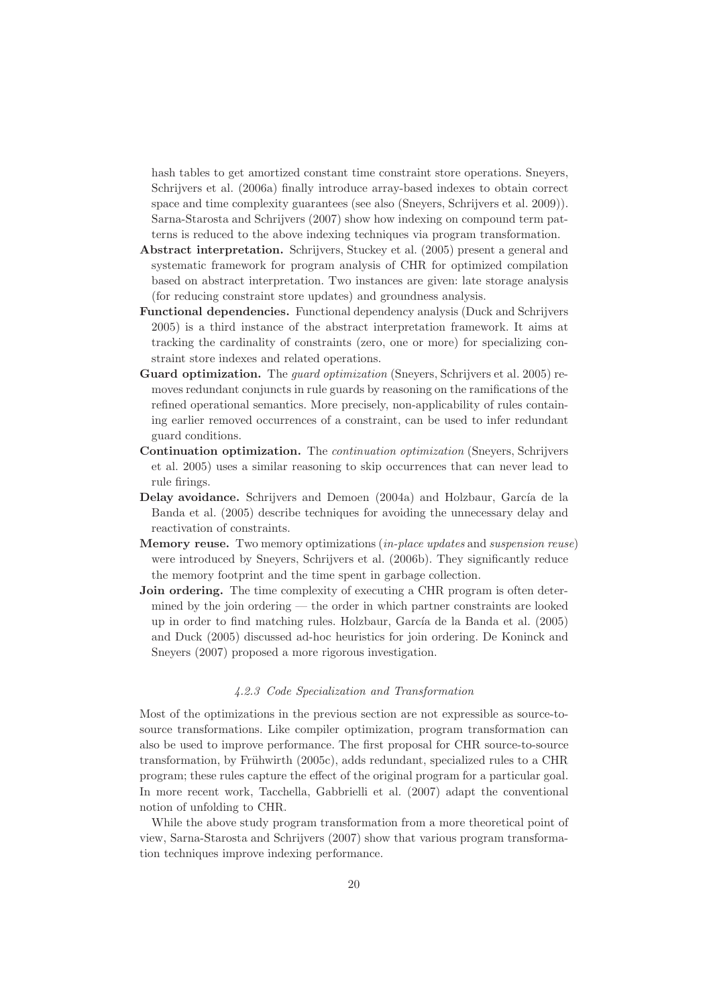hash tables to get amortized constant time constraint store operations. Sneyers, Schrijvers et al. (2006a) finally introduce array-based indexes to obtain correct space and time complexity guarantees (see also (Sneyers, Schrijvers et al. 2009)). Sarna-Starosta and Schrijvers (2007) show how indexing on compound term patterns is reduced to the above indexing techniques via program transformation.

- Abstract interpretation. Schrijvers, Stuckey et al. (2005) present a general and systematic framework for program analysis of CHR for optimized compilation based on abstract interpretation. Two instances are given: late storage analysis (for reducing constraint store updates) and groundness analysis.
- Functional dependencies. Functional dependency analysis (Duck and Schrijvers 2005) is a third instance of the abstract interpretation framework. It aims at tracking the cardinality of constraints (zero, one or more) for specializing constraint store indexes and related operations.
- Guard optimization. The *quard optimization* (Sneyers, Schrijvers et al. 2005) removes redundant conjuncts in rule guards by reasoning on the ramifications of the refined operational semantics. More precisely, non-applicability of rules containing earlier removed occurrences of a constraint, can be used to infer redundant guard conditions.
- Continuation optimization. The continuation optimization (Sneyers, Schrijvers et al. 2005) uses a similar reasoning to skip occurrences that can never lead to rule firings.
- Delay avoidance. Schrijvers and Demoen (2004a) and Holzbaur, García de la Banda et al. (2005) describe techniques for avoiding the unnecessary delay and reactivation of constraints.
- Memory reuse. Two memory optimizations (in-place updates and suspension reuse) were introduced by Sneyers, Schrijvers et al. (2006b). They significantly reduce the memory footprint and the time spent in garbage collection.
- Join ordering. The time complexity of executing a CHR program is often determined by the join ordering — the order in which partner constraints are looked up in order to find matching rules. Holzbaur, García de la Banda et al. (2005) and Duck (2005) discussed ad-hoc heuristics for join ordering. De Koninck and Sneyers (2007) proposed a more rigorous investigation.

## 4.2.3 Code Specialization and Transformation

Most of the optimizations in the previous section are not expressible as source-tosource transformations. Like compiler optimization, program transformation can also be used to improve performance. The first proposal for CHR source-to-source transformation, by Frühwirth  $(2005c)$ , adds redundant, specialized rules to a CHR program; these rules capture the effect of the original program for a particular goal. In more recent work, Tacchella, Gabbrielli et al. (2007) adapt the conventional notion of unfolding to CHR.

While the above study program transformation from a more theoretical point of view, Sarna-Starosta and Schrijvers (2007) show that various program transformation techniques improve indexing performance.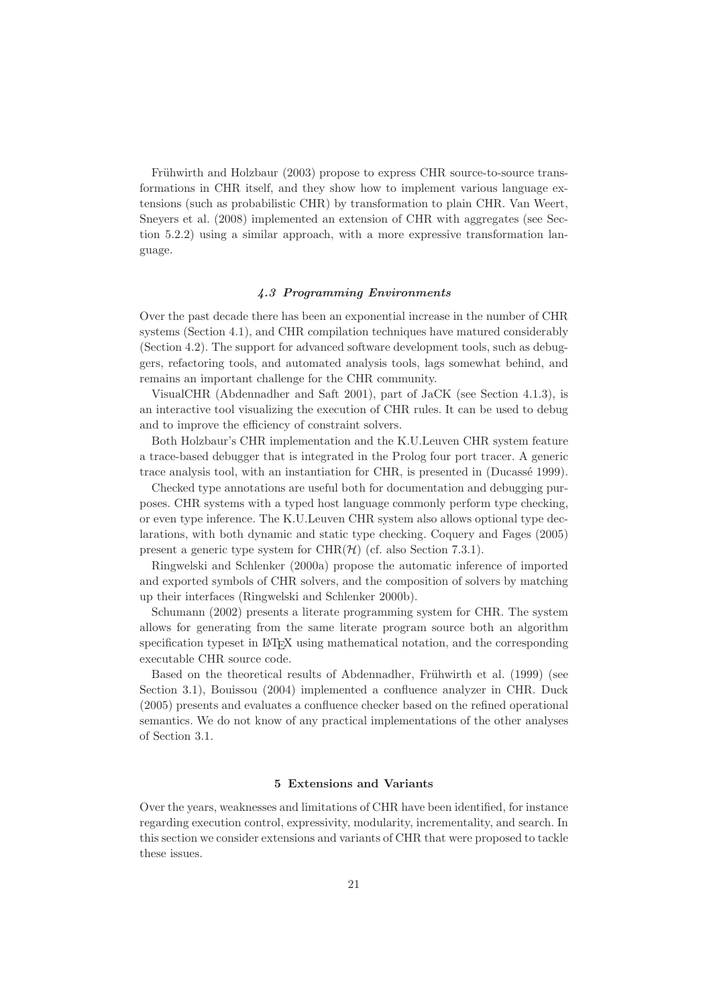Frühwirth and Holzbaur (2003) propose to express CHR source-to-source transformations in CHR itself, and they show how to implement various language extensions (such as probabilistic CHR) by transformation to plain CHR. Van Weert, Sneyers et al. (2008) implemented an extension of CHR with aggregates (see Section 5.2.2) using a similar approach, with a more expressive transformation language.

# 4.3 Programming Environments

Over the past decade there has been an exponential increase in the number of CHR systems (Section 4.1), and CHR compilation techniques have matured considerably (Section 4.2). The support for advanced software development tools, such as debuggers, refactoring tools, and automated analysis tools, lags somewhat behind, and remains an important challenge for the CHR community.

VisualCHR (Abdennadher and Saft 2001), part of JaCK (see Section 4.1.3), is an interactive tool visualizing the execution of CHR rules. It can be used to debug and to improve the efficiency of constraint solvers.

Both Holzbaur's CHR implementation and the K.U.Leuven CHR system feature a trace-based debugger that is integrated in the Prolog four port tracer. A generic trace analysis tool, with an instantiation for CHR, is presented in (Ducassé 1999).

Checked type annotations are useful both for documentation and debugging purposes. CHR systems with a typed host language commonly perform type checking, or even type inference. The K.U.Leuven CHR system also allows optional type declarations, with both dynamic and static type checking. Coquery and Fages (2005) present a generic type system for  $\mathrm{CHR}(\mathcal{H})$  (cf. also Section 7.3.1).

Ringwelski and Schlenker (2000a) propose the automatic inference of imported and exported symbols of CHR solvers, and the composition of solvers by matching up their interfaces (Ringwelski and Schlenker 2000b).

Schumann (2002) presents a literate programming system for CHR. The system allows for generating from the same literate program source both an algorithm specification typeset in LAT<sub>EX</sub> using mathematical notation, and the corresponding executable CHR source code.

Based on the theoretical results of Abdennadher, Frühwirth et al. (1999) (see Section 3.1), Bouissou (2004) implemented a confluence analyzer in CHR. Duck (2005) presents and evaluates a confluence checker based on the refined operational semantics. We do not know of any practical implementations of the other analyses of Section 3.1.

#### 5 Extensions and Variants

Over the years, weaknesses and limitations of CHR have been identified, for instance regarding execution control, expressivity, modularity, incrementality, and search. In this section we consider extensions and variants of CHR that were proposed to tackle these issues.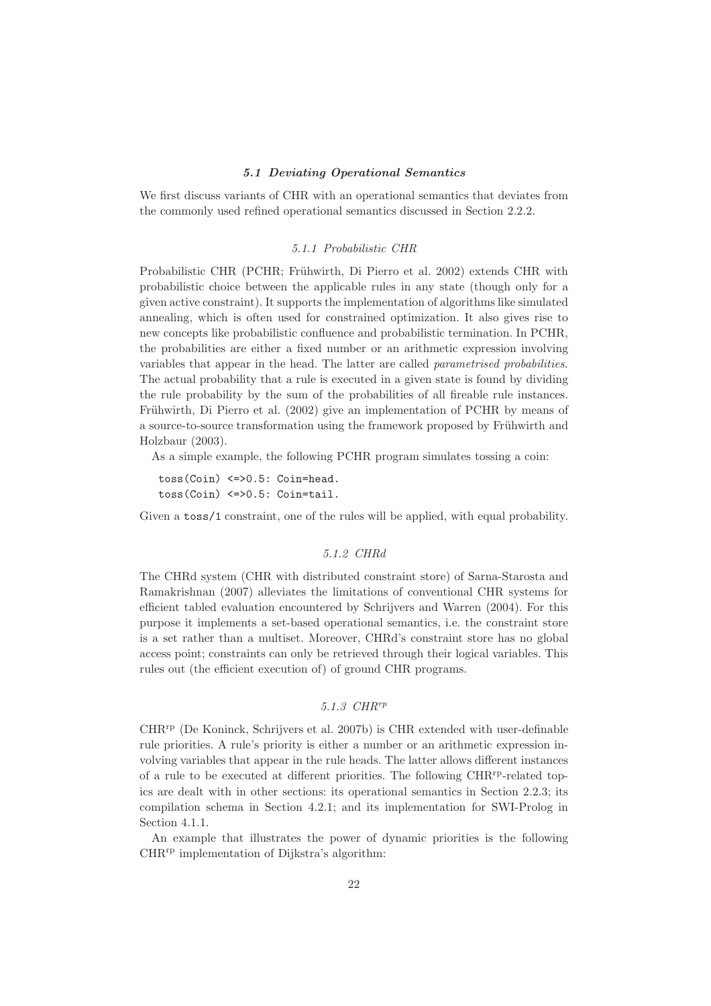### 5.1 Deviating Operational Semantics

We first discuss variants of CHR with an operational semantics that deviates from the commonly used refined operational semantics discussed in Section 2.2.2.

#### 5.1.1 Probabilistic CHR

Probabilistic CHR (PCHR; Frühwirth, Di Pierro et al. 2002) extends CHR with probabilistic choice between the applicable rules in any state (though only for a given active constraint). It supports the implementation of algorithms like simulated annealing, which is often used for constrained optimization. It also gives rise to new concepts like probabilistic confluence and probabilistic termination. In PCHR, the probabilities are either a fixed number or an arithmetic expression involving variables that appear in the head. The latter are called parametrised probabilities. The actual probability that a rule is executed in a given state is found by dividing the rule probability by the sum of the probabilities of all fireable rule instances. Frühwirth, Di Pierro et al. (2002) give an implementation of PCHR by means of a source-to-source transformation using the framework proposed by Frühwirth and Holzbaur (2003).

As a simple example, the following PCHR program simulates tossing a coin:

toss(Coin) <=>0.5: Coin=head. toss(Coin) <=>0.5: Coin=tail.

Given a toss/1 constraint, one of the rules will be applied, with equal probability.

# 5.1.2 CHRd

The CHRd system (CHR with distributed constraint store) of Sarna-Starosta and Ramakrishnan (2007) alleviates the limitations of conventional CHR systems for efficient tabled evaluation encountered by Schrijvers and Warren (2004). For this purpose it implements a set-based operational semantics, i.e. the constraint store is a set rather than a multiset. Moreover, CHRd's constraint store has no global access point; constraints can only be retrieved through their logical variables. This rules out (the efficient execution of) of ground CHR programs.

# 5.1.3 CHRrp

 $CHR<sup>rp</sup>$  (De Koninck, Schrijvers et al. 2007b) is CHR extended with user-definable rule priorities. A rule's priority is either a number or an arithmetic expression involving variables that appear in the rule heads. The latter allows different instances of a rule to be executed at different priorities. The following CHR<sup>rp</sup>-related topics are dealt with in other sections: its operational semantics in Section 2.2.3; its compilation schema in Section 4.2.1; and its implementation for SWI-Prolog in Section 4.1.1.

An example that illustrates the power of dynamic priorities is the following CHRrp implementation of Dijkstra's algorithm: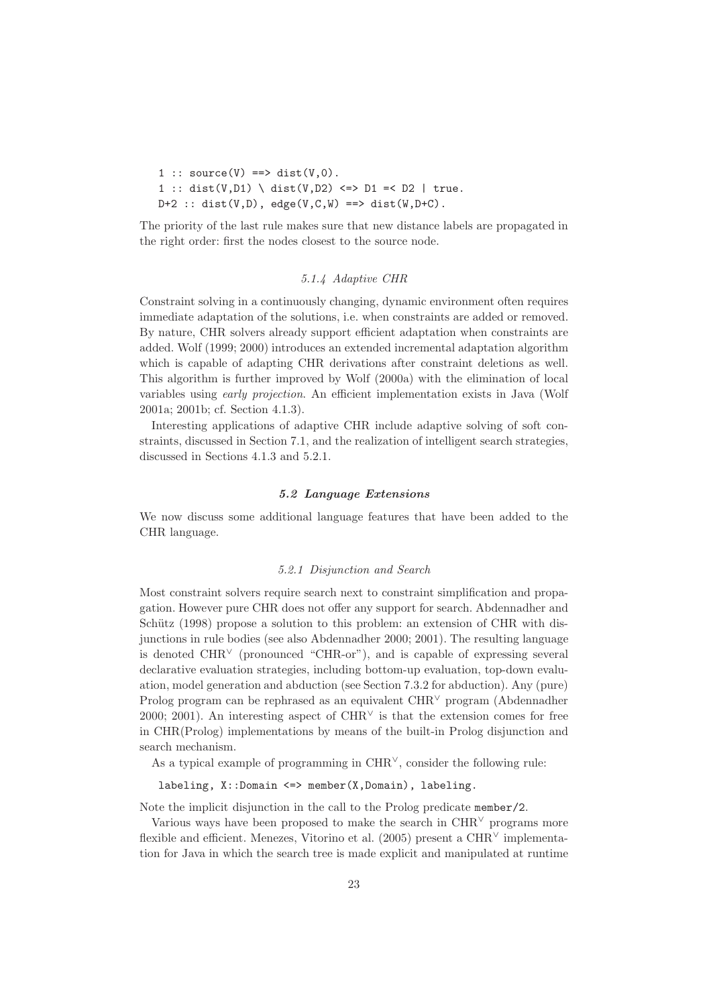1 ::  $source(V) == > dist(V,0)$ . 1 :: dist(V,D1) \ dist(V,D2) <=> D1 =< D2 | true.  $D+2$  :: dist(V,D), edge(V,C,W) ==> dist(W,D+C).

The priority of the last rule makes sure that new distance labels are propagated in the right order: first the nodes closest to the source node.

## 5.1.4 Adaptive CHR

Constraint solving in a continuously changing, dynamic environment often requires immediate adaptation of the solutions, i.e. when constraints are added or removed. By nature, CHR solvers already support efficient adaptation when constraints are added. Wolf (1999; 2000) introduces an extended incremental adaptation algorithm which is capable of adapting CHR derivations after constraint deletions as well. This algorithm is further improved by Wolf (2000a) with the elimination of local variables using early projection. An efficient implementation exists in Java (Wolf 2001a; 2001b; cf. Section 4.1.3).

Interesting applications of adaptive CHR include adaptive solving of soft constraints, discussed in Section 7.1, and the realization of intelligent search strategies, discussed in Sections 4.1.3 and 5.2.1.

#### 5.2 Language Extensions

We now discuss some additional language features that have been added to the CHR language.

#### 5.2.1 Disjunction and Search

Most constraint solvers require search next to constraint simplification and propagation. However pure CHR does not offer any support for search. Abdennadher and Schütz (1998) propose a solution to this problem: an extension of CHR with disjunctions in rule bodies (see also Abdennadher 2000; 2001). The resulting language is denoted  $CHR<sup>V</sup>$  (pronounced "CHR-or"), and is capable of expressing several declarative evaluation strategies, including bottom-up evaluation, top-down evaluation, model generation and abduction (see Section 7.3.2 for abduction). Any (pure) Prolog program can be rephrased as an equivalent CHR<sup>∨</sup> program (Abdennadher 2000; 2001). An interesting aspect of  $CHR<sup>√</sup>$  is that the extension comes for free in CHR(Prolog) implementations by means of the built-in Prolog disjunction and search mechanism.

As a typical example of programming in  $CHR<sup>∨</sup>$ , consider the following rule:

labeling, X::Domain <=> member(X,Domain), labeling.

Note the implicit disjunction in the call to the Prolog predicate member/2.

Various ways have been proposed to make the search in  $\text{CHR}^{\vee}$  programs more flexible and efficient. Menezes, Vitorino et al. (2005) present a  $CHR<sup>∨</sup>$  implementation for Java in which the search tree is made explicit and manipulated at runtime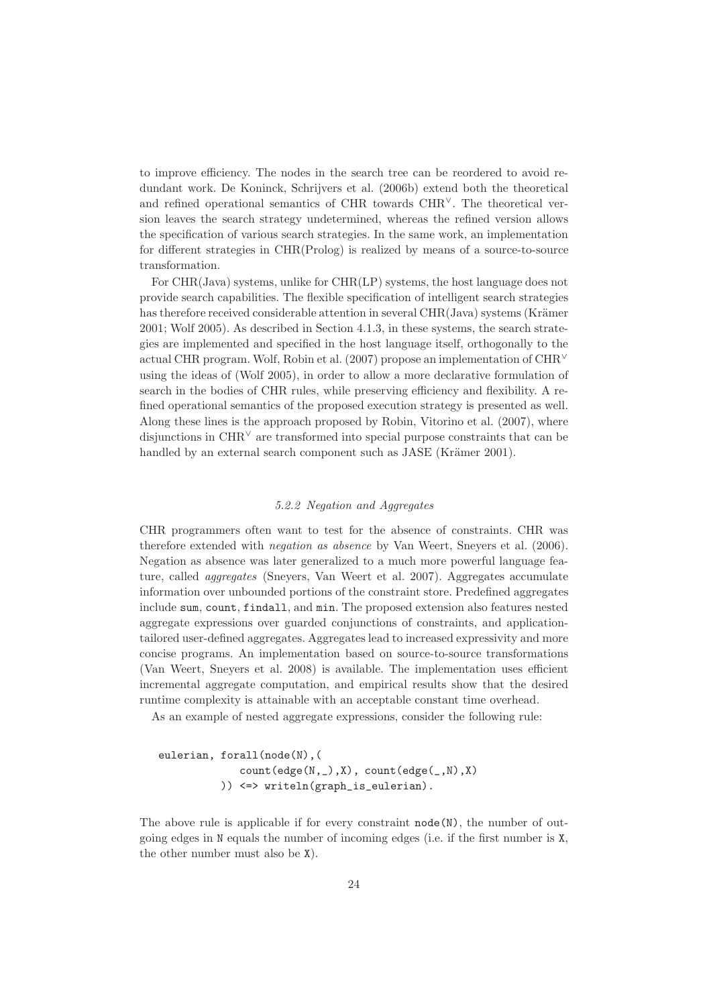to improve efficiency. The nodes in the search tree can be reordered to avoid redundant work. De Koninck, Schrijvers et al. (2006b) extend both the theoretical and refined operational semantics of CHR towards CHR∨. The theoretical version leaves the search strategy undetermined, whereas the refined version allows the specification of various search strategies. In the same work, an implementation for different strategies in CHR(Prolog) is realized by means of a source-to-source transformation.

For CHR(Java) systems, unlike for CHR(LP) systems, the host language does not provide search capabilities. The flexible specification of intelligent search strategies has therefore received considerable attention in several CHR(Java) systems (Krämer 2001; Wolf 2005). As described in Section 4.1.3, in these systems, the search strategies are implemented and specified in the host language itself, orthogonally to the actual CHR program. Wolf, Robin et al. (2007) propose an implementation of CHR<sup>∨</sup> using the ideas of (Wolf 2005), in order to allow a more declarative formulation of search in the bodies of CHR rules, while preserving efficiency and flexibility. A refined operational semantics of the proposed execution strategy is presented as well. Along these lines is the approach proposed by Robin, Vitorino et al. (2007), where disjunctions in CHR<sup>∨</sup> are transformed into special purpose constraints that can be handled by an external search component such as JASE (Krämer 2001).

#### 5.2.2 Negation and Aggregates

CHR programmers often want to test for the absence of constraints. CHR was therefore extended with negation as absence by Van Weert, Sneyers et al. (2006). Negation as absence was later generalized to a much more powerful language feature, called aggregates (Sneyers, Van Weert et al. 2007). Aggregates accumulate information over unbounded portions of the constraint store. Predefined aggregates include sum, count, findall, and min. The proposed extension also features nested aggregate expressions over guarded conjunctions of constraints, and applicationtailored user-defined aggregates. Aggregates lead to increased expressivity and more concise programs. An implementation based on source-to-source transformations (Van Weert, Sneyers et al. 2008) is available. The implementation uses efficient incremental aggregate computation, and empirical results show that the desired runtime complexity is attainable with an acceptable constant time overhead.

As an example of nested aggregate expressions, consider the following rule:

eulerian, forall(node(N),( count(edge(N,\_),X), count(edge(\_,N),X) )) <=> writeln(graph\_is\_eulerian).

The above rule is applicable if for every constraint  $\text{node}(N)$ , the number of outgoing edges in N equals the number of incoming edges (i.e. if the first number is X, the other number must also be X).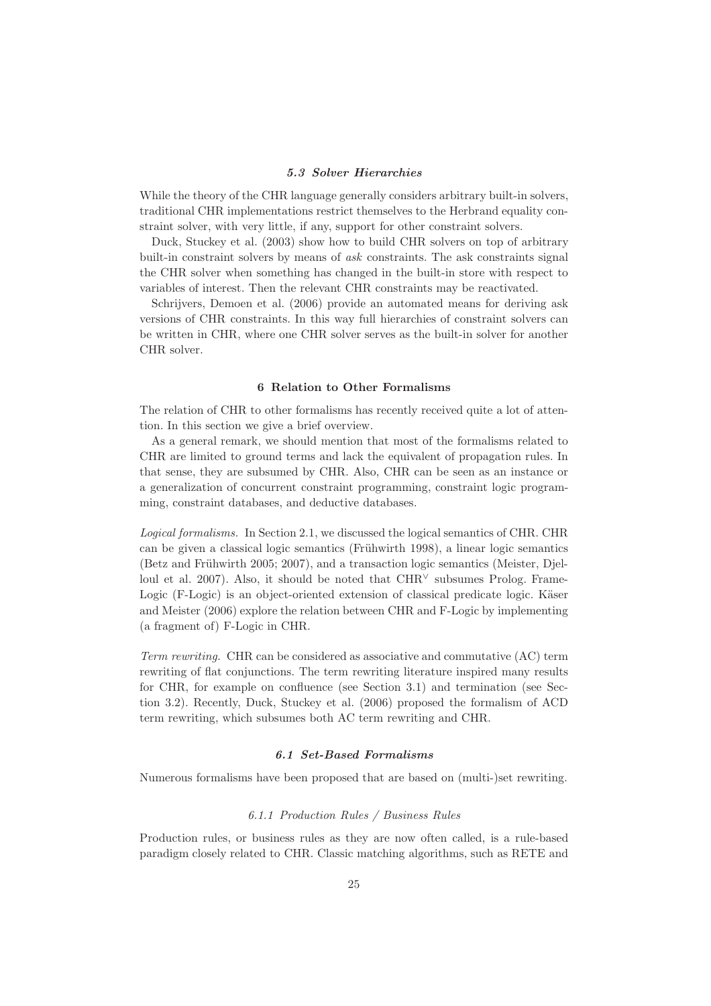#### 5.3 Solver Hierarchies

While the theory of the CHR language generally considers arbitrary built-in solvers, traditional CHR implementations restrict themselves to the Herbrand equality constraint solver, with very little, if any, support for other constraint solvers.

Duck, Stuckey et al. (2003) show how to build CHR solvers on top of arbitrary built-in constraint solvers by means of ask constraints. The ask constraints signal the CHR solver when something has changed in the built-in store with respect to variables of interest. Then the relevant CHR constraints may be reactivated.

Schrijvers, Demoen et al. (2006) provide an automated means for deriving ask versions of CHR constraints. In this way full hierarchies of constraint solvers can be written in CHR, where one CHR solver serves as the built-in solver for another CHR solver.

# 6 Relation to Other Formalisms

The relation of CHR to other formalisms has recently received quite a lot of attention. In this section we give a brief overview.

As a general remark, we should mention that most of the formalisms related to CHR are limited to ground terms and lack the equivalent of propagation rules. In that sense, they are subsumed by CHR. Also, CHR can be seen as an instance or a generalization of concurrent constraint programming, constraint logic programming, constraint databases, and deductive databases.

Logical formalisms. In Section 2.1, we discussed the logical semantics of CHR. CHR can be given a classical logic semantics (Frühwirth 1998), a linear logic semantics (Betz and Frühwirth 2005; 2007), and a transaction logic semantics (Meister, Djelloul et al. 2007). Also, it should be noted that  $CHR<sup>∨</sup>$  subsumes Prolog. Frame-Logic (F-Logic) is an object-oriented extension of classical predicate logic. Käser and Meister (2006) explore the relation between CHR and F-Logic by implementing (a fragment of) F-Logic in CHR.

Term rewriting. CHR can be considered as associative and commutative (AC) term rewriting of flat conjunctions. The term rewriting literature inspired many results for CHR, for example on confluence (see Section 3.1) and termination (see Section 3.2). Recently, Duck, Stuckey et al. (2006) proposed the formalism of ACD term rewriting, which subsumes both AC term rewriting and CHR.

# 6.1 Set-Based Formalisms

Numerous formalisms have been proposed that are based on (multi-)set rewriting.

## 6.1.1 Production Rules / Business Rules

Production rules, or business rules as they are now often called, is a rule-based paradigm closely related to CHR. Classic matching algorithms, such as RETE and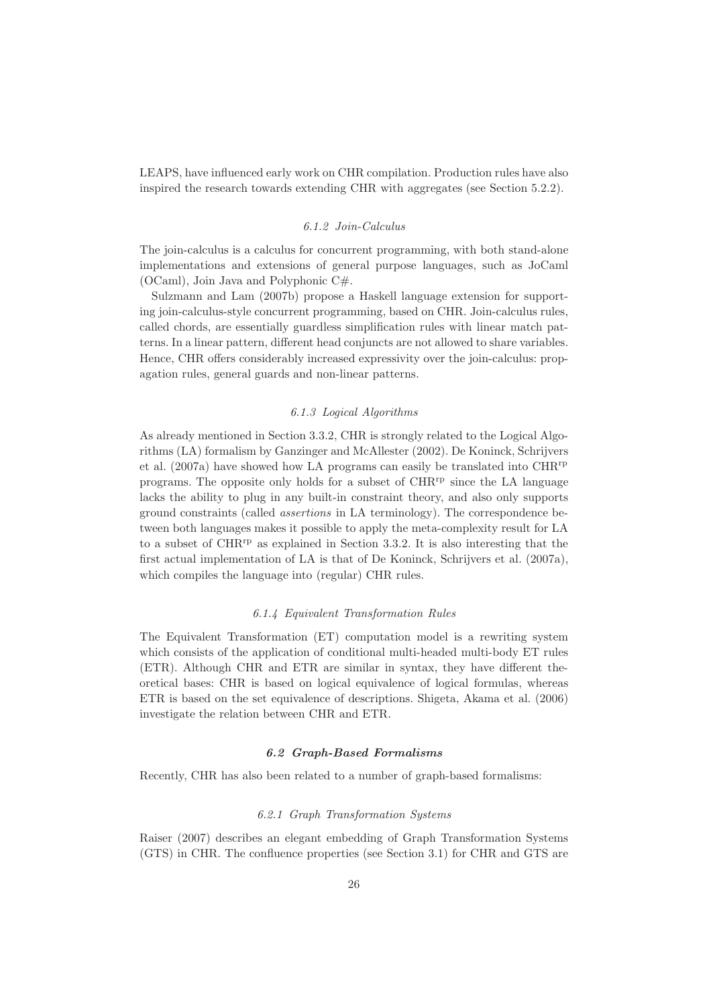LEAPS, have influenced early work on CHR compilation. Production rules have also inspired the research towards extending CHR with aggregates (see Section 5.2.2).

#### 6.1.2 Join-Calculus

The join-calculus is a calculus for concurrent programming, with both stand-alone implementations and extensions of general purpose languages, such as JoCaml (OCaml), Join Java and Polyphonic C#.

Sulzmann and Lam (2007b) propose a Haskell language extension for supporting join-calculus-style concurrent programming, based on CHR. Join-calculus rules, called chords, are essentially guardless simplification rules with linear match patterns. In a linear pattern, different head conjuncts are not allowed to share variables. Hence, CHR offers considerably increased expressivity over the join-calculus: propagation rules, general guards and non-linear patterns.

# 6.1.3 Logical Algorithms

As already mentioned in Section 3.3.2, CHR is strongly related to the Logical Algorithms (LA) formalism by Ganzinger and McAllester (2002). De Koninck, Schrijvers et al.  $(2007a)$  have showed how LA programs can easily be translated into  $CHR^{rp}$ programs. The opposite only holds for a subset of CHRrp since the LA language lacks the ability to plug in any built-in constraint theory, and also only supports ground constraints (called assertions in LA terminology). The correspondence between both languages makes it possible to apply the meta-complexity result for LA to a subset of CHRrp as explained in Section 3.3.2. It is also interesting that the first actual implementation of LA is that of De Koninck, Schrijvers et al. (2007a), which compiles the language into (regular) CHR rules.

## 6.1.4 Equivalent Transformation Rules

The Equivalent Transformation (ET) computation model is a rewriting system which consists of the application of conditional multi-headed multi-body ET rules (ETR). Although CHR and ETR are similar in syntax, they have different theoretical bases: CHR is based on logical equivalence of logical formulas, whereas ETR is based on the set equivalence of descriptions. Shigeta, Akama et al. (2006) investigate the relation between CHR and ETR.

# 6.2 Graph-Based Formalisms

Recently, CHR has also been related to a number of graph-based formalisms:

#### 6.2.1 Graph Transformation Systems

Raiser (2007) describes an elegant embedding of Graph Transformation Systems (GTS) in CHR. The confluence properties (see Section 3.1) for CHR and GTS are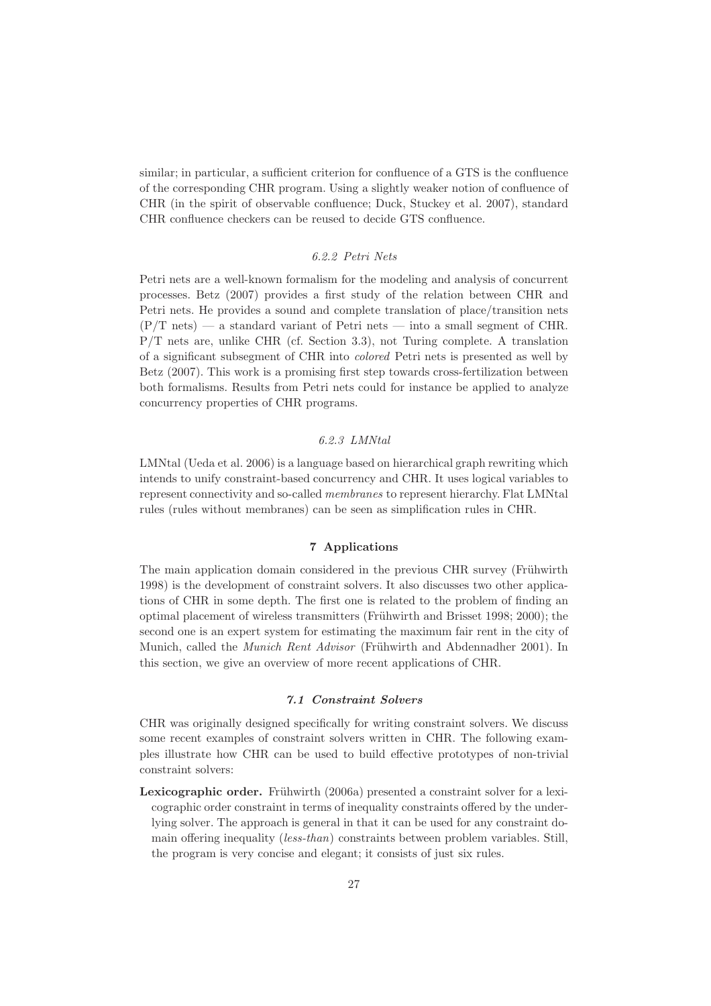similar; in particular, a sufficient criterion for confluence of a GTS is the confluence of the corresponding CHR program. Using a slightly weaker notion of confluence of CHR (in the spirit of observable confluence; Duck, Stuckey et al. 2007), standard CHR confluence checkers can be reused to decide GTS confluence.

# 6.2.2 Petri Nets

Petri nets are a well-known formalism for the modeling and analysis of concurrent processes. Betz (2007) provides a first study of the relation between CHR and Petri nets. He provides a sound and complete translation of place/transition nets  $(P/T \text{ nets})$  — a standard variant of Petri nets — into a small segment of CHR. P/T nets are, unlike CHR (cf. Section 3.3), not Turing complete. A translation of a significant subsegment of CHR into colored Petri nets is presented as well by Betz (2007). This work is a promising first step towards cross-fertilization between both formalisms. Results from Petri nets could for instance be applied to analyze concurrency properties of CHR programs.

# 6.2.3 LMNtal

LMNtal (Ueda et al. 2006) is a language based on hierarchical graph rewriting which intends to unify constraint-based concurrency and CHR. It uses logical variables to represent connectivity and so-called membranes to represent hierarchy. Flat LMNtal rules (rules without membranes) can be seen as simplification rules in CHR.

# 7 Applications

The main application domain considered in the previous CHR survey (Frühwirth 1998) is the development of constraint solvers. It also discusses two other applications of CHR in some depth. The first one is related to the problem of finding an optimal placement of wireless transmitters (Frühwirth and Brisset 1998; 2000); the second one is an expert system for estimating the maximum fair rent in the city of Munich, called the *Munich Rent Advisor* (Frühwirth and Abdennadher 2001). In this section, we give an overview of more recent applications of CHR.

## 7.1 Constraint Solvers

CHR was originally designed specifically for writing constraint solvers. We discuss some recent examples of constraint solvers written in CHR. The following examples illustrate how CHR can be used to build effective prototypes of non-trivial constraint solvers:

Lexicographic order. Frühwirth (2006a) presented a constraint solver for a lexicographic order constraint in terms of inequality constraints offered by the underlying solver. The approach is general in that it can be used for any constraint domain offering inequality (less-than) constraints between problem variables. Still, the program is very concise and elegant; it consists of just six rules.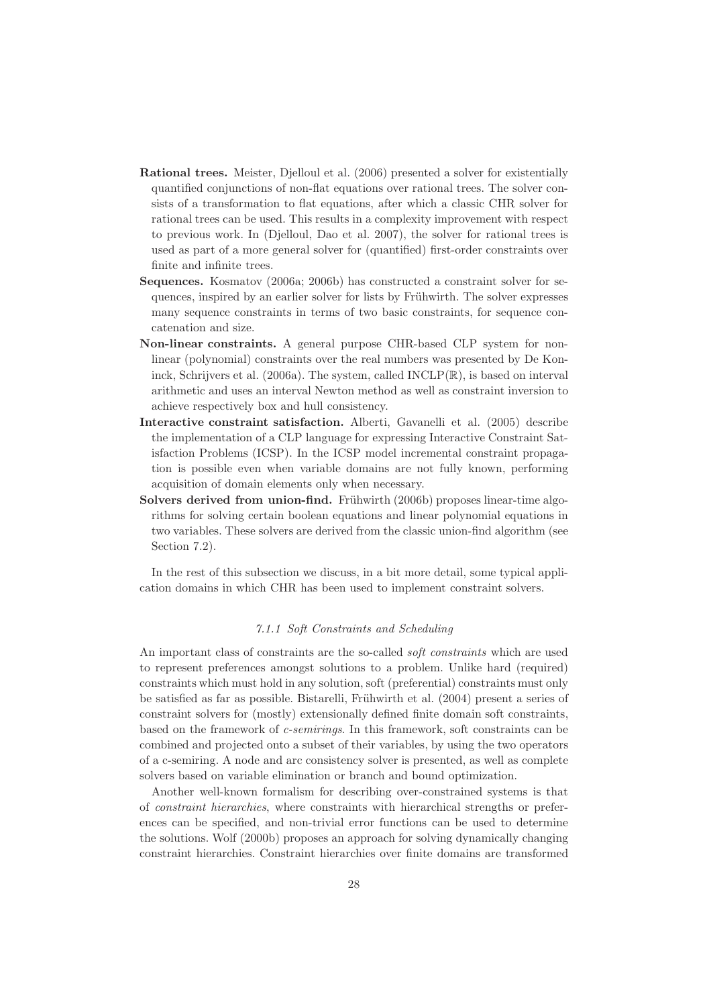- Rational trees. Meister, Djelloul et al. (2006) presented a solver for existentially quantified conjunctions of non-flat equations over rational trees. The solver consists of a transformation to flat equations, after which a classic CHR solver for rational trees can be used. This results in a complexity improvement with respect to previous work. In (Djelloul, Dao et al. 2007), the solver for rational trees is used as part of a more general solver for (quantified) first-order constraints over finite and infinite trees.
- Sequences. Kosmatov (2006a; 2006b) has constructed a constraint solver for sequences, inspired by an earlier solver for lists by Frühwirth. The solver expresses many sequence constraints in terms of two basic constraints, for sequence concatenation and size.
- Non-linear constraints. A general purpose CHR-based CLP system for nonlinear (polynomial) constraints over the real numbers was presented by De Koninck, Schrijvers et al. (2006a). The system, called INCLP(R), is based on interval arithmetic and uses an interval Newton method as well as constraint inversion to achieve respectively box and hull consistency.
- Interactive constraint satisfaction. Alberti, Gavanelli et al. (2005) describe the implementation of a CLP language for expressing Interactive Constraint Satisfaction Problems (ICSP). In the ICSP model incremental constraint propagation is possible even when variable domains are not fully known, performing acquisition of domain elements only when necessary.
- Solvers derived from union-find. Frühwirth (2006b) proposes linear-time algorithms for solving certain boolean equations and linear polynomial equations in two variables. These solvers are derived from the classic union-find algorithm (see Section 7.2).

In the rest of this subsection we discuss, in a bit more detail, some typical application domains in which CHR has been used to implement constraint solvers.

# 7.1.1 Soft Constraints and Scheduling

An important class of constraints are the so-called soft constraints which are used to represent preferences amongst solutions to a problem. Unlike hard (required) constraints which must hold in any solution, soft (preferential) constraints must only be satisfied as far as possible. Bistarelli, Frühwirth et al. (2004) present a series of constraint solvers for (mostly) extensionally defined finite domain soft constraints, based on the framework of c-semirings. In this framework, soft constraints can be combined and projected onto a subset of their variables, by using the two operators of a c-semiring. A node and arc consistency solver is presented, as well as complete solvers based on variable elimination or branch and bound optimization.

Another well-known formalism for describing over-constrained systems is that of constraint hierarchies, where constraints with hierarchical strengths or preferences can be specified, and non-trivial error functions can be used to determine the solutions. Wolf (2000b) proposes an approach for solving dynamically changing constraint hierarchies. Constraint hierarchies over finite domains are transformed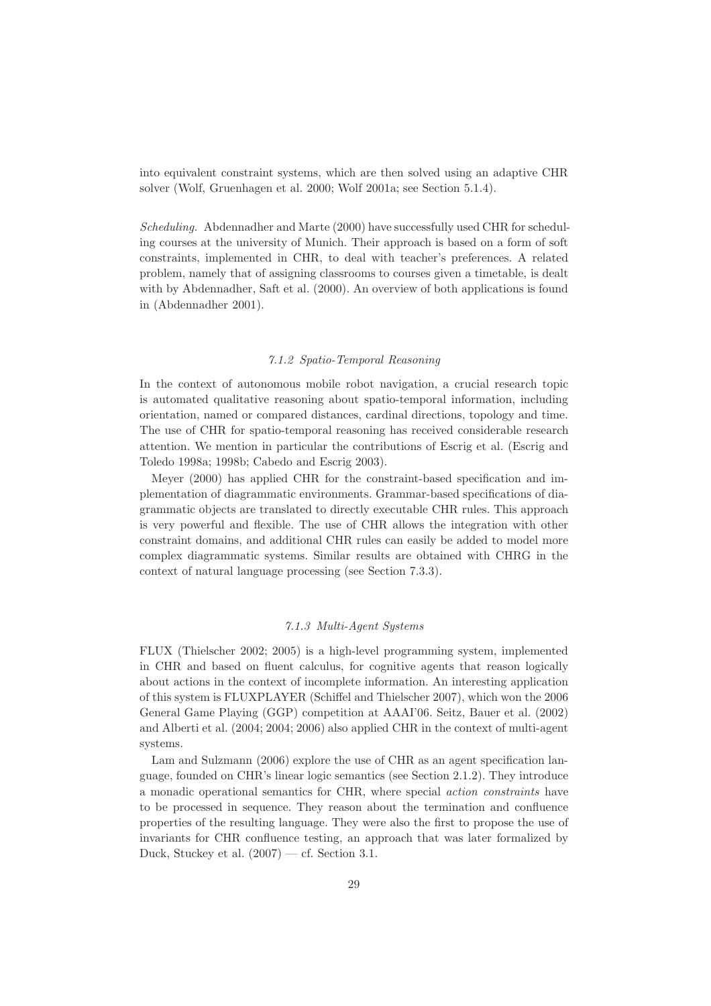into equivalent constraint systems, which are then solved using an adaptive CHR solver (Wolf, Gruenhagen et al. 2000; Wolf 2001a; see Section 5.1.4).

Scheduling. Abdennadher and Marte (2000) have successfully used CHR for scheduling courses at the university of Munich. Their approach is based on a form of soft constraints, implemented in CHR, to deal with teacher's preferences. A related problem, namely that of assigning classrooms to courses given a timetable, is dealt with by Abdennadher, Saft et al. (2000). An overview of both applications is found in (Abdennadher 2001).

# 7.1.2 Spatio-Temporal Reasoning

In the context of autonomous mobile robot navigation, a crucial research topic is automated qualitative reasoning about spatio-temporal information, including orientation, named or compared distances, cardinal directions, topology and time. The use of CHR for spatio-temporal reasoning has received considerable research attention. We mention in particular the contributions of Escrig et al. (Escrig and Toledo 1998a; 1998b; Cabedo and Escrig 2003).

Meyer (2000) has applied CHR for the constraint-based specification and implementation of diagrammatic environments. Grammar-based specifications of diagrammatic objects are translated to directly executable CHR rules. This approach is very powerful and flexible. The use of CHR allows the integration with other constraint domains, and additional CHR rules can easily be added to model more complex diagrammatic systems. Similar results are obtained with CHRG in the context of natural language processing (see Section 7.3.3).

## 7.1.3 Multi-Agent Systems

FLUX (Thielscher 2002; 2005) is a high-level programming system, implemented in CHR and based on fluent calculus, for cognitive agents that reason logically about actions in the context of incomplete information. An interesting application of this system is FLUXPLAYER (Schiffel and Thielscher 2007), which won the 2006 General Game Playing (GGP) competition at AAAI'06. Seitz, Bauer et al. (2002) and Alberti et al. (2004; 2004; 2006) also applied CHR in the context of multi-agent systems.

Lam and Sulzmann (2006) explore the use of CHR as an agent specification language, founded on CHR's linear logic semantics (see Section 2.1.2). They introduce a monadic operational semantics for CHR, where special action constraints have to be processed in sequence. They reason about the termination and confluence properties of the resulting language. They were also the first to propose the use of invariants for CHR confluence testing, an approach that was later formalized by Duck, Stuckey et al.  $(2007)$  — cf. Section 3.1.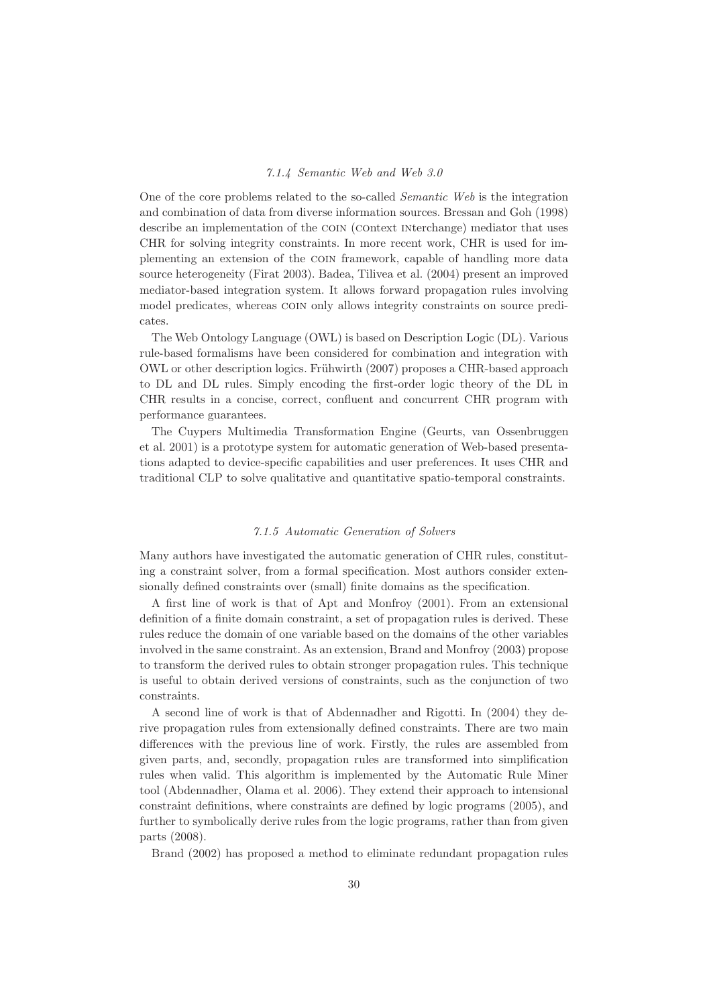#### 7.1.4 Semantic Web and Web 3.0

One of the core problems related to the so-called Semantic Web is the integration and combination of data from diverse information sources. Bressan and Goh (1998) describe an implementation of the COIN (COntext INterchange) mediator that uses CHR for solving integrity constraints. In more recent work, CHR is used for implementing an extension of the coin framework, capable of handling more data source heterogeneity (Firat 2003). Badea, Tilivea et al. (2004) present an improved mediator-based integration system. It allows forward propagation rules involving model predicates, whereas coin only allows integrity constraints on source predicates.

The Web Ontology Language (OWL) is based on Description Logic (DL). Various rule-based formalisms have been considered for combination and integration with OWL or other description logics. Frühwirth (2007) proposes a CHR-based approach to DL and DL rules. Simply encoding the first-order logic theory of the DL in CHR results in a concise, correct, confluent and concurrent CHR program with performance guarantees.

The Cuypers Multimedia Transformation Engine (Geurts, van Ossenbruggen et al. 2001) is a prototype system for automatic generation of Web-based presentations adapted to device-specific capabilities and user preferences. It uses CHR and traditional CLP to solve qualitative and quantitative spatio-temporal constraints.

# 7.1.5 Automatic Generation of Solvers

Many authors have investigated the automatic generation of CHR rules, constituting a constraint solver, from a formal specification. Most authors consider extensionally defined constraints over (small) finite domains as the specification.

A first line of work is that of Apt and Monfroy (2001). From an extensional definition of a finite domain constraint, a set of propagation rules is derived. These rules reduce the domain of one variable based on the domains of the other variables involved in the same constraint. As an extension, Brand and Monfroy (2003) propose to transform the derived rules to obtain stronger propagation rules. This technique is useful to obtain derived versions of constraints, such as the conjunction of two constraints.

A second line of work is that of Abdennadher and Rigotti. In (2004) they derive propagation rules from extensionally defined constraints. There are two main differences with the previous line of work. Firstly, the rules are assembled from given parts, and, secondly, propagation rules are transformed into simplification rules when valid. This algorithm is implemented by the Automatic Rule Miner tool (Abdennadher, Olama et al. 2006). They extend their approach to intensional constraint definitions, where constraints are defined by logic programs (2005), and further to symbolically derive rules from the logic programs, rather than from given parts (2008).

Brand (2002) has proposed a method to eliminate redundant propagation rules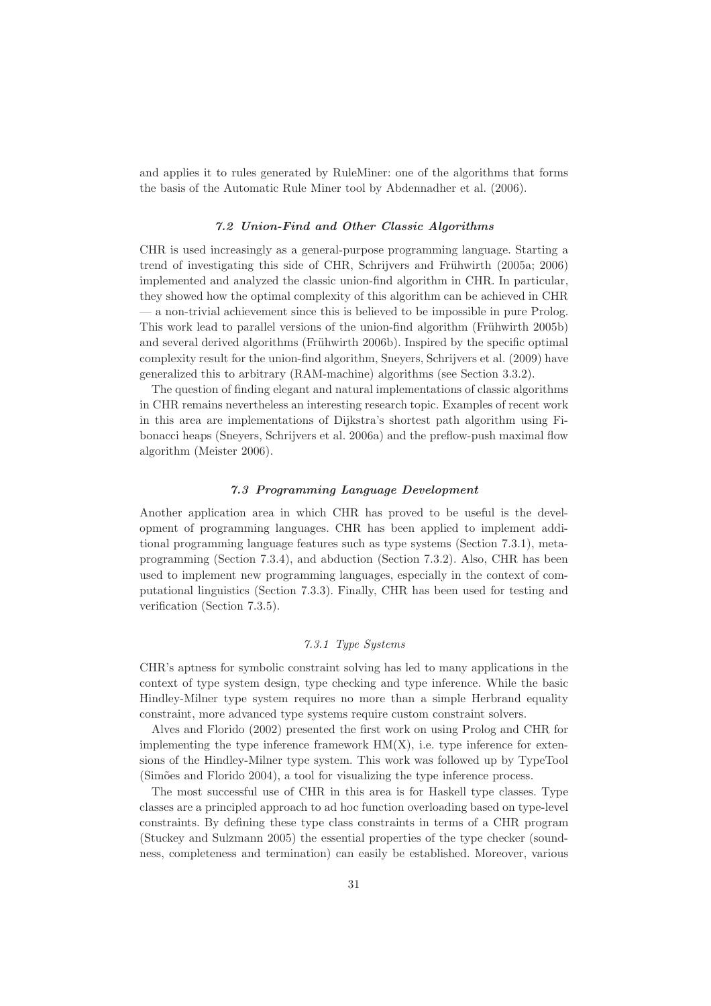and applies it to rules generated by RuleMiner: one of the algorithms that forms the basis of the Automatic Rule Miner tool by Abdennadher et al. (2006).

## 7.2 Union-Find and Other Classic Algorithms

CHR is used increasingly as a general-purpose programming language. Starting a trend of investigating this side of CHR, Schrijvers and Frühwirth (2005a; 2006) implemented and analyzed the classic union-find algorithm in CHR. In particular, they showed how the optimal complexity of this algorithm can be achieved in CHR — a non-trivial achievement since this is believed to be impossible in pure Prolog. This work lead to parallel versions of the union-find algorithm (Frühwirth 2005b) and several derived algorithms (Frühwirth 2006b). Inspired by the specific optimal complexity result for the union-find algorithm, Sneyers, Schrijvers et al. (2009) have generalized this to arbitrary (RAM-machine) algorithms (see Section 3.3.2).

The question of finding elegant and natural implementations of classic algorithms in CHR remains nevertheless an interesting research topic. Examples of recent work in this area are implementations of Dijkstra's shortest path algorithm using Fibonacci heaps (Sneyers, Schrijvers et al. 2006a) and the preflow-push maximal flow algorithm (Meister 2006).

# 7.3 Programming Language Development

Another application area in which CHR has proved to be useful is the development of programming languages. CHR has been applied to implement additional programming language features such as type systems (Section 7.3.1), metaprogramming (Section 7.3.4), and abduction (Section 7.3.2). Also, CHR has been used to implement new programming languages, especially in the context of computational linguistics (Section 7.3.3). Finally, CHR has been used for testing and verification (Section 7.3.5).

## 7.3.1 Type Systems

CHR's aptness for symbolic constraint solving has led to many applications in the context of type system design, type checking and type inference. While the basic Hindley-Milner type system requires no more than a simple Herbrand equality constraint, more advanced type systems require custom constraint solvers.

Alves and Florido (2002) presented the first work on using Prolog and CHR for implementing the type inference framework  $HM(X)$ , i.e. type inference for extensions of the Hindley-Milner type system. This work was followed up by TypeTool (Simões and Florido 2004), a tool for visualizing the type inference process.

The most successful use of CHR in this area is for Haskell type classes. Type classes are a principled approach to ad hoc function overloading based on type-level constraints. By defining these type class constraints in terms of a CHR program (Stuckey and Sulzmann 2005) the essential properties of the type checker (soundness, completeness and termination) can easily be established. Moreover, various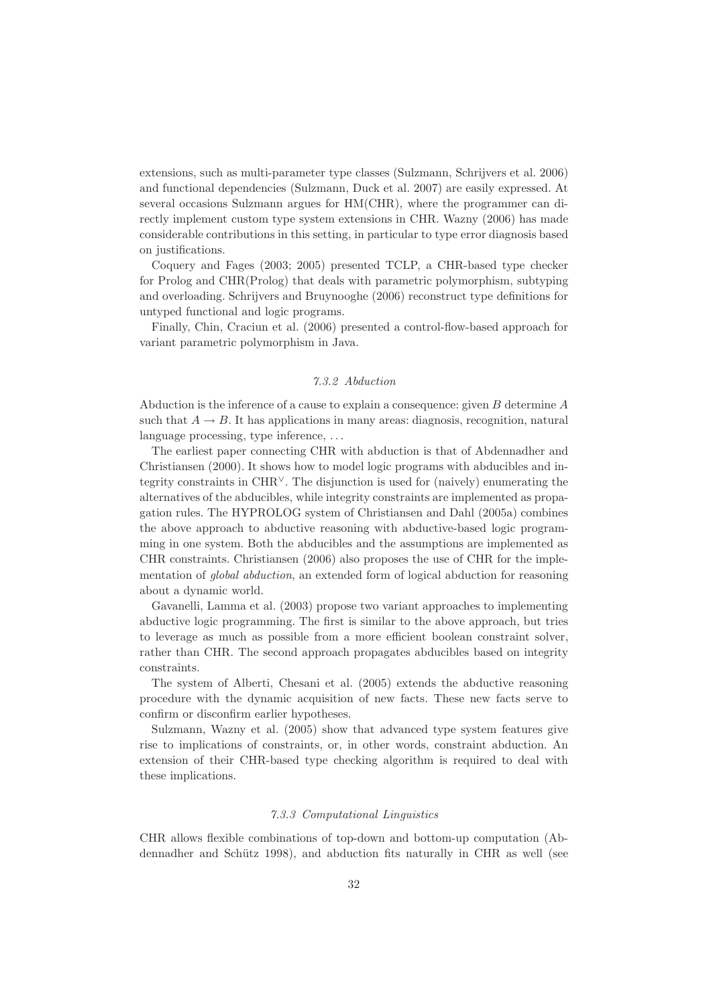extensions, such as multi-parameter type classes (Sulzmann, Schrijvers et al. 2006) and functional dependencies (Sulzmann, Duck et al. 2007) are easily expressed. At several occasions Sulzmann argues for HM(CHR), where the programmer can directly implement custom type system extensions in CHR. Wazny (2006) has made considerable contributions in this setting, in particular to type error diagnosis based on justifications.

Coquery and Fages (2003; 2005) presented TCLP, a CHR-based type checker for Prolog and CHR(Prolog) that deals with parametric polymorphism, subtyping and overloading. Schrijvers and Bruynooghe (2006) reconstruct type definitions for untyped functional and logic programs.

Finally, Chin, Craciun et al. (2006) presented a control-flow-based approach for variant parametric polymorphism in Java.

## 7.3.2 Abduction

Abduction is the inference of a cause to explain a consequence: given B determine A such that  $A \to B$ . It has applications in many areas: diagnosis, recognition, natural language processing, type inference, ...

The earliest paper connecting CHR with abduction is that of Abdennadher and Christiansen (2000). It shows how to model logic programs with abducibles and integrity constraints in  $\text{CHR}^{\vee}$ . The disjunction is used for (naively) enumerating the alternatives of the abducibles, while integrity constraints are implemented as propagation rules. The HYPROLOG system of Christiansen and Dahl (2005a) combines the above approach to abductive reasoning with abductive-based logic programming in one system. Both the abducibles and the assumptions are implemented as CHR constraints. Christiansen (2006) also proposes the use of CHR for the implementation of *global abduction*, an extended form of logical abduction for reasoning about a dynamic world.

Gavanelli, Lamma et al. (2003) propose two variant approaches to implementing abductive logic programming. The first is similar to the above approach, but tries to leverage as much as possible from a more efficient boolean constraint solver, rather than CHR. The second approach propagates abducibles based on integrity constraints.

The system of Alberti, Chesani et al. (2005) extends the abductive reasoning procedure with the dynamic acquisition of new facts. These new facts serve to confirm or disconfirm earlier hypotheses.

Sulzmann, Wazny et al. (2005) show that advanced type system features give rise to implications of constraints, or, in other words, constraint abduction. An extension of their CHR-based type checking algorithm is required to deal with these implications.

#### 7.3.3 Computational Linguistics

CHR allows flexible combinations of top-down and bottom-up computation (Abdennadher and Schütz 1998), and abduction fits naturally in CHR as well (see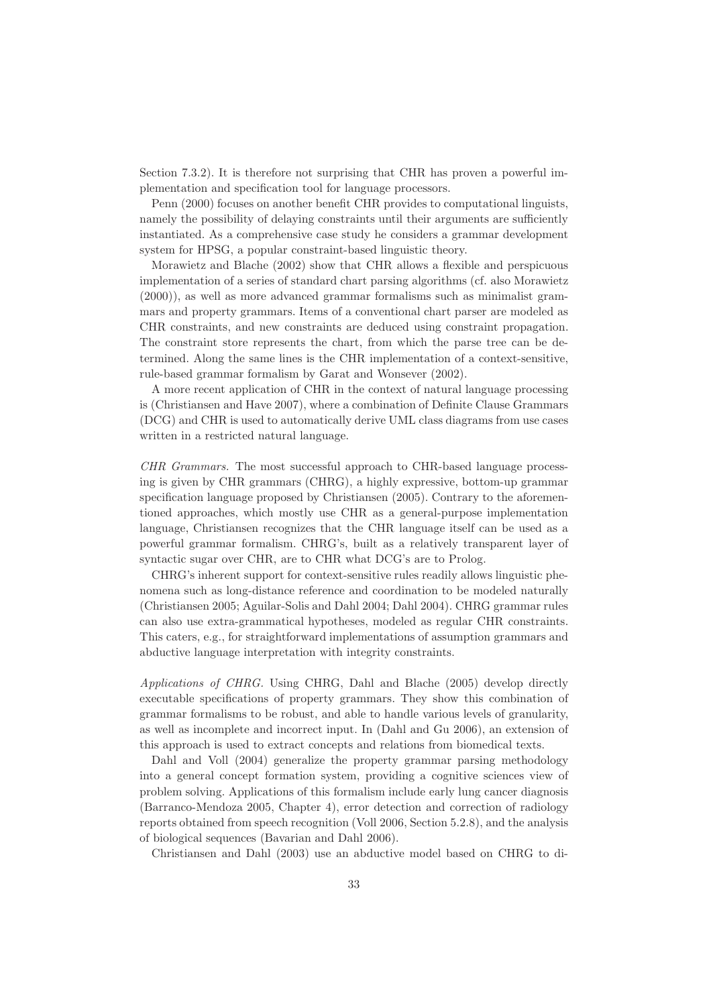Section 7.3.2). It is therefore not surprising that CHR has proven a powerful implementation and specification tool for language processors.

Penn (2000) focuses on another benefit CHR provides to computational linguists, namely the possibility of delaying constraints until their arguments are sufficiently instantiated. As a comprehensive case study he considers a grammar development system for HPSG, a popular constraint-based linguistic theory.

Morawietz and Blache (2002) show that CHR allows a flexible and perspicuous implementation of a series of standard chart parsing algorithms (cf. also Morawietz (2000)), as well as more advanced grammar formalisms such as minimalist grammars and property grammars. Items of a conventional chart parser are modeled as CHR constraints, and new constraints are deduced using constraint propagation. The constraint store represents the chart, from which the parse tree can be determined. Along the same lines is the CHR implementation of a context-sensitive, rule-based grammar formalism by Garat and Wonsever (2002).

A more recent application of CHR in the context of natural language processing is (Christiansen and Have 2007), where a combination of Definite Clause Grammars (DCG) and CHR is used to automatically derive UML class diagrams from use cases written in a restricted natural language.

CHR Grammars. The most successful approach to CHR-based language processing is given by CHR grammars (CHRG), a highly expressive, bottom-up grammar specification language proposed by Christiansen (2005). Contrary to the aforementioned approaches, which mostly use CHR as a general-purpose implementation language, Christiansen recognizes that the CHR language itself can be used as a powerful grammar formalism. CHRG's, built as a relatively transparent layer of syntactic sugar over CHR, are to CHR what DCG's are to Prolog.

CHRG's inherent support for context-sensitive rules readily allows linguistic phenomena such as long-distance reference and coordination to be modeled naturally (Christiansen 2005; Aguilar-Solis and Dahl 2004; Dahl 2004). CHRG grammar rules can also use extra-grammatical hypotheses, modeled as regular CHR constraints. This caters, e.g., for straightforward implementations of assumption grammars and abductive language interpretation with integrity constraints.

Applications of CHRG. Using CHRG, Dahl and Blache (2005) develop directly executable specifications of property grammars. They show this combination of grammar formalisms to be robust, and able to handle various levels of granularity, as well as incomplete and incorrect input. In (Dahl and Gu 2006), an extension of this approach is used to extract concepts and relations from biomedical texts.

Dahl and Voll (2004) generalize the property grammar parsing methodology into a general concept formation system, providing a cognitive sciences view of problem solving. Applications of this formalism include early lung cancer diagnosis (Barranco-Mendoza 2005, Chapter 4), error detection and correction of radiology reports obtained from speech recognition (Voll 2006, Section 5.2.8), and the analysis of biological sequences (Bavarian and Dahl 2006).

Christiansen and Dahl (2003) use an abductive model based on CHRG to di-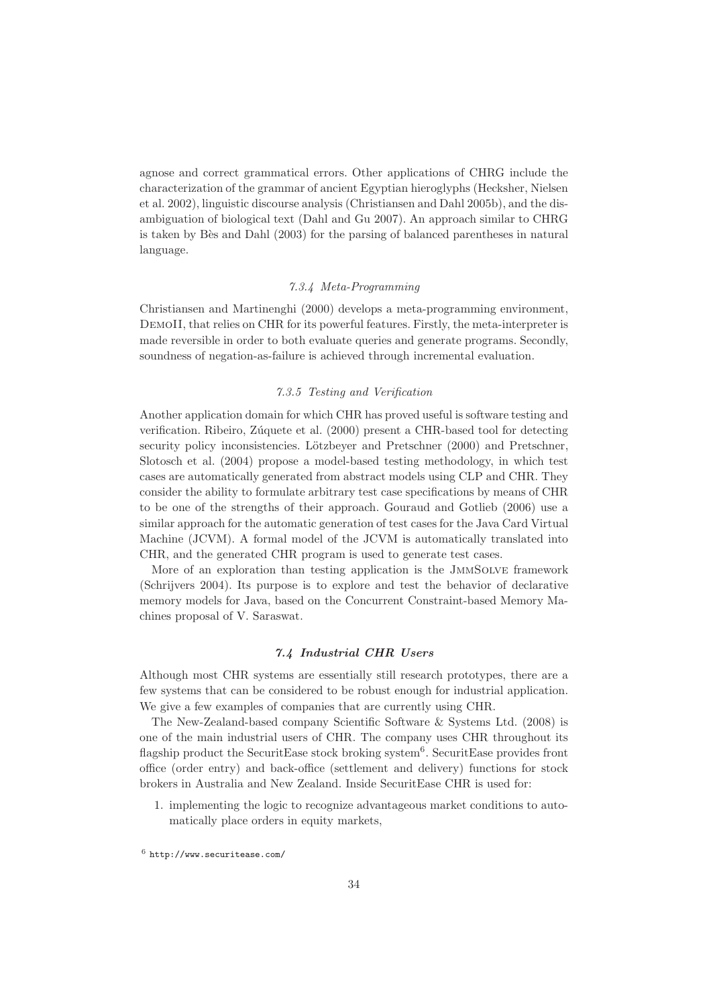agnose and correct grammatical errors. Other applications of CHRG include the characterization of the grammar of ancient Egyptian hieroglyphs (Hecksher, Nielsen et al. 2002), linguistic discourse analysis (Christiansen and Dahl 2005b), and the disambiguation of biological text (Dahl and Gu 2007). An approach similar to CHRG is taken by Bès and Dahl (2003) for the parsing of balanced parentheses in natural language.

# 7.3.4 Meta-Programming

Christiansen and Martinenghi (2000) develops a meta-programming environment, DemoII, that relies on CHR for its powerful features. Firstly, the meta-interpreter is made reversible in order to both evaluate queries and generate programs. Secondly, soundness of negation-as-failure is achieved through incremental evaluation.

#### 7.3.5 Testing and Verification

Another application domain for which CHR has proved useful is software testing and verification. Ribeiro, Zúquete et al. (2000) present a CHR-based tool for detecting security policy inconsistencies. Lötzbeyer and Pretschner (2000) and Pretschner, Slotosch et al. (2004) propose a model-based testing methodology, in which test cases are automatically generated from abstract models using CLP and CHR. They consider the ability to formulate arbitrary test case specifications by means of CHR to be one of the strengths of their approach. Gouraud and Gotlieb (2006) use a similar approach for the automatic generation of test cases for the Java Card Virtual Machine (JCVM). A formal model of the JCVM is automatically translated into CHR, and the generated CHR program is used to generate test cases.

More of an exploration than testing application is the JmmSolve framework (Schrijvers 2004). Its purpose is to explore and test the behavior of declarative memory models for Java, based on the Concurrent Constraint-based Memory Machines proposal of V. Saraswat.

# 7.4 Industrial CHR Users

Although most CHR systems are essentially still research prototypes, there are a few systems that can be considered to be robust enough for industrial application. We give a few examples of companies that are currently using CHR.

The New-Zealand-based company Scientific Software & Systems Ltd. (2008) is one of the main industrial users of CHR. The company uses CHR throughout its flagship product the SecuritEase stock broking system<sup>6</sup>. SecuritEase provides front office (order entry) and back-office (settlement and delivery) functions for stock brokers in Australia and New Zealand. Inside SecuritEase CHR is used for:

1. implementing the logic to recognize advantageous market conditions to automatically place orders in equity markets,

<sup>6</sup> http://www.securitease.com/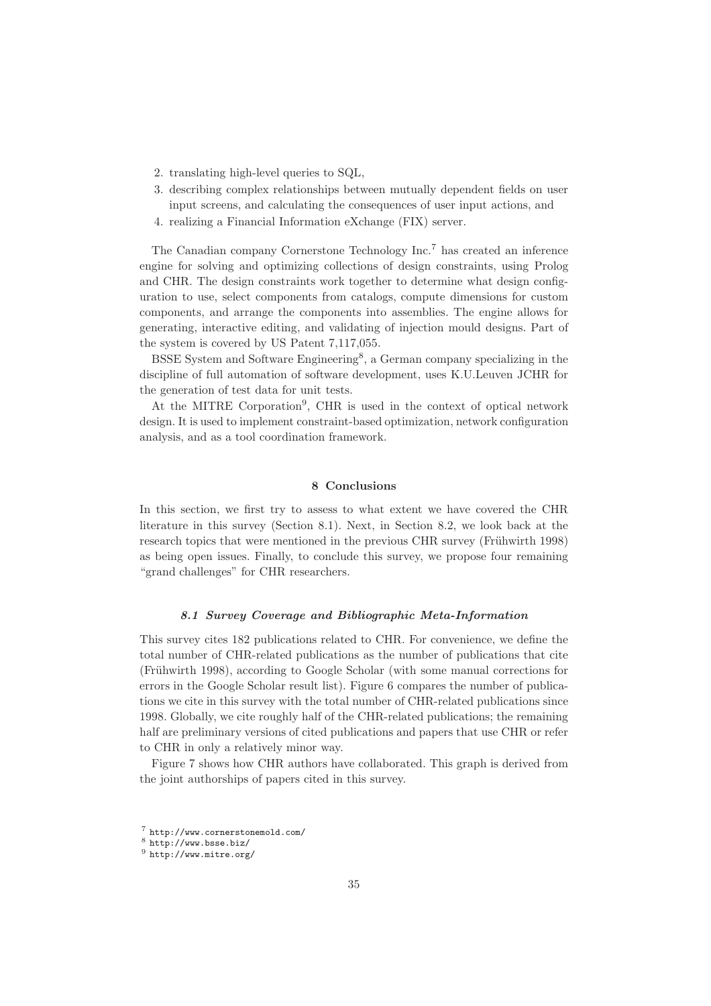- 2. translating high-level queries to SQL,
- 3. describing complex relationships between mutually dependent fields on user input screens, and calculating the consequences of user input actions, and
- 4. realizing a Financial Information eXchange (FIX) server.

The Canadian company Cornerstone Technology Inc.<sup>7</sup> has created an inference engine for solving and optimizing collections of design constraints, using Prolog and CHR. The design constraints work together to determine what design configuration to use, select components from catalogs, compute dimensions for custom components, and arrange the components into assemblies. The engine allows for generating, interactive editing, and validating of injection mould designs. Part of the system is covered by US Patent 7,117,055.

BSSE System and Software Engineering<sup>8</sup>, a German company specializing in the discipline of full automation of software development, uses K.U.Leuven JCHR for the generation of test data for unit tests.

At the MITRE Corporation<sup>9</sup>, CHR is used in the context of optical network design. It is used to implement constraint-based optimization, network configuration analysis, and as a tool coordination framework.

#### 8 Conclusions

In this section, we first try to assess to what extent we have covered the CHR literature in this survey (Section 8.1). Next, in Section 8.2, we look back at the research topics that were mentioned in the previous CHR survey (Frühwirth 1998) as being open issues. Finally, to conclude this survey, we propose four remaining "grand challenges" for CHR researchers.

#### 8.1 Survey Coverage and Bibliographic Meta-Information

This survey cites 182 publications related to CHR. For convenience, we define the total number of CHR-related publications as the number of publications that cite (Fr¨uhwirth 1998), according to Google Scholar (with some manual corrections for errors in the Google Scholar result list). Figure 6 compares the number of publications we cite in this survey with the total number of CHR-related publications since 1998. Globally, we cite roughly half of the CHR-related publications; the remaining half are preliminary versions of cited publications and papers that use CHR or refer to CHR in only a relatively minor way.

Figure 7 shows how CHR authors have collaborated. This graph is derived from the joint authorships of papers cited in this survey.

<sup>7</sup> http://www.cornerstonemold.com/

 $8$  http://www.bsse.biz/

 $9$  http://www.mitre.org/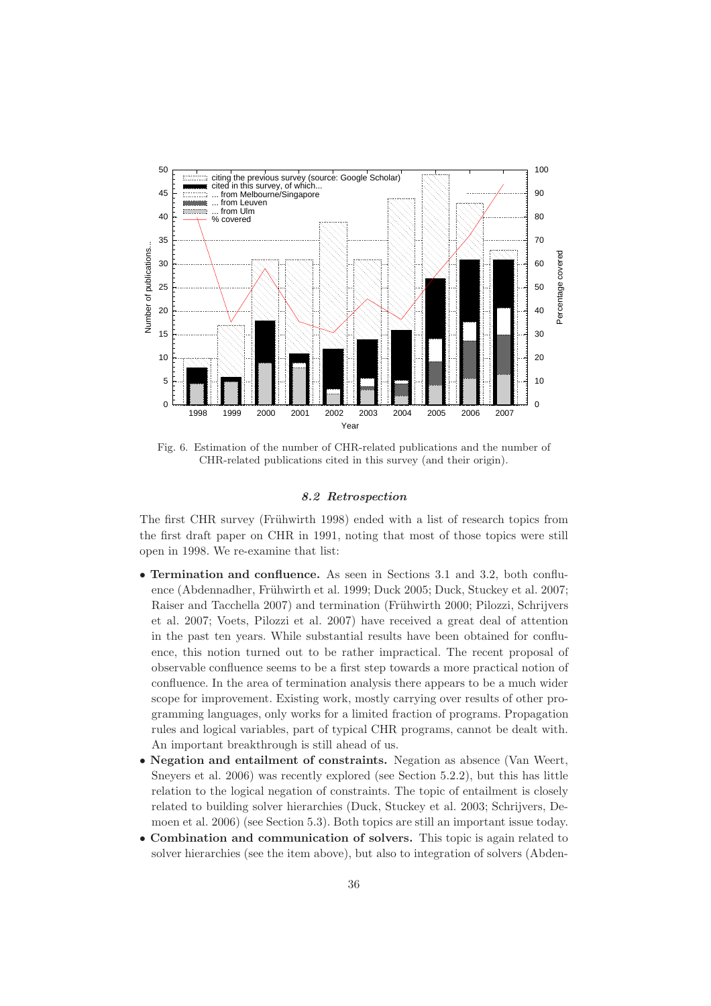

Fig. 6. Estimation of the number of CHR-related publications and the number of CHR-related publications cited in this survey (and their origin).

## 8.2 Retrospection

The first CHR survey (Frühwirth 1998) ended with a list of research topics from the first draft paper on CHR in 1991, noting that most of those topics were still open in 1998. We re-examine that list:

- Termination and confluence. As seen in Sections 3.1 and 3.2, both confluence (Abdennadher, Frühwirth et al. 1999; Duck 2005; Duck, Stuckey et al. 2007; Raiser and Tacchella 2007) and termination (Frühwirth 2000; Pilozzi, Schrijvers et al. 2007; Voets, Pilozzi et al. 2007) have received a great deal of attention in the past ten years. While substantial results have been obtained for confluence, this notion turned out to be rather impractical. The recent proposal of observable confluence seems to be a first step towards a more practical notion of confluence. In the area of termination analysis there appears to be a much wider scope for improvement. Existing work, mostly carrying over results of other programming languages, only works for a limited fraction of programs. Propagation rules and logical variables, part of typical CHR programs, cannot be dealt with. An important breakthrough is still ahead of us.
- Negation and entailment of constraints. Negation as absence (Van Weert, Sneyers et al. 2006) was recently explored (see Section 5.2.2), but this has little relation to the logical negation of constraints. The topic of entailment is closely related to building solver hierarchies (Duck, Stuckey et al. 2003; Schrijvers, Demoen et al. 2006) (see Section 5.3). Both topics are still an important issue today.
- Combination and communication of solvers. This topic is again related to solver hierarchies (see the item above), but also to integration of solvers (Abden-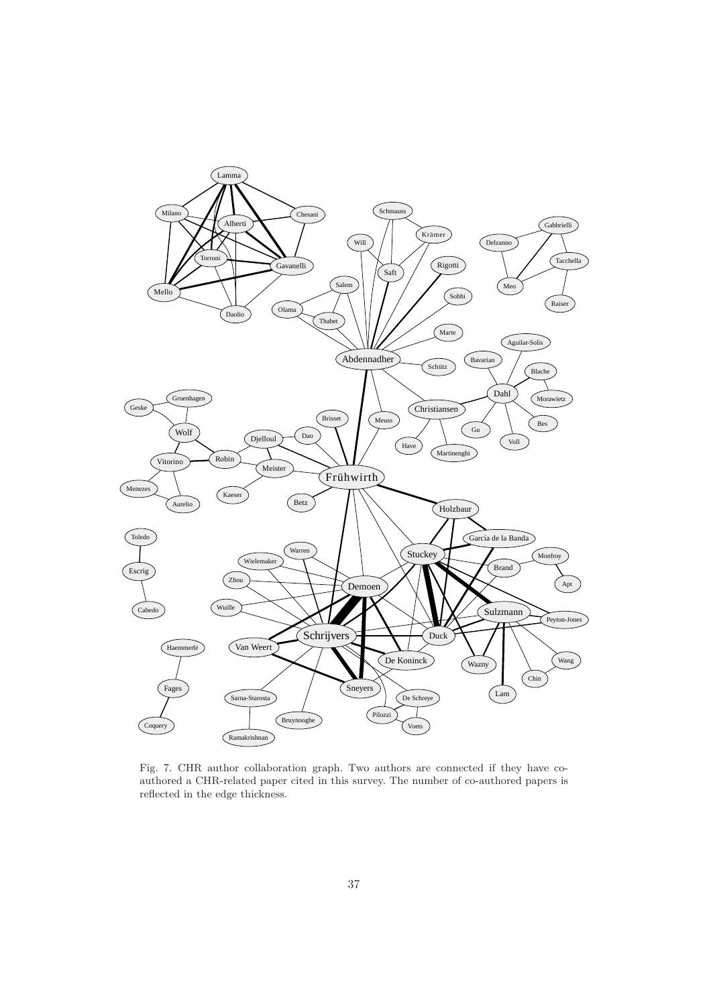

Fig. 7. CHR author collaboration graph. Two authors are connected if they have coauthored a CHR-related paper cited in this survey. The number of co-authored papers is reflected in the edge thickness.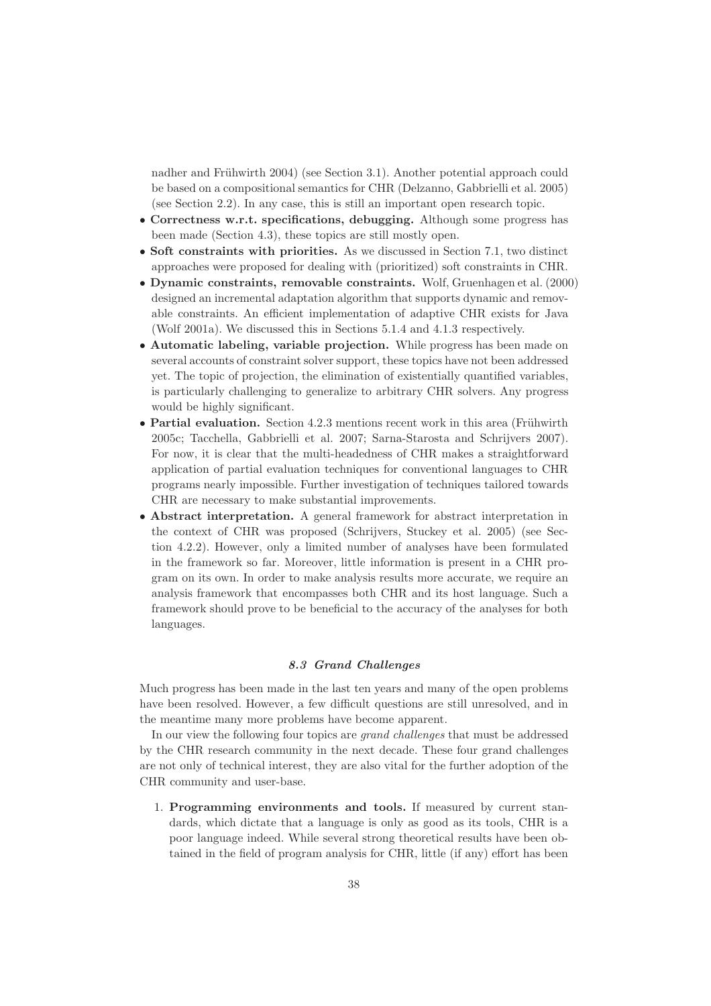nadher and Frühwirth 2004) (see Section 3.1). Another potential approach could be based on a compositional semantics for CHR (Delzanno, Gabbrielli et al. 2005) (see Section 2.2). In any case, this is still an important open research topic.

- Correctness w.r.t. specifications, debugging. Although some progress has been made (Section 4.3), these topics are still mostly open.
- Soft constraints with priorities. As we discussed in Section 7.1, two distinct approaches were proposed for dealing with (prioritized) soft constraints in CHR.
- Dynamic constraints, removable constraints. Wolf, Gruenhagen et al. (2000) designed an incremental adaptation algorithm that supports dynamic and removable constraints. An efficient implementation of adaptive CHR exists for Java (Wolf 2001a). We discussed this in Sections 5.1.4 and 4.1.3 respectively.
- Automatic labeling, variable projection. While progress has been made on several accounts of constraint solver support, these topics have not been addressed yet. The topic of projection, the elimination of existentially quantified variables, is particularly challenging to generalize to arbitrary CHR solvers. Any progress would be highly significant.
- Partial evaluation. Section  $4.2.3$  mentions recent work in this area (Frühwirth 2005c; Tacchella, Gabbrielli et al. 2007; Sarna-Starosta and Schrijvers 2007). For now, it is clear that the multi-headedness of CHR makes a straightforward application of partial evaluation techniques for conventional languages to CHR programs nearly impossible. Further investigation of techniques tailored towards CHR are necessary to make substantial improvements.
- Abstract interpretation. A general framework for abstract interpretation in the context of CHR was proposed (Schrijvers, Stuckey et al. 2005) (see Section 4.2.2). However, only a limited number of analyses have been formulated in the framework so far. Moreover, little information is present in a CHR program on its own. In order to make analysis results more accurate, we require an analysis framework that encompasses both CHR and its host language. Such a framework should prove to be beneficial to the accuracy of the analyses for both languages.

# 8.3 Grand Challenges

Much progress has been made in the last ten years and many of the open problems have been resolved. However, a few difficult questions are still unresolved, and in the meantime many more problems have become apparent.

In our view the following four topics are grand challenges that must be addressed by the CHR research community in the next decade. These four grand challenges are not only of technical interest, they are also vital for the further adoption of the CHR community and user-base.

1. Programming environments and tools. If measured by current standards, which dictate that a language is only as good as its tools, CHR is a poor language indeed. While several strong theoretical results have been obtained in the field of program analysis for CHR, little (if any) effort has been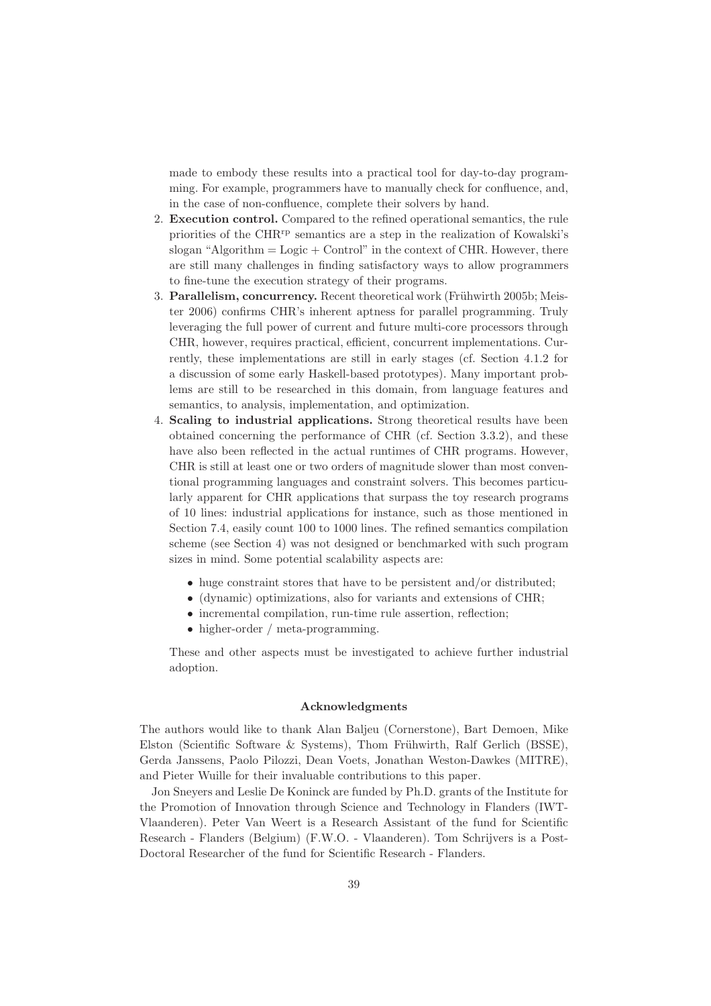made to embody these results into a practical tool for day-to-day programming. For example, programmers have to manually check for confluence, and, in the case of non-confluence, complete their solvers by hand.

- 2. Execution control. Compared to the refined operational semantics, the rule priorities of the CHRrp semantics are a step in the realization of Kowalski's slogan "Algorithm  $=$  Logic  $+$  Control" in the context of CHR. However, there are still many challenges in finding satisfactory ways to allow programmers to fine-tune the execution strategy of their programs.
- 3. Parallelism, concurrency. Recent theoretical work (Frühwirth 2005b; Meister 2006) confirms CHR's inherent aptness for parallel programming. Truly leveraging the full power of current and future multi-core processors through CHR, however, requires practical, efficient, concurrent implementations. Currently, these implementations are still in early stages (cf. Section 4.1.2 for a discussion of some early Haskell-based prototypes). Many important problems are still to be researched in this domain, from language features and semantics, to analysis, implementation, and optimization.
- 4. Scaling to industrial applications. Strong theoretical results have been obtained concerning the performance of CHR (cf. Section 3.3.2), and these have also been reflected in the actual runtimes of CHR programs. However, CHR is still at least one or two orders of magnitude slower than most conventional programming languages and constraint solvers. This becomes particularly apparent for CHR applications that surpass the toy research programs of 10 lines: industrial applications for instance, such as those mentioned in Section 7.4, easily count 100 to 1000 lines. The refined semantics compilation scheme (see Section 4) was not designed or benchmarked with such program sizes in mind. Some potential scalability aspects are:
	- huge constraint stores that have to be persistent and/or distributed;
	- (dynamic) optimizations, also for variants and extensions of CHR;
	- incremental compilation, run-time rule assertion, reflection;
	- higher-order / meta-programming.

These and other aspects must be investigated to achieve further industrial adoption.

#### Acknowledgments

The authors would like to thank Alan Baljeu (Cornerstone), Bart Demoen, Mike Elston (Scientific Software & Systems), Thom Frühwirth, Ralf Gerlich (BSSE), Gerda Janssens, Paolo Pilozzi, Dean Voets, Jonathan Weston-Dawkes (MITRE), and Pieter Wuille for their invaluable contributions to this paper.

Jon Sneyers and Leslie De Koninck are funded by Ph.D. grants of the Institute for the Promotion of Innovation through Science and Technology in Flanders (IWT-Vlaanderen). Peter Van Weert is a Research Assistant of the fund for Scientific Research - Flanders (Belgium) (F.W.O. - Vlaanderen). Tom Schrijvers is a Post-Doctoral Researcher of the fund for Scientific Research - Flanders.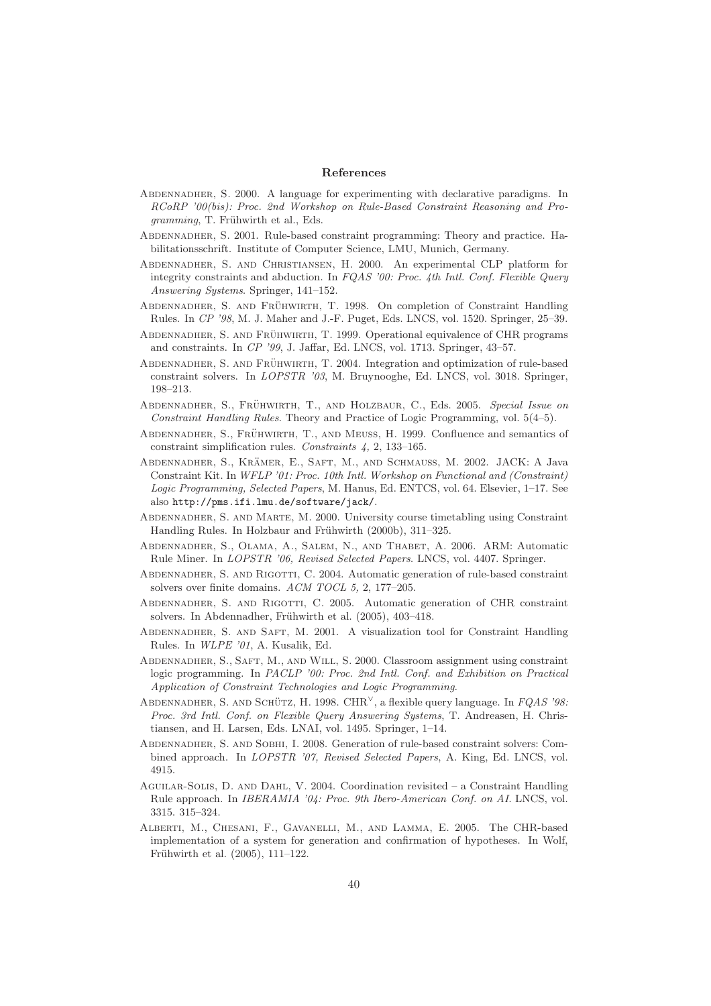#### References

- Abdennadher, S. 2000. A language for experimenting with declarative paradigms. In RCoRP '00(bis): Proc. 2nd Workshop on Rule-Based Constraint Reasoning and Pro $gramming$ , T. Frühwirth et al., Eds.
- Abdennadher, S. 2001. Rule-based constraint programming: Theory and practice. Habilitationsschrift. Institute of Computer Science, LMU, Munich, Germany.
- Abdennadher, S. and Christiansen, H. 2000. An experimental CLP platform for integrity constraints and abduction. In FQAS '00: Proc. 4th Intl. Conf. Flexible Query Answering Systems. Springer, 141–152.
- ABDENNADHER, S. AND FRÜHWIRTH, T. 1998. On completion of Constraint Handling Rules. In CP '98, M. J. Maher and J.-F. Puget, Eds. LNCS, vol. 1520. Springer, 25–39.
- ABDENNADHER, S. AND FRÜHWIRTH, T. 1999. Operational equivalence of CHR programs and constraints. In CP '99, J. Jaffar, Ed. LNCS, vol. 1713. Springer, 43–57.
- ABDENNADHER, S. AND FRÜHWIRTH, T. 2004. Integration and optimization of rule-based constraint solvers. In LOPSTR '03, M. Bruynooghe, Ed. LNCS, vol. 3018. Springer, 198–213.
- ABDENNADHER, S., FRÜHWIRTH, T., AND HOLZBAUR, C., Eds. 2005. Special Issue on Constraint Handling Rules. Theory and Practice of Logic Programming, vol. 5(4–5).
- ABDENNADHER, S., FRÜHWIRTH, T., AND MEUSS, H. 1999. Confluence and semantics of constraint simplification rules. Constraints 4, 2, 133–165.
- ABDENNADHER, S., KRÄMER, E., SAFT, M., AND SCHMAUSS, M. 2002. JACK: A Java Constraint Kit. In WFLP '01: Proc. 10th Intl. Workshop on Functional and (Constraint) Logic Programming, Selected Papers, M. Hanus, Ed. ENTCS, vol. 64. Elsevier, 1–17. See also http://pms.ifi.lmu.de/software/jack/.
- Abdennadher, S. and Marte, M. 2000. University course timetabling using Constraint Handling Rules. In Holzbaur and Frühwirth (2000b), 311–325.
- Abdennadher, S., Olama, A., Salem, N., and Thabet, A. 2006. ARM: Automatic Rule Miner. In LOPSTR '06, Revised Selected Papers. LNCS, vol. 4407. Springer.
- Abdennadher, S. and Rigotti, C. 2004. Automatic generation of rule-based constraint solvers over finite domains. ACM TOCL 5, 2, 177–205.
- ABDENNADHER, S. AND RIGOTTI, C. 2005. Automatic generation of CHR constraint solvers. In Abdennadher, Frühwirth et al. (2005), 403-418.
- Abdennadher, S. and Saft, M. 2001. A visualization tool for Constraint Handling Rules. In WLPE '01, A. Kusalik, Ed.
- Abdennadher, S., Saft, M., and Will, S. 2000. Classroom assignment using constraint logic programming. In PACLP '00: Proc. 2nd Intl. Conf. and Exhibition on Practical Application of Constraint Technologies and Logic Programming.
- ABDENNADHER, S. AND SCHÜTZ, H. 1998. CHR<sup> $\vee$ </sup>, a flexible query language. In FQAS '98: Proc. 3rd Intl. Conf. on Flexible Query Answering Systems, T. Andreasen, H. Christiansen, and H. Larsen, Eds. LNAI, vol. 1495. Springer, 1–14.
- Abdennadher, S. and Sobhi, I. 2008. Generation of rule-based constraint solvers: Combined approach. In LOPSTR '07, Revised Selected Papers, A. King, Ed. LNCS, vol. 4915.
- Aguilar-Solis, D. and Dahl, V. 2004. Coordination revisited a Constraint Handling Rule approach. In *IBERAMIA '04: Proc. 9th Ibero-American Conf. on AI*. LNCS, vol. 3315. 315–324.
- Alberti, M., Chesani, F., Gavanelli, M., and Lamma, E. 2005. The CHR-based implementation of a system for generation and confirmation of hypotheses. In Wolf, Frühwirth et al. (2005), 111-122.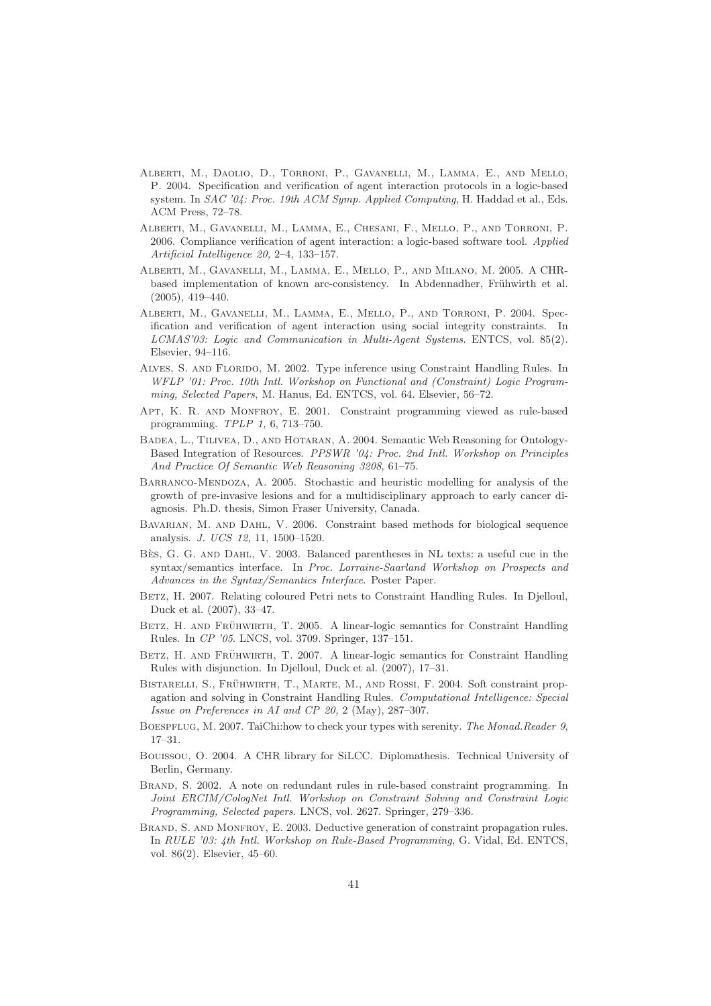- Alberti, M., Daolio, D., Torroni, P., Gavanelli, M., Lamma, E., and Mello, P. 2004. Specification and verification of agent interaction protocols in a logic-based system. In SAC '04: Proc. 19th ACM Symp. Applied Computing, H. Haddad et al., Eds. ACM Press, 72–78.
- Alberti, M., Gavanelli, M., Lamma, E., Chesani, F., Mello, P., and Torroni, P. 2006. Compliance verification of agent interaction: a logic-based software tool. Applied Artificial Intelligence 20, 2–4, 133–157.
- Alberti, M., Gavanelli, M., Lamma, E., Mello, P., and Milano, M. 2005. A CHRbased implementation of known arc-consistency. In Abdennadher, Frühwirth et al. (2005), 419–440.
- Alberti, M., Gavanelli, M., Lamma, E., Mello, P., and Torroni, P. 2004. Specification and verification of agent interaction using social integrity constraints. In LCMAS'03: Logic and Communication in Multi-Agent Systems. ENTCS, vol. 85(2). Elsevier, 94–116.
- Alves, S. and Florido, M. 2002. Type inference using Constraint Handling Rules. In WFLP '01: Proc. 10th Intl. Workshop on Functional and (Constraint) Logic Programming, Selected Papers, M. Hanus, Ed. ENTCS, vol. 64. Elsevier, 56–72.
- APT, K. R. AND MONFROY, E. 2001. Constraint programming viewed as rule-based programming. TPLP 1, 6, 713–750.
- Badea, L., Tilivea, D., and Hotaran, A. 2004. Semantic Web Reasoning for Ontology-Based Integration of Resources. PPSWR '04: Proc. 2nd Intl. Workshop on Principles And Practice Of Semantic Web Reasoning 3208, 61–75.
- Barranco-Mendoza, A. 2005. Stochastic and heuristic modelling for analysis of the growth of pre-invasive lesions and for a multidisciplinary approach to early cancer diagnosis. Ph.D. thesis, Simon Fraser University, Canada.
- Bavarian, M. and Dahl, V. 2006. Constraint based methods for biological sequence analysis. J. UCS 12, 11, 1500–1520.
- BÈS, G. G. AND DAHL, V. 2003. Balanced parentheses in NL texts: a useful cue in the syntax/semantics interface. In Proc. Lorraine-Saarland Workshop on Prospects and Advances in the Syntax/Semantics Interface. Poster Paper.
- BETZ, H. 2007. Relating coloured Petri nets to Constraint Handling Rules. In Djelloul, Duck et al. (2007), 33–47.
- BETZ, H. AND FRÜHWIRTH, T. 2005. A linear-logic semantics for Constraint Handling Rules. In CP '05. LNCS, vol. 3709. Springer, 137–151.
- BETZ, H. AND FRÜHWIRTH, T. 2007. A linear-logic semantics for Constraint Handling Rules with disjunction. In Djelloul, Duck et al. (2007), 17–31.
- BISTARELLI, S., FRÜHWIRTH, T., MARTE, M., AND ROSSI, F. 2004. Soft constraint propagation and solving in Constraint Handling Rules. Computational Intelligence: Special Issue on Preferences in AI and CP 20, 2 (May), 287–307.
- BOESPFLUG, M. 2007. TaiChi:how to check your types with serenity. The Monad.Reader 9, 17–31.
- Bouissou, O. 2004. A CHR library for SiLCC. Diplomathesis. Technical University of Berlin, Germany.
- Brand, S. 2002. A note on redundant rules in rule-based constraint programming. In Joint ERCIM/CologNet Intl. Workshop on Constraint Solving and Constraint Logic Programming, Selected papers. LNCS, vol. 2627. Springer, 279–336.
- BRAND, S. AND MONFROY, E. 2003. Deductive generation of constraint propagation rules. In RULE '03: 4th Intl. Workshop on Rule-Based Programming, G. Vidal, Ed. ENTCS, vol. 86(2). Elsevier, 45–60.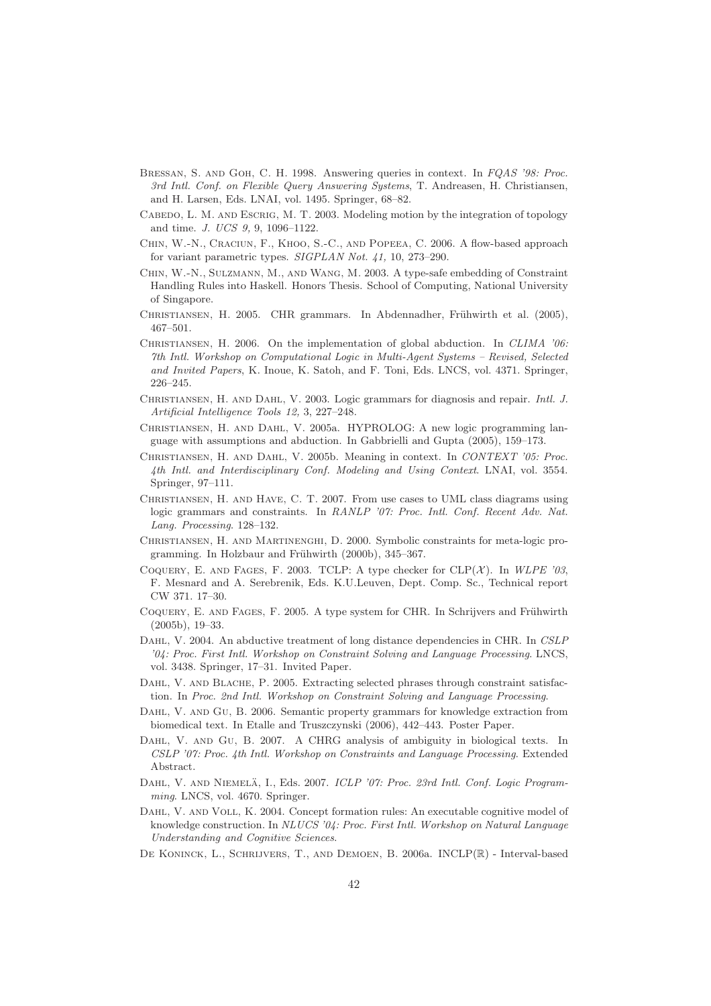- Bressan, S. and Goh, C. H. 1998. Answering queries in context. In FQAS '98: Proc. 3rd Intl. Conf. on Flexible Query Answering Systems, T. Andreasen, H. Christiansen, and H. Larsen, Eds. LNAI, vol. 1495. Springer, 68–82.
- CABEDO, L. M. AND ESCRIG, M. T. 2003. Modeling motion by the integration of topology and time. J. UCS 9, 9, 1096–1122.
- CHIN, W.-N., CRACIUN, F., KHOO, S.-C., AND POPEEA, C. 2006. A flow-based approach for variant parametric types. SIGPLAN Not. 41, 10, 273–290.
- Chin, W.-N., Sulzmann, M., and Wang, M. 2003. A type-safe embedding of Constraint Handling Rules into Haskell. Honors Thesis. School of Computing, National University of Singapore.
- CHRISTIANSEN, H. 2005. CHR grammars. In Abdennadher, Frühwirth et al. (2005), 467–501.
- CHRISTIANSEN, H. 2006. On the implementation of global abduction. In CLIMA '06: 7th Intl. Workshop on Computational Logic in Multi-Agent Systems – Revised, Selected and Invited Papers, K. Inoue, K. Satoh, and F. Toni, Eds. LNCS, vol. 4371. Springer, 226–245.
- Christiansen, H. and Dahl, V. 2003. Logic grammars for diagnosis and repair. Intl. J. Artificial Intelligence Tools 12, 3, 227–248.
- Christiansen, H. and Dahl, V. 2005a. HYPROLOG: A new logic programming language with assumptions and abduction. In Gabbrielli and Gupta (2005), 159–173.
- Christiansen, H. and Dahl, V. 2005b. Meaning in context. In CONTEXT '05: Proc. 4th Intl. and Interdisciplinary Conf. Modeling and Using Context. LNAI, vol. 3554. Springer, 97–111.
- Christiansen, H. and Have, C. T. 2007. From use cases to UML class diagrams using logic grammars and constraints. In RANLP '07: Proc. Intl. Conf. Recent Adv. Nat. Lang. Processing. 128–132.
- Christiansen, H. and Martinenghi, D. 2000. Symbolic constraints for meta-logic programming. In Holzbaur and Frühwirth (2000b), 345–367.
- COQUERY, E. AND FAGES, F. 2003. TCLP: A type checker for  $CLP(\mathcal{X})$ . In WLPE '03, F. Mesnard and A. Serebrenik, Eds. K.U.Leuven, Dept. Comp. Sc., Technical report CW 371. 17–30.
- COQUERY, E. AND FAGES, F. 2005. A type system for CHR. In Schrijvers and Frühwirth (2005b), 19–33.
- DAHL, V. 2004. An abductive treatment of long distance dependencies in CHR. In CSLP '04: Proc. First Intl. Workshop on Constraint Solving and Language Processing. LNCS, vol. 3438. Springer, 17–31. Invited Paper.
- DAHL, V. AND BLACHE, P. 2005. Extracting selected phrases through constraint satisfaction. In Proc. 2nd Intl. Workshop on Constraint Solving and Language Processing.
- DAHL, V. AND GU, B. 2006. Semantic property grammars for knowledge extraction from biomedical text. In Etalle and Truszczynski (2006), 442–443. Poster Paper.
- DAHL, V. AND GU, B. 2007. A CHRG analysis of ambiguity in biological texts. In CSLP '07: Proc. 4th Intl. Workshop on Constraints and Language Processing. Extended Abstract.
- DAHL, V. AND NIEMELÄ, I., Eds. 2007. ICLP '07: Proc. 23rd Intl. Conf. Logic Programming. LNCS, vol. 4670. Springer.
- DAHL, V. AND VOLL, K. 2004. Concept formation rules: An executable cognitive model of knowledge construction. In NLUCS '04: Proc. First Intl. Workshop on Natural Language Understanding and Cognitive Sciences.
- De Koninck, L., Schrijvers, T., and Demoen, B. 2006a. INCLP(R) Interval-based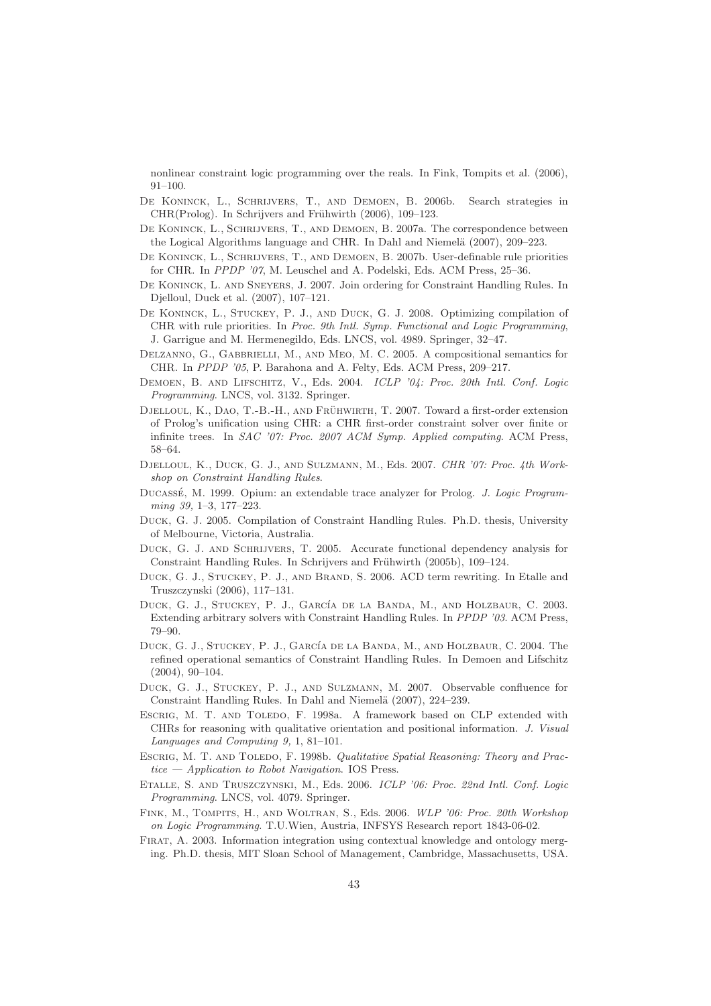nonlinear constraint logic programming over the reals. In Fink, Tompits et al. (2006), 91–100.

- De Koninck, L., Schrijvers, T., and Demoen, B. 2006b. Search strategies in CHR(Prolog). In Schrijvers and Frühwirth (2006), 109–123.
- De Koninck, L., Schrijvers, T., and Demoen, B. 2007a. The correspondence between the Logical Algorithms language and CHR. In Dahl and Niemelä (2007), 209–223.
- De Koninck, L., Schrijvers, T., and Demoen, B. 2007b. User-definable rule priorities for CHR. In PPDP '07, M. Leuschel and A. Podelski, Eds. ACM Press, 25–36.
- De Koninck, L. and Sneyers, J. 2007. Join ordering for Constraint Handling Rules. In Djelloul, Duck et al. (2007), 107–121.
- De Koninck, L., Stuckey, P. J., and Duck, G. J. 2008. Optimizing compilation of CHR with rule priorities. In Proc. 9th Intl. Symp. Functional and Logic Programming, J. Garrigue and M. Hermenegildo, Eds. LNCS, vol. 4989. Springer, 32–47.
- Delzanno, G., Gabbrielli, M., and Meo, M. C. 2005. A compositional semantics for CHR. In PPDP '05, P. Barahona and A. Felty, Eds. ACM Press, 209–217.
- DEMOEN, B. AND LIFSCHITZ, V., Eds. 2004. ICLP '04: Proc. 20th Intl. Conf. Logic Programming. LNCS, vol. 3132. Springer.
- DJELLOUL, K., DAO, T.-B.-H., AND FRÜHWIRTH, T. 2007. Toward a first-order extension of Prolog's unification using CHR: a CHR first-order constraint solver over finite or infinite trees. In SAC '07: Proc. 2007 ACM Symp. Applied computing. ACM Press, 58–64.
- Djelloul, K., Duck, G. J., and Sulzmann, M., Eds. 2007. CHR '07: Proc. 4th Workshop on Constraint Handling Rules.
- DUCASSÉ, M. 1999. Opium: an extendable trace analyzer for Prolog. J. Logic Programming 39, 1–3, 177–223.
- Duck, G. J. 2005. Compilation of Constraint Handling Rules. Ph.D. thesis, University of Melbourne, Victoria, Australia.
- Duck, G. J. and Schrijvers, T. 2005. Accurate functional dependency analysis for Constraint Handling Rules. In Schrijvers and Frühwirth (2005b), 109–124.
- Duck, G. J., Stuckey, P. J., and Brand, S. 2006. ACD term rewriting. In Etalle and Truszczynski (2006), 117–131.
- DUCK, G. J., STUCKEY, P. J., GARCÍA DE LA BANDA, M., AND HOLZBAUR, C. 2003. Extending arbitrary solvers with Constraint Handling Rules. In PPDP '03. ACM Press, 79–90.
- DUCK, G. J., STUCKEY, P. J., GARCÍA DE LA BANDA, M., AND HOLZBAUR, C. 2004. The refined operational semantics of Constraint Handling Rules. In Demoen and Lifschitz (2004), 90–104.
- Duck, G. J., Stuckey, P. J., and Sulzmann, M. 2007. Observable confluence for Constraint Handling Rules. In Dahl and Niemelä (2007), 224–239.
- ESCRIG, M. T. AND TOLEDO, F. 1998a. A framework based on CLP extended with CHRs for reasoning with qualitative orientation and positional information. J. Visual Languages and Computing 9, 1, 81–101.
- Escrig, M. T. and Toledo, F. 1998b. Qualitative Spatial Reasoning: Theory and Practice  $-$  Application to Robot Navigation. IOS Press.
- Etalle, S. and Truszczynski, M., Eds. 2006. ICLP '06: Proc. 22nd Intl. Conf. Logic Programming. LNCS, vol. 4079. Springer.
- FINK, M., TOMPITS, H., AND WOLTRAN, S., Eds. 2006. WLP '06: Proc. 20th Workshop on Logic Programming. T.U.Wien, Austria, INFSYS Research report 1843-06-02.
- Firat, A. 2003. Information integration using contextual knowledge and ontology merging. Ph.D. thesis, MIT Sloan School of Management, Cambridge, Massachusetts, USA.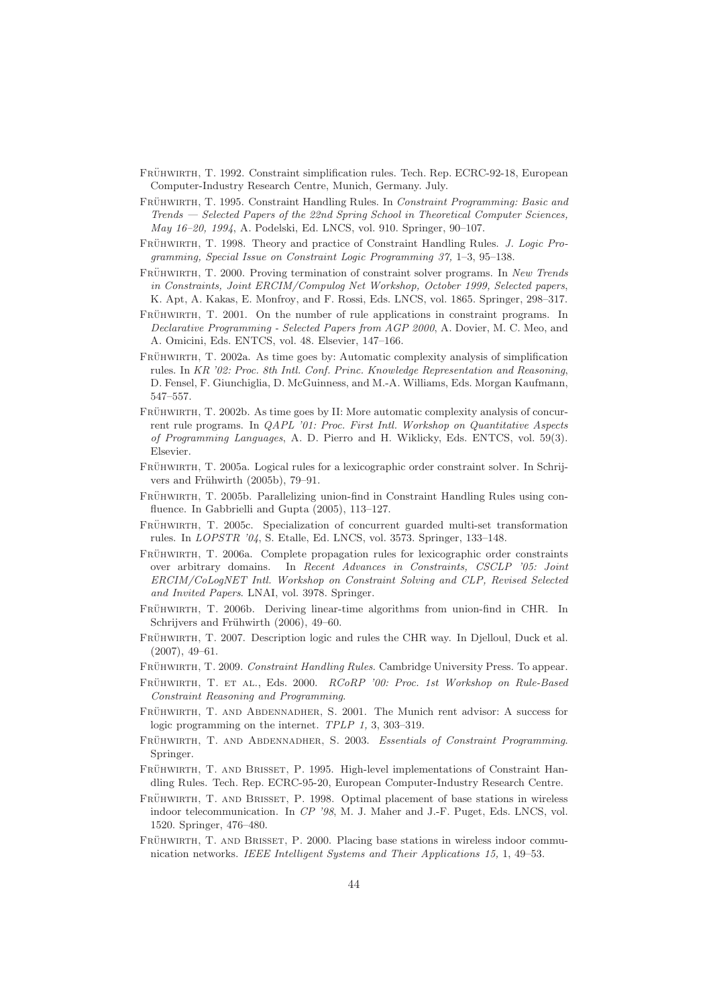- FRÜHWIRTH, T. 1992. Constraint simplification rules. Tech. Rep. ECRC-92-18, European Computer-Industry Research Centre, Munich, Germany. July.
- FRÜHWIRTH, T. 1995. Constraint Handling Rules. In Constraint Programming: Basic and Trends — Selected Papers of the 22nd Spring School in Theoretical Computer Sciences, May 16–20, 1994, A. Podelski, Ed. LNCS, vol. 910. Springer, 90–107.
- FRÜHWIRTH, T. 1998. Theory and practice of Constraint Handling Rules. J. Logic Programming, Special Issue on Constraint Logic Programming 37, 1–3, 95–138.
- FRÜHWIRTH, T. 2000. Proving termination of constraint solver programs. In New Trends in Constraints, Joint ERCIM/Compulog Net Workshop, October 1999, Selected papers, K. Apt, A. Kakas, E. Monfroy, and F. Rossi, Eds. LNCS, vol. 1865. Springer, 298–317.
- FRÜHWIRTH, T. 2001. On the number of rule applications in constraint programs. In Declarative Programming - Selected Papers from AGP 2000, A. Dovier, M. C. Meo, and A. Omicini, Eds. ENTCS, vol. 48. Elsevier, 147–166.
- FRÜHWIRTH, T. 2002a. As time goes by: Automatic complexity analysis of simplification rules. In KR '02: Proc. 8th Intl. Conf. Princ. Knowledge Representation and Reasoning, D. Fensel, F. Giunchiglia, D. McGuinness, and M.-A. Williams, Eds. Morgan Kaufmann, 547–557.
- FRÜHWIRTH, T. 2002b. As time goes by II: More automatic complexity analysis of concurrent rule programs. In *QAPL '01: Proc. First Intl. Workshop on Quantitative Aspects* of Programming Languages, A. D. Pierro and H. Wiklicky, Eds. ENTCS, vol. 59(3). Elsevier.
- FRÜHWIRTH, T. 2005a. Logical rules for a lexicographic order constraint solver. In Schrijvers and Frühwirth (2005b), 79-91.
- FRÜHWIRTH, T. 2005b. Parallelizing union-find in Constraint Handling Rules using confluence. In Gabbrielli and Gupta (2005), 113–127.
- FRÜHWIRTH, T. 2005c. Specialization of concurrent guarded multi-set transformation rules. In LOPSTR '04, S. Etalle, Ed. LNCS, vol. 3573. Springer, 133–148.
- FRÜHWIRTH, T. 2006a. Complete propagation rules for lexicographic order constraints over arbitrary domains. In Recent Advances in Constraints, CSCLP '05: Joint ERCIM/CoLogNET Intl. Workshop on Constraint Solving and CLP, Revised Selected and Invited Papers. LNAI, vol. 3978. Springer.
- FRÜHWIRTH, T. 2006b. Deriving linear-time algorithms from union-find in CHR. In Schrijvers and Frühwirth (2006), 49–60.
- FRÜHWIRTH, T. 2007. Description logic and rules the CHR way. In Djelloul, Duck et al. (2007), 49–61.
- FRÜHWIRTH, T. 2009. Constraint Handling Rules. Cambridge University Press. To appear.
- FRÜHWIRTH, T. ET AL., Eds. 2000. RCoRP '00: Proc. 1st Workshop on Rule-Based Constraint Reasoning and Programming.
- FRÜHWIRTH, T. AND ABDENNADHER, S. 2001. The Munich rent advisor: A success for logic programming on the internet. TPLP 1, 3, 303–319.
- FRÜHWIRTH, T. AND ABDENNADHER, S. 2003. Essentials of Constraint Programming. Springer.
- FRÜHWIRTH, T. AND BRISSET, P. 1995. High-level implementations of Constraint Handling Rules. Tech. Rep. ECRC-95-20, European Computer-Industry Research Centre.
- FRÜHWIRTH, T. AND BRISSET, P. 1998. Optimal placement of base stations in wireless indoor telecommunication. In CP '98, M. J. Maher and J.-F. Puget, Eds. LNCS, vol. 1520. Springer, 476–480.
- FRÜHWIRTH, T. AND BRISSET, P. 2000. Placing base stations in wireless indoor communication networks. IEEE Intelligent Systems and Their Applications 15, 1, 49–53.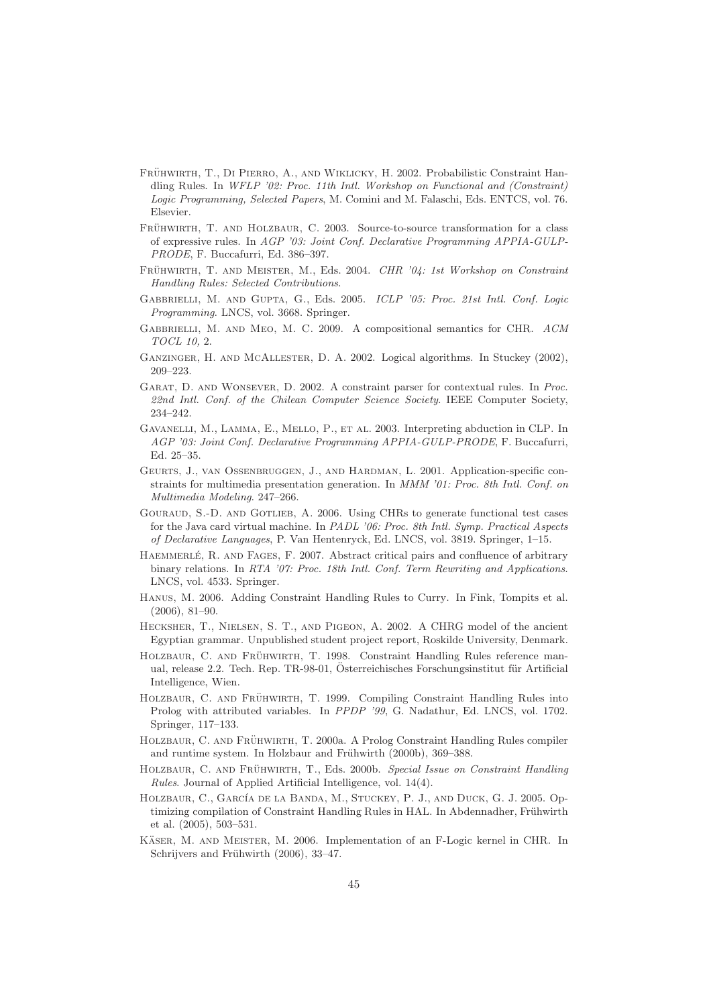- FRÜHWIRTH, T., DI PIERRO, A., AND WIKLICKY, H. 2002. Probabilistic Constraint Handling Rules. In WFLP '02: Proc. 11th Intl. Workshop on Functional and (Constraint) Logic Programming, Selected Papers, M. Comini and M. Falaschi, Eds. ENTCS, vol. 76. Elsevier.
- FRÜHWIRTH, T. AND HOLZBAUR, C. 2003. Source-to-source transformation for a class of expressive rules. In AGP '03: Joint Conf. Declarative Programming APPIA-GULP-PRODE, F. Buccafurri, Ed. 386–397.
- FRÜHWIRTH, T. AND MEISTER, M., Eds. 2004. CHR '04: 1st Workshop on Constraint Handling Rules: Selected Contributions.
- Gabbrielli, M. and Gupta, G., Eds. 2005. ICLP '05: Proc. 21st Intl. Conf. Logic Programming. LNCS, vol. 3668. Springer.
- Gabbrielli, M. and Meo, M. C. 2009. A compositional semantics for CHR. ACM TOCL 10, 2.
- Ganzinger, H. and McAllester, D. A. 2002. Logical algorithms. In Stuckey (2002), 209–223.
- Garat, D. and Wonsever, D. 2002. A constraint parser for contextual rules. In Proc. 22nd Intl. Conf. of the Chilean Computer Science Society. IEEE Computer Society, 234–242.
- Gavanelli, M., Lamma, E., Mello, P., et al. 2003. Interpreting abduction in CLP. In AGP '03: Joint Conf. Declarative Programming APPIA-GULP-PRODE, F. Buccafurri, Ed. 25–35.
- GEURTS, J., VAN OSSENBRUGGEN, J., AND HARDMAN, L. 2001. Application-specific constraints for multimedia presentation generation. In MMM '01: Proc. 8th Intl. Conf. on Multimedia Modeling. 247–266.
- GOURAUD, S.-D. AND GOTLIEB, A. 2006. Using CHRs to generate functional test cases for the Java card virtual machine. In PADL '06: Proc. 8th Intl. Symp. Practical Aspects of Declarative Languages, P. Van Hentenryck, Ed. LNCS, vol. 3819. Springer, 1–15.
- HAEMMERLÉ, R. AND FAGES, F. 2007. Abstract critical pairs and confluence of arbitrary binary relations. In RTA '07: Proc. 18th Intl. Conf. Term Rewriting and Applications. LNCS, vol. 4533. Springer.
- Hanus, M. 2006. Adding Constraint Handling Rules to Curry. In Fink, Tompits et al. (2006), 81–90.
- Hecksher, T., Nielsen, S. T., and Pigeon, A. 2002. A CHRG model of the ancient Egyptian grammar. Unpublished student project report, Roskilde University, Denmark.
- HOLZBAUR, C. AND FRÜHWIRTH, T. 1998. Constraint Handling Rules reference manual, release 2.2. Tech. Rep. TR-98-01, Österreichisches Forschungsinstitut für Artificial Intelligence, Wien.
- HOLZBAUR, C. AND FRÜHWIRTH, T. 1999. Compiling Constraint Handling Rules into Prolog with attributed variables. In PPDP '99, G. Nadathur, Ed. LNCS, vol. 1702. Springer, 117–133.
- HOLZBAUR, C. AND FRÜHWIRTH, T. 2000a. A Prolog Constraint Handling Rules compiler and runtime system. In Holzbaur and Frühwirth (2000b), 369–388.
- HOLZBAUR, C. AND FRÜHWIRTH, T., Eds. 2000b. Special Issue on Constraint Handling Rules. Journal of Applied Artificial Intelligence, vol. 14(4).
- HOLZBAUR, C., GARCÍA DE LA BANDA, M., STUCKEY, P. J., AND DUCK, G. J. 2005. Optimizing compilation of Constraint Handling Rules in HAL. In Abdennadher, Frühwirth et al. (2005), 503–531.
- KÄSER, M. AND MEISTER, M. 2006. Implementation of an F-Logic kernel in CHR. In Schrijvers and Frühwirth (2006), 33-47.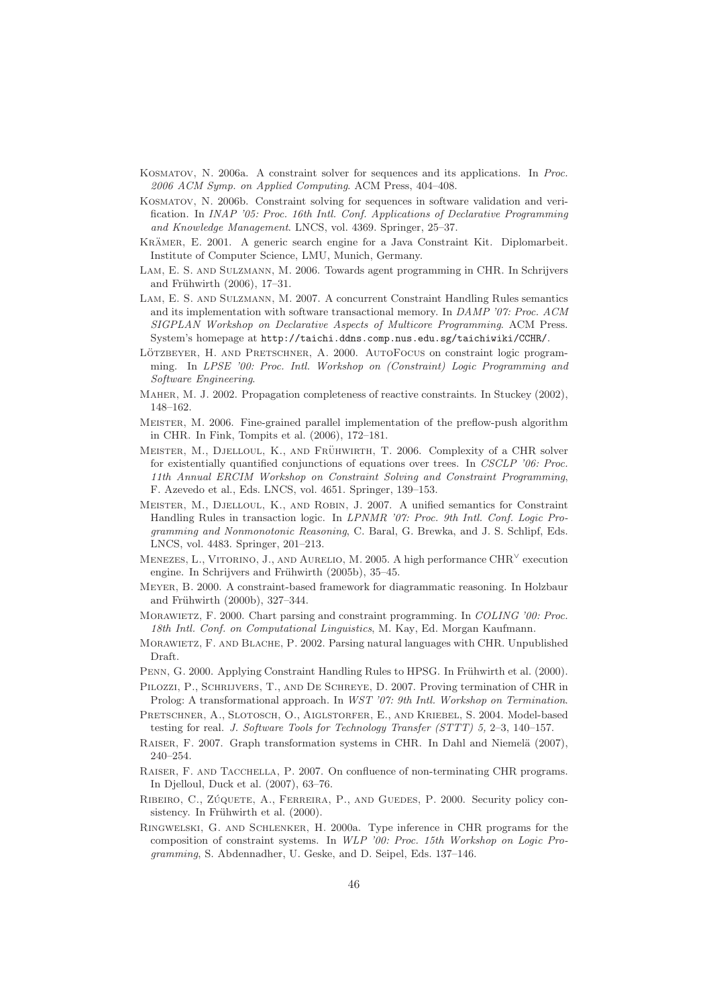- Kosmatov, N. 2006a. A constraint solver for sequences and its applications. In Proc. 2006 ACM Symp. on Applied Computing. ACM Press, 404–408.
- Kosmatov, N. 2006b. Constraint solving for sequences in software validation and verification. In INAP '05: Proc. 16th Intl. Conf. Applications of Declarative Programming and Knowledge Management. LNCS, vol. 4369. Springer, 25–37.
- KRÄMER, E. 2001. A generic search engine for a Java Constraint Kit. Diplomarbeit. Institute of Computer Science, LMU, Munich, Germany.
- Lam, E. S. and Sulzmann, M. 2006. Towards agent programming in CHR. In Schrijvers and Frühwirth  $(2006)$ , 17–31.
- Lam, E. S. and Sulzmann, M. 2007. A concurrent Constraint Handling Rules semantics and its implementation with software transactional memory. In DAMP '07: Proc. ACM SIGPLAN Workshop on Declarative Aspects of Multicore Programming. ACM Press. System's homepage at http://taichi.ddns.comp.nus.edu.sg/taichiwiki/CCHR/.
- LÖTZBEYER, H. AND PRETSCHNER, A. 2000. AUTOFOCUS on constraint logic programming. In LPSE '00: Proc. Intl. Workshop on (Constraint) Logic Programming and Software Engineering.
- Maher, M. J. 2002. Propagation completeness of reactive constraints. In Stuckey (2002), 148–162.
- Meister, M. 2006. Fine-grained parallel implementation of the preflow-push algorithm in CHR. In Fink, Tompits et al. (2006), 172–181.
- MEISTER, M., DJELLOUL, K., AND FRÜHWIRTH, T. 2006. Complexity of a CHR solver for existentially quantified conjunctions of equations over trees. In CSCLP '06: Proc. 11th Annual ERCIM Workshop on Constraint Solving and Constraint Programming, F. Azevedo et al., Eds. LNCS, vol. 4651. Springer, 139–153.
- Meister, M., Djelloul, K., and Robin, J. 2007. A unified semantics for Constraint Handling Rules in transaction logic. In LPNMR '07: Proc. 9th Intl. Conf. Logic Programming and Nonmonotonic Reasoning, C. Baral, G. Brewka, and J. S. Schlipf, Eds. LNCS, vol. 4483. Springer, 201–213.
- MENEZES, L., VITORINO, J., AND AURELIO, M. 2005. A high performance  $\text{CHR}^{\vee}$  execution engine. In Schrijvers and Frühwirth (2005b), 35–45.
- Meyer, B. 2000. A constraint-based framework for diagrammatic reasoning. In Holzbaur and Frühwirth (2000b), 327-344.
- MORAWIETZ, F. 2000. Chart parsing and constraint programming. In COLING '00: Proc. 18th Intl. Conf. on Computational Linguistics, M. Kay, Ed. Morgan Kaufmann.
- MORAWIETZ, F. AND BLACHE, P. 2002. Parsing natural languages with CHR. Unpublished Draft.
- PENN, G. 2000. Applying Constraint Handling Rules to HPSG. In Frühwirth et al. (2000).
- Pilozzi, P., Schrijvers, T., and De Schreye, D. 2007. Proving termination of CHR in Prolog: A transformational approach. In WST '07: 9th Intl. Workshop on Termination.
- Pretschner, A., Slotosch, O., Aiglstorfer, E., and Kriebel, S. 2004. Model-based testing for real. J. Software Tools for Technology Transfer (STTT) 5, 2–3, 140–157.
- RAISER, F. 2007. Graph transformation systems in CHR. In Dahl and Niemelä (2007), 240–254.
- Raiser, F. and Tacchella, P. 2007. On confluence of non-terminating CHR programs. In Djelloul, Duck et al. (2007), 63–76.
- RIBEIRO, C., ZÚQUETE, A., FERREIRA, P., AND GUEDES, P. 2000. Security policy consistency. In Frühwirth et al. (2000).
- Ringwelski, G. and Schlenker, H. 2000a. Type inference in CHR programs for the composition of constraint systems. In WLP '00: Proc. 15th Workshop on Logic Programming, S. Abdennadher, U. Geske, and D. Seipel, Eds. 137–146.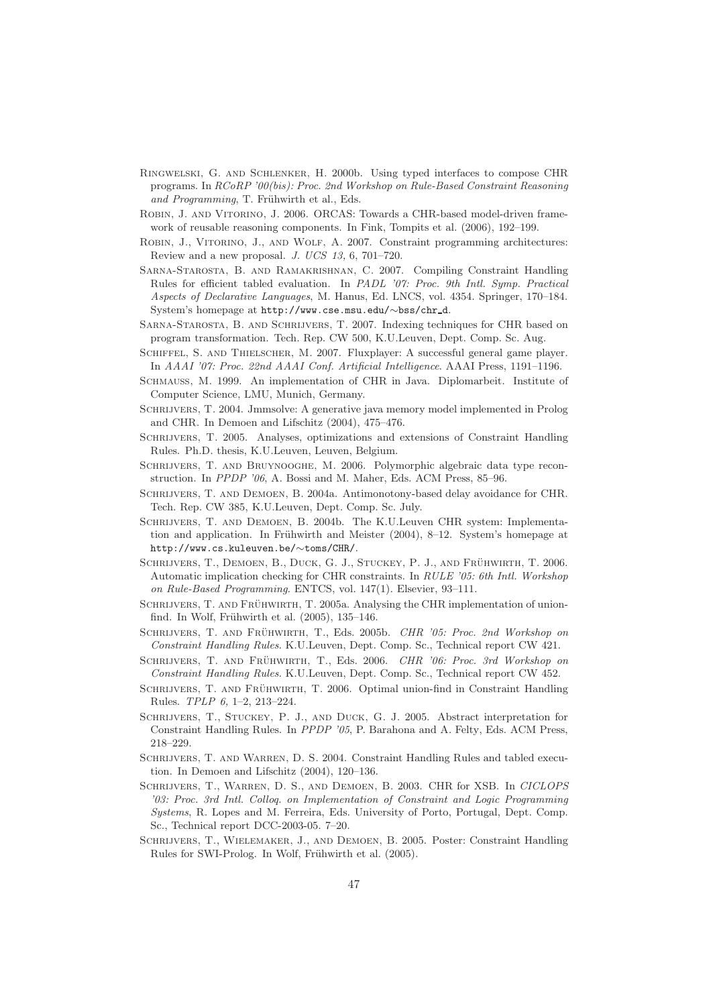- Ringwelski, G. and Schlenker, H. 2000b. Using typed interfaces to compose CHR programs. In RCoRP '00(bis): Proc. 2nd Workshop on Rule-Based Constraint Reasoning and Programming, T. Frühwirth et al., Eds.
- Robin, J. and Vitorino, J. 2006. ORCAS: Towards a CHR-based model-driven framework of reusable reasoning components. In Fink, Tompits et al. (2006), 192–199.
- Robin, J., Vitorino, J., and Wolf, A. 2007. Constraint programming architectures: Review and a new proposal. J. UCS 13, 6, 701–720.
- Sarna-Starosta, B. and Ramakrishnan, C. 2007. Compiling Constraint Handling Rules for efficient tabled evaluation. In PADL '07: Proc. 9th Intl. Symp. Practical Aspects of Declarative Languages, M. Hanus, Ed. LNCS, vol. 4354. Springer, 170–184. System's homepage at http://www.cse.msu.edu/∼bss/chr d.
- Sarna-Starosta, B. and Schrijvers, T. 2007. Indexing techniques for CHR based on program transformation. Tech. Rep. CW 500, K.U.Leuven, Dept. Comp. Sc. Aug.
- Schiffel, S. and Thielscher, M. 2007. Fluxplayer: A successful general game player. In AAAI '07: Proc. 22nd AAAI Conf. Artificial Intelligence. AAAI Press, 1191–1196.
- SCHMAUSS, M. 1999. An implementation of CHR in Java. Diplomarbeit. Institute of Computer Science, LMU, Munich, Germany.
- SCHRIJVERS, T. 2004. Jmmsolve: A generative java memory model implemented in Prolog and CHR. In Demoen and Lifschitz (2004), 475–476.
- SCHRIJVERS, T. 2005. Analyses, optimizations and extensions of Constraint Handling Rules. Ph.D. thesis, K.U.Leuven, Leuven, Belgium.
- SCHRIJVERS, T. AND BRUYNOOGHE, M. 2006. Polymorphic algebraic data type reconstruction. In PPDP '06, A. Bossi and M. Maher, Eds. ACM Press, 85–96.
- SCHRIJVERS, T. AND DEMOEN, B. 2004a. Antimonotony-based delay avoidance for CHR. Tech. Rep. CW 385, K.U.Leuven, Dept. Comp. Sc. July.
- Schrijvers, T. and Demoen, B. 2004b. The K.U.Leuven CHR system: Implementation and application. In Frühwirth and Meister  $(2004)$ , 8–12. System's homepage at http://www.cs.kuleuven.be/∼toms/CHR/.
- SCHRIJVERS, T., DEMOEN, B., DUCK, G. J., STUCKEY, P. J., AND FRÜHWIRTH, T. 2006. Automatic implication checking for CHR constraints. In RULE '05: 6th Intl. Workshop on Rule-Based Programming. ENTCS, vol. 147(1). Elsevier, 93–111.
- SCHRIJVERS, T. AND FRÜHWIRTH, T. 2005a. Analysing the CHR implementation of unionfind. In Wolf, Frühwirth et al.  $(2005)$ , 135–146.
- SCHRIJVERS, T. AND FRÜHWIRTH, T., Eds. 2005b. CHR '05: Proc. 2nd Workshop on Constraint Handling Rules. K.U.Leuven, Dept. Comp. Sc., Technical report CW 421.
- SCHRIJVERS, T. AND FRÜHWIRTH, T., Eds. 2006. CHR '06: Proc. 3rd Workshop on Constraint Handling Rules. K.U.Leuven, Dept. Comp. Sc., Technical report CW 452.
- SCHRIJVERS, T. AND FRÜHWIRTH, T. 2006. Optimal union-find in Constraint Handling Rules. TPLP 6, 1–2, 213–224.
- SCHRIJVERS, T., STUCKEY, P. J., AND DUCK, G. J. 2005. Abstract interpretation for Constraint Handling Rules. In PPDP '05, P. Barahona and A. Felty, Eds. ACM Press, 218–229.
- SCHRIJVERS, T. AND WARREN, D. S. 2004. Constraint Handling Rules and tabled execution. In Demoen and Lifschitz (2004), 120–136.
- Schrijvers, T., Warren, D. S., and Demoen, B. 2003. CHR for XSB. In CICLOPS '03: Proc. 3rd Intl. Colloq. on Implementation of Constraint and Logic Programming Systems, R. Lopes and M. Ferreira, Eds. University of Porto, Portugal, Dept. Comp. Sc., Technical report DCC-2003-05. 7–20.
- Schrijvers, T., Wielemaker, J., and Demoen, B. 2005. Poster: Constraint Handling Rules for SWI-Prolog. In Wolf, Frühwirth et al. (2005).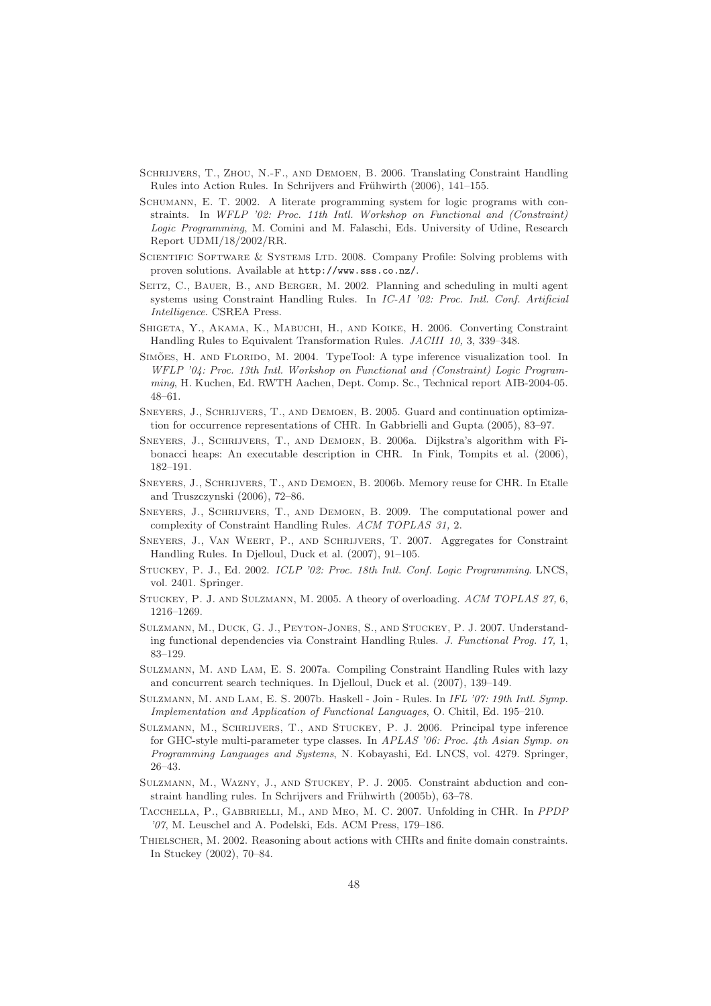- Schrijvers, T., Zhou, N.-F., and Demoen, B. 2006. Translating Constraint Handling Rules into Action Rules. In Schrijvers and Frühwirth (2006), 141–155.
- Schumann, E. T. 2002. A literate programming system for logic programs with constraints. In WFLP '02: Proc. 11th Intl. Workshop on Functional and (Constraint) Logic Programming, M. Comini and M. Falaschi, Eds. University of Udine, Research Report UDMI/18/2002/RR.
- SCIENTIFIC SOFTWARE & SYSTEMS LTD. 2008. Company Profile: Solving problems with proven solutions. Available at http://www.sss.co.nz/.
- SEITZ, C., BAUER, B., AND BERGER, M. 2002. Planning and scheduling in multi agent systems using Constraint Handling Rules. In IC-AI '02: Proc. Intl. Conf. Artificial Intelligence. CSREA Press.
- Shigeta, Y., Akama, K., Mabuchi, H., and Koike, H. 2006. Converting Constraint Handling Rules to Equivalent Transformation Rules. JACIII 10, 3, 339–348.
- SIMÕES, H. AND FLORIDO, M. 2004. TypeTool: A type inference visualization tool. In WFLP '04: Proc. 13th Intl. Workshop on Functional and (Constraint) Logic Programming, H. Kuchen, Ed. RWTH Aachen, Dept. Comp. Sc., Technical report AIB-2004-05. 48–61.
- Sneyers, J., Schrijvers, T., and Demoen, B. 2005. Guard and continuation optimization for occurrence representations of CHR. In Gabbrielli and Gupta (2005), 83–97.
- Sneyers, J., Schrijvers, T., and Demoen, B. 2006a. Dijkstra's algorithm with Fibonacci heaps: An executable description in CHR. In Fink, Tompits et al. (2006), 182–191.
- Sneyers, J., Schrijvers, T., and Demoen, B. 2006b. Memory reuse for CHR. In Etalle and Truszczynski (2006), 72–86.
- Sneyers, J., Schrijvers, T., and Demoen, B. 2009. The computational power and complexity of Constraint Handling Rules. ACM TOPLAS 31, 2.
- Sneyers, J., Van Weert, P., and Schrijvers, T. 2007. Aggregates for Constraint Handling Rules. In Djelloul, Duck et al. (2007), 91–105.
- STUCKEY, P. J., Ed. 2002. ICLP '02: Proc. 18th Intl. Conf. Logic Programming. LNCS, vol. 2401. Springer.
- Stuckey, P. J. and Sulzmann, M. 2005. A theory of overloading. ACM TOPLAS 27, 6, 1216–1269.
- Sulzmann, M., Duck, G. J., Peyton-Jones, S., and Stuckey, P. J. 2007. Understanding functional dependencies via Constraint Handling Rules. J. Functional Prog. 17, 1, 83–129.
- Sulzmann, M. and Lam, E. S. 2007a. Compiling Constraint Handling Rules with lazy and concurrent search techniques. In Djelloul, Duck et al. (2007), 139–149.
- Sulzmann, M. and Lam, E. S. 2007b. Haskell Join Rules. In IFL '07: 19th Intl. Symp. Implementation and Application of Functional Languages, O. Chitil, Ed. 195–210.
- Sulzmann, M., Schrijvers, T., and Stuckey, P. J. 2006. Principal type inference for GHC-style multi-parameter type classes. In APLAS '06: Proc. 4th Asian Symp. on Programming Languages and Systems, N. Kobayashi, Ed. LNCS, vol. 4279. Springer, 26–43.
- Sulzmann, M., Wazny, J., and Stuckey, P. J. 2005. Constraint abduction and constraint handling rules. In Schrijvers and Frühwirth  $(2005b)$ , 63–78.
- Tacchella, P., Gabbrielli, M., and Meo, M. C. 2007. Unfolding in CHR. In PPDP '07, M. Leuschel and A. Podelski, Eds. ACM Press, 179–186.
- Thielscher, M. 2002. Reasoning about actions with CHRs and finite domain constraints. In Stuckey (2002), 70–84.